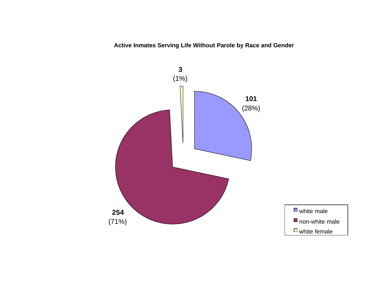**Active Inmates Serving Life Without Parole by Race and Gender**

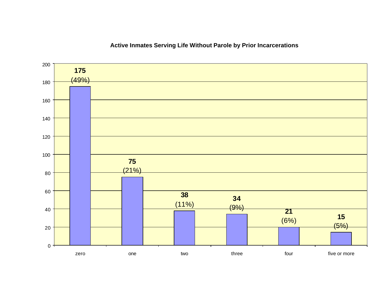## $(5%)$  (6%)  $(9%)$   $(11%)$   $(21%)$   $(49%)$  $0 -$  zero one two three four five or more

## **Active Inmates Serving Life Without Parole by Prior Incarcerations**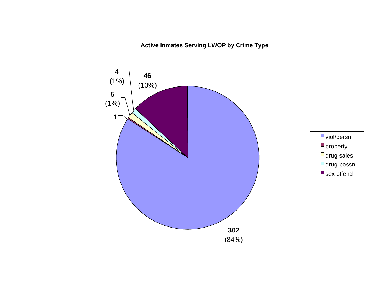# **Active Inmates Serving LWOP by Crime Type**

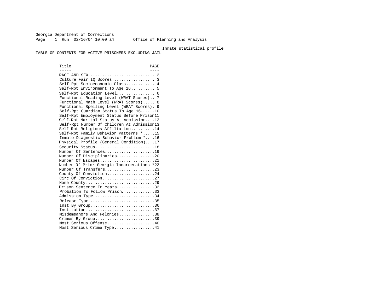Georgia Department of Corrections Page 1 Run 02/16/04 10:09 am Office of Planning and Analysis

#### Inmate statistical profile

TABLE OF CONTENTS FOR ACTIVE PRISONERS EXCLUDING JAIL

Title PAGE ----- ---- RACE AND SEX............................ 2 Culture Fair IQ Scores.................. 3 Self-Rpt Socioeconomic Class............ 4 Self-Rpt Environment To Age 16.......... 5 Self-Rpt Education Level................ 6 Functional Reading Level (WRAT Scores).. 7 Functional Math Level (WRAT Scores)..... 8 Functional Spelling Level (WRAT Scores). 9 Self-Rpt Guardian Status To Age 16......10 Self-Rpt Employment Status Before Prison11 Self-Rpt Marital Status At Admission....12 Self-Rpt Number Of Children At Admission13 Self-Rpt Religious Affiliation..........14 Self-Rpt Family Behavior Patterns \*.....15 Inmate Diagnostic Behavior Problem \*....16 Physical Profile (General Condition)....17 Security Status............................18 Number Of Sentences.....................19 Number Of Disciplinaries................20 Number Of Escapes.........................21 Number Of Prior Georgia Incarcerations \*22 Number Of Transfers.....................23 County Of Conviction....................24 Circ Of Conviction........................27 Home County.............................29 Prison Sentence In Years................32 Probation To Follow Prison..............33 Admission Type.............................34 Release Type................................35 Inst By Group..............................36 Institution.............................37 Misdemeanors And Felonies...............38 Crimes By Group..............................39 Most Serious Offense....................40 Most Serious Crime Type.................41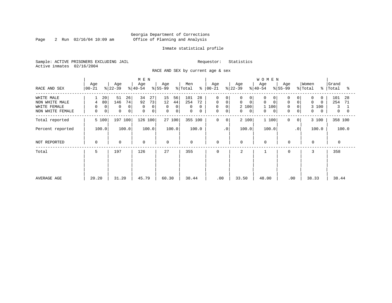Page 2 Run 02/16/04 10:09 am

#### Inmate statistical profile

Sample: ACTIVE PRISONERS EXCLUDING JAIL Requestor: Statistics Active inmates 02/16/2004

RACE AND SEX by current age & sex

|                                                                  | Age                               | Age                                       | M E N<br>Age                             | Age                                                | Men                                               | Age                                                      | Age                                                                  | <b>WOMEN</b><br>Age                                  | Age                                                                      | Women                                                | Grand                                         |
|------------------------------------------------------------------|-----------------------------------|-------------------------------------------|------------------------------------------|----------------------------------------------------|---------------------------------------------------|----------------------------------------------------------|----------------------------------------------------------------------|------------------------------------------------------|--------------------------------------------------------------------------|------------------------------------------------------|-----------------------------------------------|
| RACE AND SEX                                                     | $ 00 - 21 $                       | $ 22-39 $                                 | $ 40-54 $                                | $ 55-99 $                                          | န္<br>% Total                                     | $ 00 - 21 $                                              | $ 22-39 $                                                            | $ 40-54 $                                            | $8 55-99$                                                                | % Total<br>$\approx$                                 | Total<br>°≈                                   |
| WHITE MALE<br>NON WHITE MALE<br>WHITE FEMALE<br>NON WHITE FEMALE | 20<br>80<br>4<br>0<br>0<br>0<br>0 | 51<br>26<br>74<br>146<br>0<br>0<br>0<br>0 | 34<br>27<br>92<br>73<br>0<br>0<br>0<br>0 | 15<br>56<br>12<br>44<br>0<br>0<br>$\mathbf 0$<br>0 | 101<br>28<br>254<br>72<br>0<br>$\Omega$<br>0<br>0 | 0<br>0<br>0<br>0<br>0<br>$\mathbf 0$<br>$\mathbf 0$<br>0 | 0<br>0<br>$\mathbf 0$<br>$\mathbf 0$<br>2 100<br>0<br>$\overline{0}$ | 0<br>0<br>$\Omega$<br>$\mathbf 0$<br>1 100<br>0<br>0 | 0<br>$\mathbf 0$<br>$\overline{0}$<br>0<br>$\mathbf 0$<br>$\overline{0}$ | 0<br>0<br>$\Omega$<br>$\Omega$<br>3<br>100<br>0<br>0 | 101<br>28<br>254<br>71<br>3<br>$\overline{0}$ |
| Total reported                                                   | 5 100                             | 197 100                                   | 126 100                                  | 27 100                                             | 355 100                                           | $\mathbf 0$<br>0                                         | 2 100                                                                | 1 100                                                | 0<br>$\overline{0}$                                                      | 3 100                                                | 358 100                                       |
| Percent reported                                                 | 100.0                             | 100.0                                     | 100.0                                    | 100.0                                              | 100.0                                             | $\cdot$ 0                                                | 100.0                                                                | 100.0                                                | $\cdot$ 0                                                                | 100.0                                                | 100.0                                         |
| NOT REPORTED                                                     | 0                                 | $\mathbf 0$                               | $\mathbf 0$                              | $\mathbf 0$                                        | 0                                                 | 0                                                        | $\mathbf 0$                                                          | $\mathbf 0$                                          | $\mathbf 0$                                                              | $\mathbf{0}$                                         | $\mathbf 0$                                   |
| Total                                                            | 5                                 | 197<br>126                                |                                          | 27                                                 | 355                                               | 0                                                        | 2                                                                    |                                                      | 0                                                                        | 3                                                    | 358                                           |
| AVERAGE AGE                                                      | 20.20                             | 31.20                                     | 45.79                                    | 60.30                                              | 38.44                                             | .00                                                      | 33.50                                                                | 48.00                                                | .00                                                                      | 38.33                                                | 38.44                                         |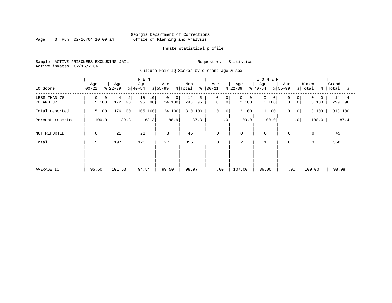Page 3 Run 02/16/04 10:09 am

#### Inmate statistical profile

Sample: ACTIVE PRISONERS EXCLUDING JAIL Requestor: Statistics Active inmates 02/16/2004

Culture Fair IQ Scores by current age & sex

| IQ Score                  | Age<br>$00 - 21$ | Age<br>$ 22-39 $  | M E N<br>Age<br>$ 40-54 $ | Age<br>$ 55-99$                     | Men<br>% Total       | Age<br>$8   00 - 21$                                           | Age<br>$ 22-39 $ | <b>WOMEN</b><br>Age<br>$ 40-54 $ | Age<br>$ 55-99$                          | Women<br>% Total<br>°             | Grand<br>Total<br>°≈ |
|---------------------------|------------------|-------------------|---------------------------|-------------------------------------|----------------------|----------------------------------------------------------------|------------------|----------------------------------|------------------------------------------|-----------------------------------|----------------------|
| LESS THAN 70<br>70 AND UP | 0<br>0<br>5 100  | 2<br>98<br>172    | 10<br>10<br>95<br>90      | $\overline{0}$<br>$\circ$<br>24 100 | 14<br>5<br>296<br>95 | $\mathbf 0$<br>0 <sup>1</sup><br>$\mathbf 0$<br>0 <sup>1</sup> | 0<br>0<br>2 100  | $\Omega$<br>0<br>1 100           | 0<br>0 <sup>1</sup><br>$\mathbf 0$<br> 0 | $\Omega$<br>$\mathbf{0}$<br>3 100 | 14<br>4<br>299<br>96 |
| Total reported            | 5 100            | 176 100           | 105 100                   | 24 100                              | 310 100              | $\mathsf{O}$<br>0                                              | 2 100            | 1 100                            | 0<br>0                                   | 3 100                             | 313 100              |
| Percent reported          |                  | 89.3              | 83.3                      | 88.9                                | 87.3                 | $\cdot$ 0                                                      | 100.0            | 100.0                            | $\cdot$ 0                                | 100.0                             | 87.4                 |
| NOT REPORTED              | 0                | 100.0<br>21<br>21 |                           | 3                                   | 45                   | 0                                                              | $\mathbf 0$      | $\mathbf 0$                      | $\mathbf 0$                              | $\mathbf 0$                       | 45                   |
| Total                     | 5                | 197               |                           | 27                                  | 355                  | 0                                                              | 2                |                                  | $\mathbf 0$                              | 3                                 | 358                  |
|                           |                  |                   |                           |                                     |                      |                                                                |                  |                                  |                                          |                                   |                      |
|                           |                  |                   |                           |                                     |                      |                                                                |                  |                                  |                                          |                                   |                      |
| AVERAGE IO                | 95.60            | 101.63            | 94.54                     | 99.50                               | 98.97                | .00                                                            | 107.00           | 86.00                            | .00                                      | 100.00                            | 98.98                |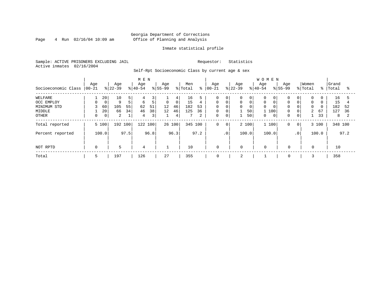#### Georgia Department of Corrections Page 4 Run 02/16/04 10:09 am Office of Planning and Analysis

#### Inmate statistical profile

Sample: ACTIVE PRISONERS EXCLUDING JAIL Requestor: Statistics Active inmates 02/16/2004

Self-Rpt Socioeconomic Class by current age & sex

|                     |                 | M E N       |                  |                |                  |      |                    |                | <b>WOMEN</b>   |      |                   |             |                  |       |                  |              |                    |                 |                  |          |                |      |
|---------------------|-----------------|-------------|------------------|----------------|------------------|------|--------------------|----------------|----------------|------|-------------------|-------------|------------------|-------|------------------|--------------|--------------------|-----------------|------------------|----------|----------------|------|
| Socioeconomic Class | Age<br>$ 00-21$ |             | Age<br>$ 22-39 $ |                | Age<br>$8 40-54$ |      | Age<br>$8155 - 99$ |                | Men<br>% Total | နွ   | Age<br>$ 00 - 21$ |             | Age<br>$ 22-39 $ |       | Age<br>$8 40-54$ |              | Age<br>$8155 - 99$ |                 | Women<br>% Total | % ၂      | Grand<br>Total | °≈   |
| WELFARE             |                 | 20          | 10               | 5              | 4                | 3    |                    | 4              | 16             |      | 0                 | $\mathbf 0$ | 0                | 0     | $\Omega$         | 0            |                    | 0               | 0                | 0        | 16             |      |
| OCC EMPLOY          |                 | $\mathbf 0$ | 9                | 5 <sup>1</sup> | 6                | 5    | $\mathsf{O}$       | 0 <sup>1</sup> | 15             | 4    | $\mathbf 0$       | $\mathbf 0$ | 0                | 0     | $\mathbf 0$      |              | $\Omega$           | $\mathbf 0$     | $\mathbf 0$      | $\Omega$ | 15             |      |
| MINIMUM STD         |                 | 60          | 105              | 55             | 62               | 51   | 12                 | 46             | 182            | 53   | $\Omega$          | $\Omega$    | 0                | 0     | $\Omega$         |              | $\Omega$           | $\mathbf 0$     | $\Omega$         | $\Omega$ | 182            | 52   |
| MIDDLE              |                 | 20          | 66               | 34             | 46               | 38   | 12                 | 46             | 125            | 36   | 0                 | $\mathbf 0$ |                  | 50    | 1 100            |              | 0                  | $\mathbf 0$     | $\overline{a}$   | 67       | 127            | 36   |
| OTHER               |                 | 0           | 2                |                | 4                | 3    |                    | 4              |                | 2    | 0                 | 0           |                  | 50    | 0                | $\mathbf{0}$ | 0                  | 0               |                  | 33       | 8              |      |
| Total reported      |                 | 5 100       | 192 100          |                | 122 100          |      |                    | 26 100         | 345 100        |      | 0                 | $\mathbf 0$ |                  | 2 100 | 1 100            |              | 0                  | 0 <sup>1</sup>  |                  | 3 100    | 348 100        |      |
| Percent reported    |                 | 100.0       |                  | 97.5           |                  | 96.8 |                    | 96.3           |                | 97.2 |                   | $\cdot$ 0   |                  | 100.0 | 100.0            |              |                    | .0 <sup>°</sup> |                  | 100.0    |                | 97.2 |
| NOT RPTD            | 0               |             | 5                |                | 4                |      |                    |                | 10             |      | 0                 |             | 0                |       | 0                |              | $\mathbf 0$        |                 | 0                |          | 10             |      |
| Total               | 5               |             | 197              |                | 126              |      | 27                 |                | 355            |      | 0                 |             | 2                |       |                  |              | 0                  |                 |                  |          | 358            |      |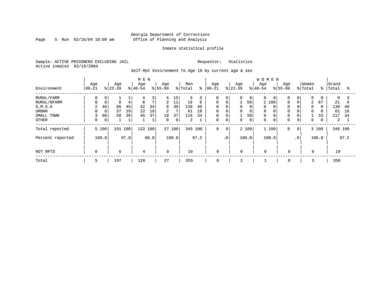Page 5 Run  $02/16/04$  10:09 am

#### Inmate statistical profile

Sample: ACTIVE PRISONERS EXCLUDING JAIL Requestor: Statistics Active inmates 02/16/2004

Self-Rpt Environment To Age 16 by current age & sex

|                  |           |             |           |      | M E N     |                |             |        |         |      |             |             |             |                | WOMEN       |   |             |                 |             |               |         |      |
|------------------|-----------|-------------|-----------|------|-----------|----------------|-------------|--------|---------|------|-------------|-------------|-------------|----------------|-------------|---|-------------|-----------------|-------------|---------------|---------|------|
|                  | Age       |             | Age       |      | Age       |                | Age         |        | Men     |      | Age         |             | Age         |                | Age         |   | Age         |                 | Women       |               | Grand   |      |
| Environment      | $ 00-21 $ |             | $ 22-39 $ |      | $8 40-54$ |                | $8155 - 99$ |        | % Total | ి    | $ 00 - 21$  |             | $8 22-39$   |                | $8 40-54$   |   | $8155 - 99$ |                 | % Total     | $\frac{8}{6}$ | Total   | °    |
| RURAL/FARM       | 0         | 0           |           |      | 4         | 3              | 4           | 15     | 9       |      | $\Omega$    | 0           | 0           | $\overline{0}$ | $\Omega$    | 0 | $\mathbf 0$ | 0               | 0           | 0             | 9       |      |
| RURAL/NFARM      |           | $\mathbf 0$ | 8         | 4    | 8         | $\overline{7}$ | 3           | 11     | 19      | 6    | $\Omega$    | $\mathbf 0$ |             | 50             | 100         |   | 0           | $\Omega$        | 2           | 67            | 21      | 6    |
| S.M.S.A          | 2         | 40          | 86        | 45   | 42        | 34             | 8           | 30     | 138     | 40   | $\mathbf 0$ | $\mathbf 0$ | 0           | 0              | $\Omega$    |   | $\mathbf 0$ | 0               | $\Omega$    | $\Omega$      | 138     | 40   |
| URBAN            |           | $\mathbf 0$ | 37        | 19   | 22        | 18             | 2           | 7      | 61      | 18   | $\mathbf 0$ | $\mathbf 0$ | $\mathbf 0$ | 0              | $\Omega$    |   | $\mathbf 0$ | 0               | $\mathbf 0$ | 0             | 61      | 18   |
| SMALL TOWN       | 3         | 60          | 58        | 30   | 45        | 37             | 10          | 37     | 116     | 34   | $\mathbf 0$ | $\mathbf 0$ | 1           | 50             | $\mathbf 0$ |   | 0           | 0               |             | 33            | 117     | 34   |
| <b>OTHER</b>     | 0         | 0           |           |      |           | $\mathbf{a}$   | $\Omega$    | 0      | 2       |      | $\Omega$    | $\mathbf 0$ | $\Omega$    | 0              | $\Omega$    | 0 | $\mathbf 0$ | 0               | 0           | 0             | 2       |      |
| Total reported   |           | 5 100       | 191 100   |      | 122 100   |                |             | 27 100 | 345 100 |      | 0           | $\mathbf 0$ |             | 2 100          | 1 100       |   | $\mathbf 0$ | $\circ$         |             | 3 100         | 348 100 |      |
| Percent reported |           | 100.0       |           | 97.0 |           | 96.8           |             | 100.0  |         | 97.2 |             | $\cdot$ 0   |             | 100.0          | 100.0       |   |             | .0 <sup>1</sup> |             | 100.0         |         | 97.2 |
| NOT RPTD         | $\Omega$  |             | 6         |      | 4         |                | $\Omega$    |        | 10      |      | $\mathbf 0$ |             | $\Omega$    |                | $\Omega$    |   | $\Omega$    |                 | $\Omega$    |               | 10      |      |
| Total            | 5         |             | 197       |      | 126       |                | 27          |        | 355     |      | $\mathbf 0$ |             | 2           |                |             |   | $\mathbf 0$ |                 |             |               | 358     |      |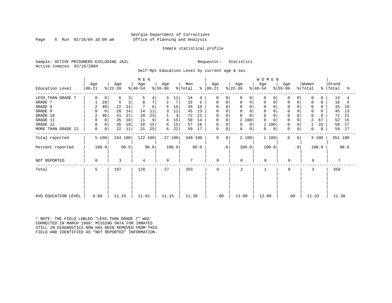Page 6 Run  $02/16/04$  10:09 am

#### Inmate statistical profile

Sample: ACTIVE PRISONERS EXCLUDING JAIL Requestor: Statistics Active inmates 02/16/2004

Self-Rpt Education Level by current age & sex

|                     | M E N            |                |                  |      |                  |      |                  |        |                |               |                  |           |                  |                  | W O M E N   |                  |                 |                  |       |                    |      |
|---------------------|------------------|----------------|------------------|------|------------------|------|------------------|--------|----------------|---------------|------------------|-----------|------------------|------------------|-------------|------------------|-----------------|------------------|-------|--------------------|------|
| Education Level     | Age<br>$ 00-21 $ |                | Age<br>$ 22-39 $ |      | Age<br>$ 40-54 $ |      | Age<br>$ 55-99 $ |        | Men<br>% Total | $\frac{8}{6}$ | Age<br>$ 00-21 $ |           | Age<br>$ 22-39 $ | Age<br>$ 40-54 $ |             | Age<br>$8 55-99$ |                 | Women<br>% Total |       | Grand<br>%   Total | ႜ    |
| LESS THAN GRADE 7   | 0                | $\overline{0}$ | 6                | 3    | 5.               | 4    |                  | 11     | 14             | 4             | $\Omega$         | $\Omega$  | 0                | 0<br>$\Omega$    | 0           | 0                |                 | $\Omega$         | O     | 14                 | 4    |
| GRADE 7             |                  | 20             | 5                | 3    | 8                | 7    | 2                | 7      | 16             | 5             | 0                | 0         | 0                | 0<br>0           |             | 0                | 0               | $\mathbf 0$      | 0     | 16                 |      |
| GRADE 8             | 2                | 40             | 22               | 11   |                  | 6    | 4                | 15     | 35             | 10            |                  |           | $\Omega$         |                  |             | $\Omega$         |                 | $\Omega$         |       | 35                 | 10   |
| GRADE 9             | 0                | $\Omega$       | 28               | 14   | 14               | 11   | 3                | 11     | 45             | 13            |                  |           | 0                |                  | $\Omega$    | 0                |                 | $\Omega$         | 0     | 45                 | 13   |
| GRADE 10            | 2                | 40             | 41               | 21   | 28               | 23   |                  | 4      | 72             | 21            | 0                | $\Omega$  | 0                |                  | $\mathbf 0$ | $\mathbf 0$      | 0               | $\mathbf 0$      | O     | 72                 | 21   |
| GRADE 11            | $\mathbf 0$      | $\mathbf 0$    | 35               | 18   | 11               | 9    | 4                | 15     | 50             | 14            | $\Omega$         | $\Omega$  | 2 100            |                  |             | $\mathbf 0$      |                 | $\overline{2}$   | 67    | 52                 | 15   |
| GRADE 12            | 0                | $\mathbf{0}$   | 35               | 18   | 18               | 15   | 4                | 15     | 57             | 16            | 0                | 0         | 0                | 0                | 100         | $\mathbf 0$      | 0               |                  | 33    | 58                 | 17   |
| MORE THAN GRADE 12  | 0                | 0              | 22               | 11   | 31               | 25   | 6                | 22     | 59             | 17            | 0                | 0         | 0                | 0                | 0<br>0      | $\mathbf 0$      | 0               | 0                | 0     | 59                 | 17   |
| Total reported      |                  | 5 100          | 194 100          |      | 122 100          |      |                  | 27 100 | 348 100        |               | $\Omega$         | $\Omega$  | 2 100            |                  | 1 100       | $\Omega$         | 0 <sup>1</sup>  |                  | 3 100 | 351 100            |      |
| Percent reported    |                  | 100.0          |                  | 98.5 |                  | 96.8 |                  | 100.0  |                | 98.0          |                  | $\cdot$ 0 | 100.0            |                  | 100.0       |                  | .0 <sup>1</sup> |                  | 100.0 |                    | 98.0 |
| NOT REPORTED        | 0                |                | 3                |      | 4                |      | $\Omega$         |        | 7              |               | $\mathbf 0$      |           | $\Omega$         |                  | $\mathbf 0$ | 0                |                 | $\Omega$         |       |                    |      |
| Total               | 5                |                | 197              |      | 126              |      | 27               |        | 355            |               | $\Omega$         |           | 2                |                  |             | $\Omega$         |                 | 3                |       | 358                |      |
|                     |                  |                |                  |      |                  |      |                  |        |                |               |                  |           |                  |                  |             |                  |                 |                  |       |                    |      |
| AVG EDUCATION LEVEL | 8.60             |                | 11.15            |      | 11.91            |      | 11.15            |        | 11.38          |               | .00              |           | 11.00            |                  | 12.00       | .00              |                 | 11.33            |       | 11.38              |      |

\* NOTE: THE FIELD LABLED "LESS THAN GRADE 7" WAS CORRECTED IN MARCH 1989: MISSING DATA FOR INMATES STILL IN DIAGNOSTICS NOW HAS BEEN REMOVED FROM THIS FIELD AND IDENTIFIED AS "NOT REPORTED" INFORMATION.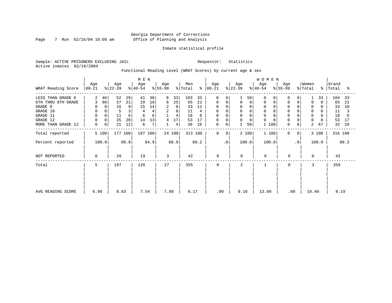Page 7 Run 02/16/04 10:09 am

#### Inmate statistical profile

Sample: ACTIVE PRISONERS EXCLUDING JAIL Requestor: Statistics Active inmates 02/16/2004

Functional Reading Level (WRAT Scores) by current age & sex

|                    | Age         | Age         | M E N<br>Age |      | Age       |      | Men      |        | Age                 |           | Age         |           | WOMEN<br>Age | Age |             | Women       |              | Grand    |             |         |      |
|--------------------|-------------|-------------|--------------|------|-----------|------|----------|--------|---------------------|-----------|-------------|-----------|--------------|-----|-------------|-------------|--------------|----------|-------------|---------|------|
| WRAT Reading Score | $ 00 - 21 $ |             | $ 22-39 $    |      | $ 40-54 $ |      | $ 55-99$ |        | $\frac{1}{2}$ Total | $\approx$ | $ 00-21 $   |           | $ 22-39 $    |     | $ 40-54 $   | $ 55-99 $   |              | % Total  | $\approx$ 1 | Total   | ႜ    |
| LESS THAN GRADE 6  | 2           | 40          | 52           | 29   | 41        | 38   | 8        | 33     | 103                 | 33        | $\Omega$    | 0         |              | 50  | $\Omega$    | $\Omega$    |              |          | 33          | 104     | 33   |
| 6TH THRU 8TH GRADE | 3           | 60          | 37           | 21   | 19        | 18   | 6        | 25     | 65                  | 21        | 0           | 0         | 0            | 0   | $\Omega$    | 0           | 0            | $\Omega$ | $\Omega$    | 65      | 21   |
| GRADE 9            |             | 0           | 16           | 9    | 15        | 14   | 2        | 8      | 33                  | 11        | 0           |           | 0            |     | 0           | $\Omega$    |              | 0        |             | 33      | 10   |
| GRADE 10           | 0           |             |              | 3    |           |      | 2        | 8      | 11                  |           | 0           | $\Omega$  | 0            | 0   | $\mathbf 0$ | $\Omega$    |              | 0        | 0           | 11      |      |
| GRADE 11           |             |             | 11           | 6    | 6         | 6    |          | 4      | 18                  | 6         | $\Omega$    |           | $\Omega$     |     | $\Omega$    |             |              | $\Omega$ |             | 18      | 6    |
| GRADE 12           |             | $\mathbf 0$ | 35           | 20   | 14        | 13   | 4        | 17     | 53                  | 17        | 0           |           | 0            | 0   | $\Omega$    | $\Omega$    |              | 0        |             | 53      | 17   |
| MORE THAN GRADE 12 | 0           | 0           | 21           | 12   | 8         | 7    |          | 4      | 30                  | 10        | 0           | 0         |              | 50  | 100         | 0           | 0            | 2        | 67          | 32      | 10   |
| Total reported     | 5 100       |             | 177 100      |      | 107 100   |      |          | 24 100 |                     | 313 100   | 0           | 0         | 2 100        |     | 1 100       | $\mathbf 0$ | $\mathbf{0}$ |          | 3 100       | 316 100 |      |
| Percent reported   | 100.0       |             |              | 89.8 |           | 84.9 |          | 88.9   |                     | 88.2      |             | $\cdot$ 0 | 100.0        |     | 100.0       |             | $\cdot$ 0    |          | 100.0       |         | 88.3 |
| NOT REPORTED       | $\Omega$    |             | 20           |      | 19        |      | 3        |        | 42                  |           | $\mathbf 0$ |           | $\Omega$     |     | 0           | 0           |              | $\Omega$ |             | 42      |      |
| Total              | 5           |             | 197          |      | 126       |      | 27       |        | 355                 |           | 0           |           | 2            |     |             | $\mathbf 0$ |              | 3        |             | 358     |      |
|                    |             |             |              |      |           |      |          |        |                     |           |             |           |              |     |             |             |              |          |             |         |      |
|                    |             |             |              |      |           |      |          |        |                     |           |             |           |              |     |             |             |              |          |             |         |      |
| AVG READING SCORE  | 6.96        |             | 8.63         |      | 7.54      |      | 7.86     |        | 8.17                |           | .00         |           | 9.10         |     | 13.00       | .00         |              | 10.40    |             | 8.19    |      |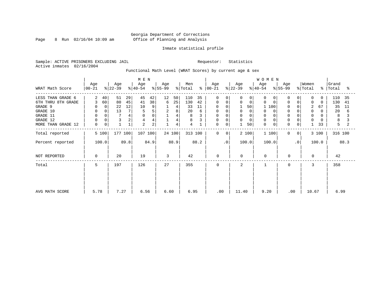Page 8 Run 02/16/04 10:09 am

#### Inmate statistical profile

Sample: ACTIVE PRISONERS EXCLUDING JAIL Requestor: Statistics Active inmates 02/16/2004

Functional Math Level (WRAT Scores) by current age & sex

| WRAT Math Score                                                                                              | M E N<br>Men<br>Age<br>Age<br>Age<br>Age<br>$ 22-39 $<br>$ 55-99 $<br>$ 40-54 $<br>$\frac{1}{2}$ Total<br>$ 00-21$ |                         |                           |                                         |                               |                         |              |                                                |                                       |                     | Age<br>$ 00-21 $                                    |                             | Age<br>$ 22-39 $                         |                               | WOMEN<br>Age<br>$ 40-54 $                         |          | Age<br>$ 55-99 $                                             |                             | Women<br>% Total                           |                                | Grand<br>%   Total                    | ႜ                   |
|--------------------------------------------------------------------------------------------------------------|--------------------------------------------------------------------------------------------------------------------|-------------------------|---------------------------|-----------------------------------------|-------------------------------|-------------------------|--------------|------------------------------------------------|---------------------------------------|---------------------|-----------------------------------------------------|-----------------------------|------------------------------------------|-------------------------------|---------------------------------------------------|----------|--------------------------------------------------------------|-----------------------------|--------------------------------------------|--------------------------------|---------------------------------------|---------------------|
| LESS THAN GRADE 6<br>6TH THRU 8TH GRADE<br>GRADE 9<br>GRADE 10<br>GRADE 11<br>GRADE 12<br>MORE THAN GRADE 12 | 2<br>3<br>0<br>0<br>$\overline{0}$<br>$\mathbf 0$<br>0                                                             | 40<br>60<br>0<br>0<br>0 | 51<br>80<br>22<br>13<br>3 | 29<br>45<br>12<br>4<br>2<br>$\mathbf 1$ | 45<br>41<br>10<br>5<br>4<br>2 | 42<br>38<br>9<br>5<br>2 | 12<br>6<br>2 | 50<br>25<br>4<br>8<br>4<br>$\overline{4}$<br>4 | 110<br>130<br>33<br>20<br>8<br>8<br>4 | 35<br>42<br>11<br>6 | $\Omega$<br>0<br>$\Omega$<br><sup>0</sup><br>0<br>0 | 0<br>0<br><sup>0</sup><br>0 | 0<br>$\Omega$<br>0<br>$\Omega$<br>0<br>1 | 0<br>0<br>50 <br>0<br>0<br>50 | $\Omega$<br>$\Omega$<br>0<br>$\Omega$<br>$\Omega$ | 100<br>0 | $\Omega$<br>$\mathbf 0$<br>0<br>$\mathbf 0$<br>$\Omega$<br>0 | 0<br>0                      | $\Omega$<br>$\Omega$<br>2<br>0<br>$\Omega$ | 0<br>$\Omega$<br>67<br>0<br>33 | 110<br>130<br>35<br>20<br>8<br>8<br>5 | 35<br>41<br>11<br>6 |
| Total reported<br>Percent reported                                                                           |                                                                                                                    | 5 100<br>100.0          | 177 100                   | 89.8                                    | 107 100                       | 84.9                    |              | 24 100<br>88.9                                 | 313 100                               | 88.2                | $\mathbf 0$                                         | 0 <sup>1</sup><br>$\cdot$ 0 | 2 100<br>100.0                           |                               | 1 100<br>100.0                                    |          | $\mathbf 0$                                                  | 0 <sup>1</sup><br>$\cdot$ 0 |                                            | 3 100<br>100.0                 | 316 100                               | 88.3                |
| NOT REPORTED                                                                                                 | 0                                                                                                                  |                         | 20                        |                                         | 19                            |                         | 3            |                                                | 42                                    |                     | $\mathbf 0$                                         |                             | 0                                        |                               | $\mathbf 0$                                       |          | 0                                                            |                             | $\Omega$                                   |                                | 42                                    |                     |
| Total                                                                                                        | 5                                                                                                                  |                         | 197                       |                                         | 126                           |                         | 27           |                                                | 355                                   |                     | 0                                                   |                             | 2                                        |                               |                                                   |          | 0                                                            |                             | 3                                          |                                | 358                                   |                     |
| AVG MATH SCORE                                                                                               | 5.78                                                                                                               |                         | 7.27                      |                                         | 6.56                          |                         | 6.60         |                                                | 6.95                                  |                     | .00                                                 |                             | 11.40                                    |                               | 9.20                                              |          | .00                                                          |                             | 10.67                                      |                                | 6.99                                  |                     |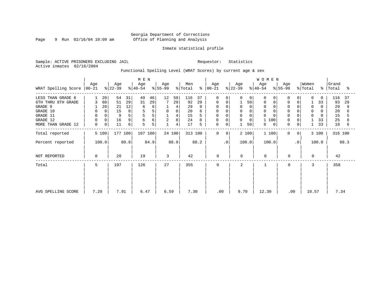Page 9 Run 02/16/04 10:09 am

#### Inmate statistical profile

Sample: ACTIVE PRISONERS EXCLUDING JAIL Requestor: Statistics Active inmates 02/16/2004

Functional Spelling Level (WRAT Scores) by current age & sex

|                     |                  |             | M E N            |      |                  |      |                  |             |                |           |                  |                | <b>WOMEN</b>     |          |                  |          |                  |                |                              |       |                    |      |
|---------------------|------------------|-------------|------------------|------|------------------|------|------------------|-------------|----------------|-----------|------------------|----------------|------------------|----------|------------------|----------|------------------|----------------|------------------------------|-------|--------------------|------|
| WRAT Spelling Score | Age<br>$ 00-21 $ |             | Age<br>$ 22-39 $ |      | Age<br>$ 40-54 $ |      | Age<br>$ 55-99 $ |             | Men<br>% Total | $\approx$ | Age<br>$ 00-21 $ |                | Age<br>$ 22-39 $ |          | Age<br>$ 40-54 $ |          | Age<br>$8 55-99$ |                | Women<br>$\frac{1}{2}$ Total |       | Grand<br>%   Total | ႜ    |
| LESS THAN GRADE 6   |                  | 20          | 54               | 31   | 49               | 46   | 12               | 50          | 116            | 37        | 0                | 0              | $\Omega$         | 0        | $\Omega$         | $\Omega$ | 0                | 0              | $\Omega$                     | 0     | 116                | 37   |
| 6TH THRU 8TH GRADE  | 3                | 60          | 51               | 29   | 31               | 29   |                  | 29          | 92             | 29        | 0                | 0              |                  | 50       | 0                |          | 0                | 0              |                              | 33    | 93                 | 29   |
| GRADE 9             |                  | 20          | 21               | 12   | 6                | 6    |                  | 4           | 29             |           |                  |                | $\Omega$         |          |                  |          |                  |                | 0                            |       | 29                 | 9    |
| GRADE 10            | 0                | $\mathbf 0$ | 15               | 8    |                  | 5    | $\mathbf 0$      | $\mathbf 0$ | 20             |           | 0                | 0              | 0                |          | $\mathbf 0$      |          | $\mathbf 0$      |                | 0                            | 0     | 20                 |      |
| GRADE 11            | $\mathbf 0$      |             | 9                | 5    | 5                | 5    |                  | 4           | 15             |           | 0                |                | 0                |          | $\Omega$         |          | $\Omega$         |                | 0                            | O     | 15                 |      |
| GRADE 12            | 0                | 0           | 16               | 9    | 6                | 6    | 2                | 8           | 24             |           | 0                | 0              | 0                | $\Omega$ | 100              |          | $\mathbf 0$      |                |                              | 33    | 25                 |      |
| MORE THAN GRADE 12  | 0                | 0           | 11               | б    | 5                | 5    |                  | 4           | 17             | 5         | $\mathbf 0$      | $\mathbf 0$    |                  | 50       | 0                | 0        | 0                | 0              |                              | 33    | 18                 | 6    |
| Total reported      | 5 100            |             | 177 100          |      | 107 100          |      |                  | 24 100      |                | 313 100   | $\mathbf 0$      | 0 <sup>1</sup> |                  | 2 100    | 1 100            |          | $\mathbf 0$      | 0 <sup>1</sup> |                              | 3 100 | 316 100            |      |
| Percent reported    | 100.0            |             |                  | 89.8 |                  | 84.9 |                  | 88.9        |                | 88.2      |                  | $\cdot$ 0      |                  | 100.0    | 100.0            |          |                  | $\cdot$ 0      |                              | 100.0 |                    | 88.3 |
| NOT REPORTED        | 0                |             | 20               |      | 19               |      | 3                |             | 42             |           | $\mathbf 0$      |                | $\mathbf 0$      |          | $\mathbf 0$      |          | $\mathbf 0$      |                | $\Omega$                     |       | 42                 |      |
| Total               | 5                |             | 197              |      | 126              |      | 27               |             | 355            |           | $\mathbf 0$      |                | 2                |          |                  |          | 0                |                | 3                            |       | 358                |      |
|                     |                  |             |                  |      |                  |      |                  |             |                |           |                  |                |                  |          |                  |          |                  |                |                              |       |                    |      |
| AVG SPELLING SCORE  | 7.20             |             | 7.91             |      | 6.47             |      | 6.59             |             | 7.30           |           |                  | .00            | 9.70             |          | 12.30            |          | .00              |                | 10.57                        |       | 7.34               |      |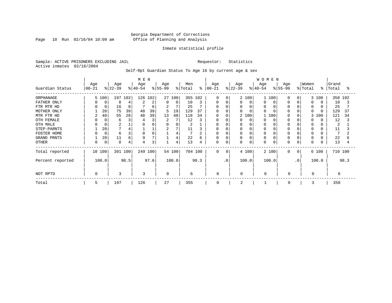Page 10 Run 02/16/04 10:09 am

#### Inmate statistical profile

Sample: ACTIVE PRISONERS EXCLUDING JAIL Requestor: Statistics Active inmates 02/16/2004

Self-Rpt Guardian Status To Age 16 by current age & sex

|                  |                 |             |                  |      | M E N            |                |                 |        |                |         |                 |           |                  |          | WOMEN           |       |                  |              |                  |       |                |         |
|------------------|-----------------|-------------|------------------|------|------------------|----------------|-----------------|--------|----------------|---------|-----------------|-----------|------------------|----------|-----------------|-------|------------------|--------------|------------------|-------|----------------|---------|
| Guardian Status  | Age<br>$ 00-21$ |             | Age<br>$ 22-39 $ |      | Age<br>$ 40-54 $ |                | Age<br>$ 55-99$ |        | Men<br>% Total | နွ      | Age<br>$ 00-21$ |           | Age<br>$ 22-39 $ |          | Age<br>$ 40-54$ |       | Age<br>$8 55-99$ |              | Women<br>% Total | °     | Grand<br>Total | °       |
| ORPHANAGE        |                 | 5 100       | 197              | 102  | 126 102          |                |                 | 27 100 | 355 102        |         | $\Omega$        | $\Omega$  |                  | 2 100    |                 | 1 100 | <sup>0</sup>     | $\Omega$     |                  | 3 100 |                | 358 102 |
| FATHER ONLY      |                 | 0           | 8                | 4    |                  | 2              | $\Omega$        | 0      | 10             | 3       | 0               | 0         | U                | $\Omega$ | O               |       |                  |              | <sup>0</sup>     |       | 10             |         |
| FTR MTR HD       |                 | 0           | 16               | 8    |                  | 6              | 2               |        | 25             |         | U               |           | 0                |          | 0               |       |                  |              |                  |       | 25             |         |
| MOTHER ONLY      |                 | 20          | 75               | 39   | 48               | 39             | 5               | 19     | 129            | 37      | O               |           |                  | $\Omega$ | $\Omega$        |       |                  |              | $\Omega$         |       | 129            | 37      |
| MTR FTR HD       | 2               | 40          | 55               | 28   | 48               | 39             | 13              | 48     | 118            | 34      | $\Omega$        |           |                  | 2 100    |                 | 100   |                  |              | 3                | 100   | 121            | 34      |
| OTH FEMALE       |                 | 0           | 6                | 3    |                  | 3              | 2               |        | 12             | 3       |                 |           |                  | $\Omega$ | O               |       |                  |              |                  |       | 12             |         |
| OTH MALE         |                 |             | $\overline{c}$   |      |                  |                | $\Omega$        |        | 2              |         |                 |           |                  |          | $\Omega$        |       |                  |              | 0                |       | 2              |         |
| STEP-PARNTS      |                 | 20          |                  | 4    |                  |                | $\overline{2}$  | 7      | 11             |         | 0               |           |                  |          | 0               |       |                  |              | 0                |       | 11             |         |
| FOSTER HOME      |                 | $\mathbf 0$ | -6               | 3    |                  | $\Omega$       |                 | 4      |                |         | 0               |           |                  |          | 0               |       |                  |              | 0                |       |                |         |
| GRAND PRNTS      |                 | 20          | 11               | 6    | 9                | $\overline{ }$ |                 | 4      | 22             | 6       | 0               |           |                  | 0        | 0               |       |                  |              | $\Omega$         |       | 22             |         |
| <b>OTHER</b>     |                 | 0           | 8                | 4    |                  | 3              |                 | 4      | 13             | 4       | 0               | 0         | 0                | 0        | 0               |       | $\Omega$         |              | $\Omega$         |       | 13             |         |
| Total reported   |                 | 10 100      | 391 100          |      | 249 100          |                |                 | 54 100 |                | 704 100 | $\Omega$        | $\Omega$  |                  | 4 100    |                 | 2 100 | $\Omega$         | $\mathbf{0}$ |                  | 6 100 | 710 100        |         |
| Percent reported |                 | 100.0       |                  | 98.5 |                  | 97.6           |                 | 100.0  |                | 98.3    |                 | $\cdot$ 0 |                  | 100.0    |                 | 100.0 |                  | $\cdot$ 0    |                  | 100.0 |                | 98.3    |
| NOT RPTD         | $\Omega$        |             | 3                |      | ζ                |                | $\Omega$        |        | 6              |         | $\Omega$        |           | $\Omega$         |          | $\Omega$        |       | $\Omega$         |              | $\Omega$         |       | 6              |         |
| Total            | 5               |             | 197              |      | 126              |                | 27              |        | 355            |         | 0               |           | 2                |          |                 |       | $\Omega$         |              | 3                |       | 358            |         |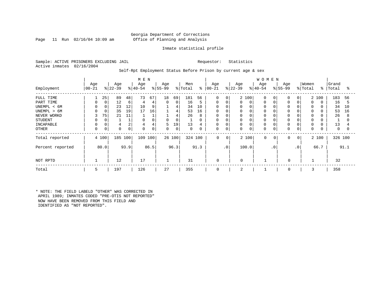#### Georgia Department of Corrections Page 11 Run 02/16/04 10:09 am Office of Planning and Analysis

#### Inmate statistical profile

Sample: ACTIVE PRISONERS EXCLUDING JAIL Requestor: Statistics Active inmates 02/16/2004

#### Self-Rpt Employment Status Before Prison by current age & sex

|                  | M E N           |             |                  |      |                  |      |                  |             |                |      |                   |             |                  |             | <b>WOMEN</b>    |           |                 |           |                  |       |                |      |
|------------------|-----------------|-------------|------------------|------|------------------|------|------------------|-------------|----------------|------|-------------------|-------------|------------------|-------------|-----------------|-----------|-----------------|-----------|------------------|-------|----------------|------|
| Employment       | Age<br>$ 00-21$ |             | Age<br>$ 22-39 $ |      | Age<br>$ 40-54 $ |      | Age<br>$8 55-99$ |             | Men<br>% Total | ွေ   | Age<br>$ 00 - 21$ |             | Age<br>$ 22-39 $ |             | Age<br>$ 40-54$ |           | Age<br>$ 55-99$ |           | Women<br>% Total | ွေ    | Grand<br>Total | °≈   |
|                  |                 |             |                  |      |                  |      |                  |             |                |      |                   |             |                  |             |                 |           |                 |           |                  |       |                |      |
| FULL TIME        |                 | 25          | 89               | 48   | 73               | 67   | 18               | 69          | 181            | 56   | $\mathbf 0$       | 0           |                  | 2 100       | $\mathbf 0$     |           | $\Omega$        | 0         |                  | 2 100 | 183            | 56   |
| PART TIME        |                 | $\mathbf 0$ | 12               | 6    | 4                | 4    | $\mathbf 0$      | $\mathbf 0$ | 16             | 5    | 0                 | 0           | $\Omega$         | $\mathbf 0$ | $\mathbf 0$     |           | $\Omega$        |           | $\Omega$         |       | 16             | 5    |
| UNEMPL < 6M      |                 |             | 23               | 12   | 10               | 9    |                  | 4           | 34             | 10   | $\Omega$          |             |                  | $\Omega$    | $\Omega$        |           |                 |           |                  |       | 34             | 10   |
| UNEMPL > 6M      |                 |             | 35               | 19   | 17               | 16   |                  | 4           | 53             | 16   | 0                 |             |                  | $\Omega$    | $\Omega$        |           |                 |           | $\Omega$         |       | 53             | 16   |
| NEVER WORKD      | 3               | 75          | 21               | 11   |                  |      |                  | 4           | 26             | 8    | $\Omega$          |             |                  | 0           | $\Omega$        |           |                 |           | 0                |       | 26             | 8    |
| <b>STUDENT</b>   |                 |             |                  |      | $\Omega$         |      | 0                | 0           |                | 0    | 0                 |             | 0                | 0           | 0               |           |                 |           | $\Omega$         |       |                |      |
| INCAPABLE        |                 |             | 4                | 2    | 4                | 4    | 5                | 19'         | 13             | 4    | $\Omega$          |             | 0                | $\Omega$    | $\Omega$        |           |                 |           |                  |       | 13             |      |
| OTHER            | 0               | 0           | 0                | 0    | 0                | 0    | 0                | 0           | $\mathbf 0$    | 0    | 0                 | 0           | 0                | $\mathbf 0$ | 0               |           | 0               | 0         | 0                |       | 0              |      |
| Total reported   |                 | 4 100       | 185              | 100  | 109              | 100  |                  | 26 100      | 324 100        |      | $\mathbf 0$       | $\mathbf 0$ |                  | 2 100       | $\mathbf 0$     | 0         | 0               | 0         |                  | 2 100 | 326 100        |      |
| Percent reported |                 | 80.0        |                  | 93.9 |                  | 86.5 |                  | 96.3        |                | 91.3 |                   | $\cdot$ 0   |                  | 100.0       |                 | $\cdot$ 0 |                 | $\cdot$ 0 |                  | 66.7  |                | 91.1 |
| NOT RPTD         |                 |             | 12               |      | 17               |      |                  |             | 31             |      | 0                 |             | 0                |             |                 |           | $\Omega$        |           |                  |       | 32             |      |
| Total            | 5               |             | 197              |      | 126              |      | 27               |             | 355            |      | 0                 |             | 2                |             |                 |           | 0               |           | 3                |       | 358            |      |

\* NOTE: THE FIELD LABELD "OTHER" WAS CORRECTED IN APRIL 1989; INMATES CODED "PRE-OTIS NOT REPORTED" NOW HAVE BEEN REMOVED FROM THIS FIELD AND IDENTIFIED AS "NOT REPORTED".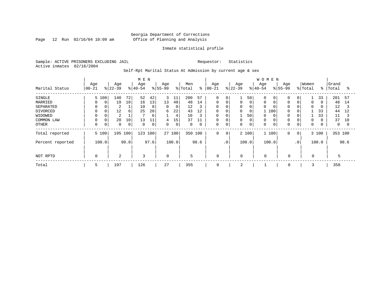Page 12 Run 02/16/04 10:09 am

#### Inmate statistical profile

Sample: ACTIVE PRISONERS EXCLUDING JAIL Requestor: Statistics Active inmates 02/16/2004

Self-Rpt Marital Status At Admission by current age & sex

|                  | M E N     |          |                |      |          |             |           |             |             |      |             |                 |           |             | <b>WOMEN</b> |     |             |           |          |       |         |          |
|------------------|-----------|----------|----------------|------|----------|-------------|-----------|-------------|-------------|------|-------------|-----------------|-----------|-------------|--------------|-----|-------------|-----------|----------|-------|---------|----------|
|                  | Age       |          | Age            |      | Age      |             | Age       |             | Men         |      | Age         |                 | Age       |             | Age          |     | Age         |           | Women    |       | Grand   |          |
| Marital Status   | $00 - 21$ |          | $ 22-39$       |      | $ 40-54$ |             | $8 55-99$ |             | % Total     | ွေ   | $ 00 - 21$  |                 | $ 22-39 $ |             | $8 40-54$    |     | $ 55-99$    |           | % Total  | ွေ    | Total   | °        |
| SINGLE           |           | 5 100    | 140            | 72   | 52       | 42          | 3         | 11          | 200         | 57   | $\mathbf 0$ | 0               |           | 50          | $\Omega$     |     |             | 0         |          | 33    | 201     | 57       |
| MARRIED          |           | $\Omega$ | 19             | 10   | 16       | 13          | 13        | 48          | 48          | 14   | $\Omega$    | $\Omega$        |           | $\Omega$    | 0            |     | $\Omega$    |           | $\Omega$ |       | 48      | 14       |
| SEPARATED        |           |          | 2              |      | 10       | 8           | 0         | 0           | 12          | 3    | 0           |                 | 0         | 0           | 0            |     | $\Omega$    |           | $\Omega$ |       | 12      |          |
| DIVORCED         | $\Omega$  | 0        | 12             | 6    | 25       | 20          | 6         | 22          | 43          | 12   | $\mathbf 0$ |                 | 0         | 0           |              | 100 | $\Omega$    |           |          | 33    | 44      | 12       |
| WIDOWED          |           |          | $\overline{2}$ |      |          | 6           |           | 4           | 10          | 3    | 0           |                 |           | 50          | 0            |     |             |           |          | 33    | 11      |          |
| COMMON LAW       |           |          | 20             | 10   | 13       | 11          | 4         | 15          | 37          | 11   | $\mathbf 0$ |                 |           | $\mathbf 0$ | $\mathbf 0$  |     |             | 0         |          |       | 37      | 10       |
| <b>OTHER</b>     | $\Omega$  | 0        | $\mathbf 0$    | 0    | 0        | $\mathbf 0$ | 0         | $\mathbf 0$ | $\mathbf 0$ | 0    | 0           | $\mathbf 0$     | 0         | $\mathbf 0$ | $\mathbf 0$  |     | $\Omega$    | 0         | 0        |       | 0       | $\Omega$ |
| Total reported   |           | 5 100    | 195 100        |      | 123      | 100         | 27 100    |             | 350         | 100  | 0           | 0               |           | 2 100       | 1 100        |     | 0           | 0         |          | 3 100 | 353 100 |          |
| Percent reported |           | 100.0    |                | 99.0 |          | 97.6        |           | 100.0       |             | 98.6 |             | .0 <sup>1</sup> |           | 100.0       | 100.0        |     |             | $\cdot$ 0 |          | 100.0 |         | 98.6     |
|                  |           |          |                |      |          |             |           |             |             |      |             |                 |           |             |              |     |             |           |          |       |         |          |
| NOT RPTD         | $\Omega$  |          | 2              |      | 3        |             | $\Omega$  |             | 5           |      | $\mathbf 0$ |                 | 0         |             | $\Omega$     |     | $\mathbf 0$ |           | 0        |       | 5       |          |
| Total            | 5         |          | 197            |      | 126      |             | 27        |             | 355         |      | 0           |                 | 2         |             |              |     | 0           |           | 3        |       | 358     |          |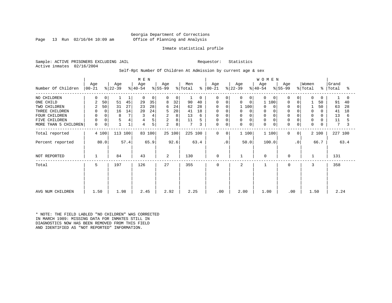#### Georgia Department of Corrections Page 13 Run 02/16/04 10:09 am Office of Planning and Analysis

#### Inmate statistical profile

Sample: ACTIVE PRISONERS EXCLUDING JAIL Requestor: Statistics Active inmates 02/16/2004

#### Self-Rpt Number Of Children At Admission by current age & sex

|                      |                  |             |                  | M E N        |                  |        |                  |             |                |           |                  |             |                  | WOMEN       |                  |             |                  |           |                  |          |                |      |
|----------------------|------------------|-------------|------------------|--------------|------------------|--------|------------------|-------------|----------------|-----------|------------------|-------------|------------------|-------------|------------------|-------------|------------------|-----------|------------------|----------|----------------|------|
| Number Of Children   | Age<br>$00 - 21$ |             | Age<br>$ 22-39 $ |              | Age<br>$ 40-54 $ |        | Age<br>$ 55-99 $ |             | Men<br>% Total | $\approx$ | Age<br>$ 00-21 $ |             | Age<br>$ 22-39 $ |             | Age<br>$ 40-54 $ |             | Age<br>$ 55-99 $ |           | Women<br>% Total | ိ        | Grand<br>Total | ႜ    |
| NO CHILDREN          | 0                | 0           |                  |              | $\Omega$         | 0      | $\Omega$         | $\mathbf 0$ |                | $\Omega$  | $\Omega$         | $\Omega$    | 0                | 0           | $\Omega$         | $\Omega$    | $\Omega$         | $\Omega$  | $\Omega$         | $\Omega$ |                |      |
| ONE CHILD            | 2                | 50          | 51               | 45           | 29               | 35     | 8                | 32          | 90             | 40        | 0                | $\Omega$    | $\Omega$         | 0           | 100              |             | $\mathbf 0$      | $\Omega$  |                  | 50       | 91             | 40   |
| TWO CHILDREN         | 2                | 50          | 31               | 27           | 23               | 28     | 6                | 24          | 62             | 28        | 0                |             | 1 100            |             | $\Omega$         |             | $\mathbf 0$      |           |                  | 50       | 63             | 28   |
| THREE CHILDREN       | 0                | $\mathbf 0$ | 16               | 14           | 20               | 24     | 5                | 20          | 41             | 18        | 0                |             | 0                | 0           | 0                |             | $\mathbf 0$      |           | $\mathbf 0$      | 0        | 41             | 18   |
| FOUR CHILDREN        | $\mathbf 0$      |             | 8                | 7            |                  | 4      | 2                | 8           | 13             | 6         |                  |             | 0                |             | $\Omega$         |             |                  |           | $\Omega$         |          | 13             | 6    |
| FIVE CHILDREN        | $\mathbf 0$      | 0           | 5                | 4            |                  | 5      | 2                | 8           | 11             |           | 0                | $\Omega$    | 0                |             | $\Omega$         |             | $\Omega$         |           | 0                |          | 11             |      |
| MORE THAN 5 CHILDREN | $\mathbf 0$      | 0           |                  | $\mathbf{1}$ | $\overline{4}$   | 5      | 2                | 8           | 7              | 3         | 0                | 0           | $\mathbf 0$      | $\mathbf 0$ | $\Omega$         | $\mathbf 0$ | $\mathbf 0$      | 0         | $\Omega$         | 0        | 7              |      |
| Total reported       |                  | 4 100       | 113 100          |              |                  | 83 100 |                  | 25 100      | 225 100        |           | $\mathbf 0$      | $\mathbf 0$ | 1100             |             | 1 100            |             | $\mathbf 0$      | 0         |                  | 2 100    | 227 100        |      |
| Percent reported     |                  | 80.0        |                  | 57.4         |                  | 65.9   |                  | 92.6        |                | 63.4      |                  | $\cdot$ 0   | 50.0             |             | 100.0            |             |                  | $\cdot$ 0 |                  | 66.7     |                | 63.4 |
| NOT REPORTED         |                  |             | 84               |              | 43               |        | 2                |             | 130            |           | $\mathbf 0$      |             |                  |             | $\mathbf 0$      |             | $\mathbf 0$      |           | $\mathbf{1}$     |          | 131            |      |
| Total                | 5                |             | 197              |              | 126              |        | 27               |             | 355            |           | $\Omega$         |             | 2                |             |                  |             | 0                |           | 3                |          | 358            |      |
|                      |                  |             |                  |              |                  |        |                  |             |                |           |                  |             |                  |             |                  |             |                  |           |                  |          |                |      |
|                      |                  |             |                  |              |                  |        |                  |             |                |           |                  |             |                  |             |                  |             |                  |           |                  |          |                |      |
| AVG NUM CHILDREN     | 1.50             |             | 1.98             |              | 2.45             |        | 2.92             |             | 2.25           |           | .00              |             | 2.00             |             | 1.00             |             | .00              |           | 1.50             |          | 2.24           |      |

\* NOTE: THE FIELD LABLED "NO CHILDREN" WAS CORRECTED IN MARCH 1989: MISSING DATA FOR INMATES STILL IN DIAGNOSTICS NOW HAS BEEN REMOVED FROM THIS FIELD AND IDENTIFIED AS "NOT REPORTED" INFORMATION.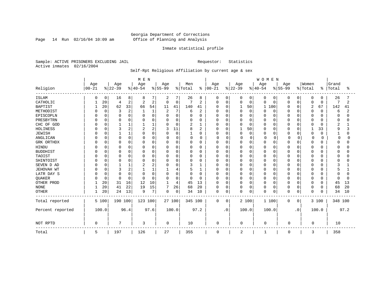Page 14 Run 02/16/04 10:09 am

#### Inmate statistical profile

Sample: ACTIVE PRISONERS EXCLUDING JAIL Requestor: Statistics Active inmates 02/16/2004

### Self-Rpt Religious Affiliation by current age & sex

|                  |            |          |           |                | M E N    |          |              |             |          |      |               |             |          |             | <b>WOMEN</b> |             |             |             |                |                  |              |        |
|------------------|------------|----------|-----------|----------------|----------|----------|--------------|-------------|----------|------|---------------|-------------|----------|-------------|--------------|-------------|-------------|-------------|----------------|------------------|--------------|--------|
|                  | Age        |          | Age       |                | Age      |          | Age          |             | Men      |      | Age           |             | Age      |             | Age          |             | Age         |             | Women          |                  | Grand        |        |
| Religion         | $ 00 - 21$ |          | $8 22-39$ |                | $ 40-54$ |          | $8155 - 99$  |             | % Total  |      | $8   00 - 21$ |             | $ 22-39$ |             | $8 40-54$    |             | $8155 - 99$ |             | % Total        | ႜ                | Total        | °      |
| ISLAM            | 0          | 0        | 16        | 8              | 8        |          | 2            |             | 26       | 8    | 0             | $\mathbf 0$ |          | 0           | 0            | 0           | 0           | 0           | 0              | $\Omega$         | 26           |        |
| CATHOLIC         |            | 20       | 4         | 2              | 2        | 2        | $\mathbf 0$  | 0           | 7        | 2    | $\Omega$      | $\mathbf 0$ | $\Omega$ | $\Omega$    | $\Omega$     | $\Omega$    | 0           | $\Omega$    | $\Omega$       | 0                | 7            | 2      |
| <b>BAPTIST</b>   |            | 20       | 62        | 33             | 66       | 54       | 11           | 41          | 140      | 41   |               | $\mathbf 0$ |          | 50          | 1            | 100         | 0           | $\mathbf 0$ | $\overline{2}$ | 67               | 142          | 41     |
| METHODIST        |            | $\Omega$ | 3         | $\overline{2}$ |          | 1        | 2            |             | 6        | 2    |               | $\Omega$    | 0        | $\mathbf 0$ | 0            | $\Omega$    | 0           | $\Omega$    | 0              | $\Omega$         | 6            | 2      |
| EPISCOPLN        |            | $\Omega$ | $\Omega$  | $\Omega$       | C        | $\Omega$ | $\mathbf 0$  | $\mathbf 0$ | U        | 0    | $\Omega$      | $\Omega$    |          | 0           | Ω            | $\Omega$    | 0           | $\Omega$    | 0              | $\Omega$         | 0            | U      |
| PRESBYTRN        |            | $\Omega$ | $\Omega$  | $\Omega$       | C        | 0        | $\Omega$     | 0           | O        | 0    | <sup>0</sup>  | $\Omega$    | n        | $\Omega$    | N            | $\Omega$    | O           | $\Omega$    | O              | $\Omega$         | <sup>0</sup> | U      |
| CHC OF GOD       |            |          |           |                |          |          | $\Omega$     | $\Omega$    | 2        | 1    | $\Omega$      | $\Omega$    | $\cap$   | $\Omega$    | $\Omega$     | $\cap$      | 0           | $\Omega$    | 0              | $\Omega$         | 2            |        |
| HOLINESS         |            |          | 3         | $\overline{2}$ |          | 2        | 3            | 11          | 8        | 2    | <sup>0</sup>  | $\Omega$    |          | 50          | $\Omega$     | 0           | 0           | 0           | 1              | 33               | 9            |        |
| <b>JEWISH</b>    |            | O        |           |                | $\Omega$ | O        | $\Omega$     | $\Omega$    |          | 0    | <sup>0</sup>  | 0           |          | 0           | 0            | 0           | Ω           | $\Omega$    | 0              | 0                |              | O      |
| ANGLICAN         |            | O        | $\Omega$  | 0              | O        | 0        | $\Omega$     | 0           | 0        | 0    | $\Omega$      | 0           | 0        | $\mathbf 0$ | 0            | 0           | $\Omega$    | $\Omega$    | $\Omega$       | $\left( \right)$ | $\Omega$     | O      |
| GRK ORTHDX       | n          | $\Omega$ | $\Omega$  | 0              | $\Omega$ | 0        | 0            | $\Omega$    | 0        | 0    | 0             | $\mathbf 0$ | ∩        | $\mathbf 0$ | O            | 0           | 0           | $\Omega$    | 0              | $\Omega$         | $\Omega$     | U      |
| <b>HINDU</b>     |            |          | $\Omega$  | 0              |          | $\Omega$ | $\Omega$     | 0           | 0        | 0    | $\Omega$      | $\Omega$    |          | 0           |              | $\Omega$    | 0           | $\Omega$    | 0              | 0                | $\Omega$     |        |
| <b>BUDDHIST</b>  |            | U        | $\Omega$  | $\Omega$       | C        | $\Omega$ | 0            | 0           | 0        | 0    | 0             | $\Omega$    |          | $\mathbf 0$ | Ω            | $\Omega$    | 0           | $\mathbf 0$ | O              | O                | <sup>0</sup> |        |
| TAOIST           |            | U        | $\Omega$  | $\Omega$       | C        | O        | $\Omega$     | $\Omega$    | O        | 0    | <sup>0</sup>  | $\Omega$    | n        | $\Omega$    | N            | $\Omega$    | O           | $\Omega$    | O              | $\Omega$         | <sup>0</sup> |        |
| SHINTOIST        |            |          | $\cap$    | ∩              | $\Omega$ | U        | $\Omega$     | $\Omega$    | 0        | 0    | $\Omega$      | $\Omega$    | $\cap$   | $\Omega$    | $\Omega$     | $\cap$      | 0           | $\Omega$    | 0              | $\Omega$         | <sup>0</sup> |        |
| SEVEN D AD       |            |          |           |                |          | 2        | $\Omega$     | $\Omega$    | 3        |      | <sup>0</sup>  | $\Omega$    | $\Omega$ | $\mathbf 0$ | $\Omega$     | $\Omega$    | O           | 0           | $\Omega$       | O                | 3            |        |
| JEHOVAH WT       |            | O        | 3         | ∠              |          |          |              | 4           | 5        |      | $\Omega$      | 0           |          | $\Omega$    | O            | $\Omega$    | 0           | $\Omega$    | $\Omega$       | O                | 5            |        |
| LATR DAY S       |            | O        | 0         | $\Omega$       | ∩        | $\Omega$ | 0            | 0           | 0        | 0    | 0             | $\Omega$    |          | 0           | 0            | 0           | 0           | $\Omega$    | 0              | 0                | 0            |        |
| QUAKER           | n          | $\Omega$ | $\cap$    | $\Omega$       | $\Omega$ | 0        | $\Omega$     | $\Omega$    | $\Omega$ | 0    | $\Omega$      | $\mathbf 0$ | 0        | $\mathbf 0$ | O            | 0           | 0           | $\Omega$    | 0              | 0                | $\Omega$     | $\cap$ |
| OTHER PROD       |            | 20       | 31        | 16             | 12       | 10       | $\mathbf{1}$ | 4           | 45       | 13   | $\Omega$      | $\Omega$    | $\Omega$ | $\Omega$    | $\Omega$     | $\Omega$    | 0           | $\Omega$    | 0              | $\Omega$         | 45           | 13     |
| <b>NONE</b>      |            | 20       | 41        | 22             | 19       | 15       | 7            | 26          | 68       | 20   |               | 0           | 0        | $\mathbf 0$ | 0            | $\mathbf 0$ | 0           | 0           | 0              | 0                | 68           | 20     |
| <b>OTHER</b>     |            | 20       | 24        | 13             | 9        | 7        | 0            | 0           | 34       | 10   | $\mathbf 0$   | $\mathbf 0$ | $\Omega$ | $\mathbf 0$ | $\Omega$     | $\mathbf 0$ | 0           | $\mathbf 0$ | 0              | 0                | 34           | 10     |
| Total reported   |            | 5 100    | 190 100   |                | 123 100  |          | 27 100       |             | 345 100  |      | $\mathbf 0$   | 0           |          | 2 100       |              | 1 100       | 0           | 0           |                | 3 100            | 348 100      |        |
| Percent reported |            | 100.0    |           | 96.4           |          | 97.6     |              | 100.0       |          | 97.2 |               | $\cdot$ 0   |          | 100.0       |              | 100.0       |             | $\cdot$ 0   |                | 100.0            |              | 97.2   |
| NOT RPTD         | $\Omega$   |          | 7         |                | 3        |          | 0            |             | 10       |      | $\Omega$      |             | 0        |             | 0            |             | $\Omega$    |             | $\Omega$       |                  | 10           |        |
| Total            | 5          |          | 197       |                | 126      |          | 27           |             | 355      |      | 0             |             | 2        |             | $\mathbf{1}$ |             | 0           |             | 3              |                  | 358          |        |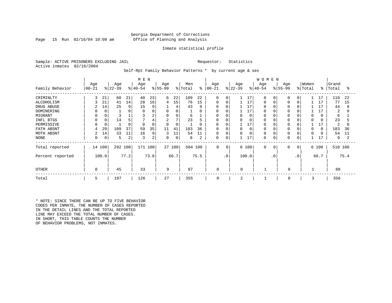#### Georgia Department of Corrections Page 15 Run 02/16/04 10:09 am Office of Planning and Analysis

#### Inmate statistical profile

Sample: ACTIVE PRISONERS EXCLUDING JAIL **Requestor:** Statistics Active inmates 02/16/2004

Self-Rpt Family Behavior Patterns \* by current age & sex

|                  |           |       |           |      | M E N     |          |                |        |         |          |             |           |           |       | <b>WOMEN</b> |             |           |                 |          |          |         |      |
|------------------|-----------|-------|-----------|------|-----------|----------|----------------|--------|---------|----------|-------------|-----------|-----------|-------|--------------|-------------|-----------|-----------------|----------|----------|---------|------|
|                  | Age       |       | Age       |      | Age       |          | Age            |        | Men     |          | Age         |           | Age       |       | Age          |             | Age       |                 | Women    |          | Grand   |      |
| Family Behavior  | $00 - 21$ |       | $ 22-39 $ |      | $ 40-54 $ |          | $ 55-99$       |        | % Total | နွ       | $00 - 21$   |           | $ 22-39 $ |       | $ 40-54$     |             | $ 55-99 $ |                 | % Total  | ိ        | Total   | ႜ    |
| CRIMINLTY        | 3         | 21    | 60        | 21   | 40        | 23       | 6              | 22     | 109     | 22       | $\Omega$    | $\Omega$  |           | 17    | $\Omega$     | $\Omega$    | $\Omega$  | $\Omega$        |          | 17       | 110     | 22   |
| ALCOHOLISM       |           | 21    | 41        | 14   | 28        | 16       | 4              | 15     | 76      | 15       | $\Omega$    | $\Omega$  |           | 17    | $\Omega$     |             | $\Omega$  | $\Omega$        |          | 17       | 77      | 15   |
| DRUG ABUSE       | 2         | 14    | 25        | 9    | 15        | 9        |                | 4      | 43      | 9        | 0           | O         |           | 17    |              |             |           |                 |          | 17       | 44      | 9    |
| DOMINERING       |           |       |           | 0    |           |          | 0              | 0      |         | 0        | 0           |           |           | 17    |              |             |           |                 |          |          | 2       | 0    |
| MIGRANT          |           |       |           |      |           | 2        | 0              | 0      | 6       |          | 0           | 0         | 0         | 0     |              |             | 0         |                 | $\Omega$ | 0        | 6       |      |
| INFL BTGS        |           |       | 14        | 5    |           | 4        | $\overline{c}$ | 7      | 23      |          | 0           | 0         | 0         |       |              |             |           |                 | $\Omega$ |          | 23      |      |
| PERMISSIVE       |           |       |           | 0    | $\Omega$  | $\Omega$ | $\Omega$       | 0      |         | $\Omega$ | $\Omega$    | $\Omega$  |           | 17    | $\Omega$     |             | $\Omega$  |                 |          |          | 2       |      |
| FATH ABSNT       |           | 29    | 109       | 37   | 59        | 35       | 11             | 41     | 183     | 36       | $\Omega$    | $\Omega$  | $\Omega$  |       |              |             | 0         |                 | $\Omega$ | $\Omega$ | 183     | 36   |
| MOTH ABSNT       | 2         | 14    | 33        | 11   | 16        | 9        | 3              | 11     | 54      | 11       | 0           | $\Omega$  | $\Omega$  |       | $\Omega$     |             |           |                 | $\Omega$ |          | 54      | 11   |
| NONE             |           | 0     | 5         | 2    | 3         | 2        | 0              | 0      | 8       | 2        | 0           | 0         |           | 17    | $\Omega$     |             | 0         | 0               |          | 17       | 9       |      |
| Total reported   | 14        | 100   | 292 100   |      | 171 100   |          |                | 27 100 | 504 100 |          | $\mathbf 0$ | 0         |           | 6 100 | $\mathbf 0$  | $\mathbf 0$ | 0         | 0 <sup>1</sup>  |          | 6 100    | 510 100 |      |
| Percent reported |           | 100.0 |           | 77.2 |           | 73.8     |                | 66.7   |         | 75.5     |             | $\cdot$ 0 |           | 100.0 |              | $\cdot$ 0   |           | .0 <sup>′</sup> |          | 66.7     |         | 75.4 |
| <b>OTHER</b>     | $\Omega$  |       | 45        |      | 33        |          | 9              |        | 87      |          | 0           |           | $\Omega$  |       |              |             | $\Omega$  |                 |          |          | 88      |      |
| Total            | 5         |       | 197       |      | 126       |          | 27             |        | 355     |          | 0           |           | 2         |       |              |             | 0         |                 | 3        |          | 358     |      |

\* NOTE: SINCE THERE CAN BE UP TO FIVE BEHAVIOR CODES PER INMATE, THE NUMBER OF CASES REPORTED IN THE DETAIL LINES AND THE TOTAL REPORTED LINE MAY EXCEED THE TOTAL NUMBER OF CASES. IN SHORT, THIS TABLE COUNTS THE NUMBER OF BEHAVIOR PROBLEMS, NOT INMATES.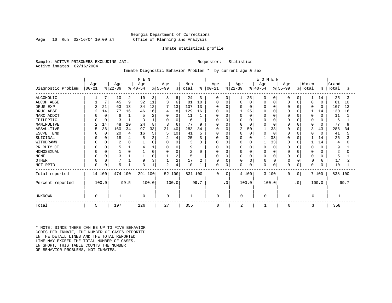#### Georgia Department of Corrections Page 16 Run 02/16/04 10:09 am Office of Planning and Analysis

#### Inmate statistical profile

Sample: ACTIVE PRISONERS EXCLUDING JAIL **Requestor:** Statistics Active inmates 02/16/2004

#### Inmate Diagnostic Behavior Problem \* by current age & sex

| M E N              |            |          |           |      |           |                |                |             |         |      |               |               |             |             | <b>WOMEN</b> |             |              |             |          |              |         |      |
|--------------------|------------|----------|-----------|------|-----------|----------------|----------------|-------------|---------|------|---------------|---------------|-------------|-------------|--------------|-------------|--------------|-------------|----------|--------------|---------|------|
|                    | Age        |          | Age       |      | Age       |                | Age            |             | Men     |      | Age           |               | Age         |             | Age          |             | Age          |             | Women    |              | Grand   |      |
| Diagnostic Problem | $ 00 - 21$ |          | $ 22-39 $ |      | $ 40-54 $ |                | $ 55-99$       |             | % Total |      | $8   00 - 21$ | $\frac{8}{3}$ | $ 22 - 39 $ |             | $ 40-54 $    |             | $ 55-99 $    |             | % Total  | ៖            | Total   | °≈   |
| <b>ALCOHOLIC</b>   |            |          | 10        | 2    | 10        | 3              | 3              | 6           | 24      | 3    | 0             | 0             |             | 25          |              | 0           |              | 0           |          | 14           | 25      | 3    |
| ALCOH ABSE         |            | 7        | 45        | 9    | 32        | 11             | 3              | 6           | 81      | 10   | $\Omega$      | $\mathbf{0}$  |             | $\mathbf 0$ |              | $\mathbf 0$ |              | $\Omega$    | 0        | $\Omega$     | 81      | 10   |
| DRUG EXP           |            | 21       | 63        | 13   | 34        | 12             |                | 13          | 107     | 13   | 0             | $\Omega$      |             | $\Omega$    |              | $\Omega$    | O            | $\Omega$    | $\Omega$ | $\Omega$     | 107     | 13   |
| DRUG ABSE          |            | 14       | 77        | 16   | 46        | 16             | 4              | 8           | 129     | 16   | 0             | O             |             | 25          |              | $\Omega$    |              | $\cap$      |          | 14           | 130     | 16   |
| NARC ADDCT         |            | $\Omega$ | 6         |      | 5         | $\overline{a}$ | $\Omega$       | $\mathbf 0$ | 11      |      | O             | $\Omega$      |             | $\mathbf 0$ |              | $\Omega$    |              | $\Omega$    | 0        | $\Omega$     | 11      |      |
| EPILEPTIC          |            | $\Omega$ |           |      | Р         |                | O              | 0           | 6       |      | <sup>0</sup>  | $\Omega$      |             | $\Omega$    |              | $\Omega$    |              | $\cap$      | 0        | O            | 6       |      |
| MANIPULTVE         |            | 14       | 48        | 10   | 24        | 8              | 3              | 6           | 77      | 9    |               | O             |             | $\Omega$    |              | $\Omega$    |              |             | 0        | $\Omega$     | 77      | 9    |
| ASSAULTIVE         | 5          | 36       | 160       | 34   | 97        | 33             | 21             | 40          | 283     | 34   | $\Omega$      | 0             | 2           | 50          |              | 33          | $\Omega$     | $\cap$      | 3        | 43           | 286     | 34   |
| ESCPE TEND         |            | $\Omega$ | 20        |      | 16        | 5              | 5              | 10          | 41      | 5    | 0             | 0             |             | $\mathbf 0$ |              | $\Omega$    | 0            | $\Omega$    | 0        | $\Omega$     | 41      |      |
| SUICIDAL           |            |          | 18        |      |           | $\overline{2}$ | $\overline{2}$ | 4           | 25      | 3    | <sup>0</sup>  | O             |             | $\mathbf 0$ |              | 33          |              | $\Omega$    |          | 14           | 26      |      |
| WITHDRAWN          |            |          | 2         |      |           |                | $\Omega$       | $\Omega$    | 3       | O    | <sup>0</sup>  | U             |             | $\Omega$    |              | 33          |              | $\Omega$    |          | 14           | 4       |      |
| PR RLTY CT         |            |          | 5         |      |           |                | 0              | $\Omega$    | 9       |      | 0             | 0             |             | 0           |              | $\Omega$    | $\Omega$     | $\Omega$    | 0        | 0            | 9       |      |
| HOMOSEXUAL         |            | $\Omega$ |           |      |           | $\cap$         | $\Omega$       | 0           | 2       | O    | <sup>0</sup>  | 0             | $\Omega$    | $\Omega$    |              | $\Omega$    | $\Omega$     | $\cap$      | $\Omega$ | U            |         |      |
| <b>NONE</b>        |            |          | 3         |      |           |                |                | 2           | 5       |      | 0             | 0             |             | $\Omega$    |              | $\Omega$    | $\Omega$     | $\Omega$    | $\Omega$ | O            | 5       |      |
| <b>OTHER</b>       |            |          |           |      | 9         |                |                | 2           | 17      | 2    | $\Omega$      | $\Omega$      | 0           | 0           | $\Omega$     | 0           | 0            | $\Omega$    | 0        | <sup>0</sup> | 17      |      |
| NOT RPTD           | $\Omega$   | $\Omega$ | 5         |      | 3         |                | $\overline{2}$ | 4           | 10      |      | $\Omega$      | 0             | $\Omega$    | 0           | $\Omega$     | $\mathbf 0$ |              | $\mathbf 0$ | 0        | 0            | 10      |      |
| Total reported     | 14 100     |          | 474 100   |      | 291 100   |                |                | 52 100      | 831 100 |      | $\Omega$      | 0             |             | 4 100       |              | 3 100       | $\Omega$     | 0           |          | 7 100        | 838 100 |      |
| Percent reported   |            | 100.0    |           | 99.5 |           | 100.0          |                | 100.0       |         | 99.7 |               | $\cdot$ 0     |             | 100.0       |              | 100.0       |              | $\cdot$ 0   |          | 100.0        |         | 99.7 |
| UNKNOWN            | $\Omega$   |          |           |      | $\Omega$  |                | $\Omega$       |             | 1       |      | $\Omega$      |               | 0           |             | $\Omega$     |             | O            |             | $\Omega$ |              |         |      |
| Total              | 5          |          | 197       |      | 126       |                | 27             |             | 355     |      | $\mathbf 0$   |               | 2           |             |              |             | <sup>0</sup> |             | 3        |              | 358     |      |

\* NOTE: SINCE THERE CAN BE UP TO FIVE BEHAVIOR CODES PER INMATE, THE NUMBER OF CASES REPORTED IN THE DETAIL LINES AND THE TOTAL REPORTED LINE MAY EXCEED THE TOTAL NUMBER OF CASES. IN SHORT, THIS TABLE COUNTS THE NUMBER OF BEHAVIOR PROBLEMS, NOT INMATES.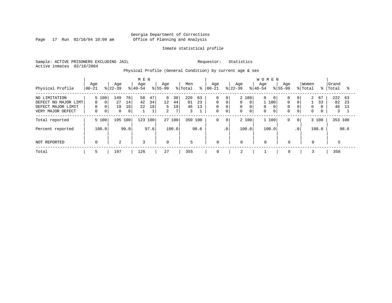Page 17 Run 02/16/04 10:09 am

#### Inmate statistical profile

Sample: ACTIVE PRISONERS EXCLUDING JAIL Requestor: Statistics Active inmates 02/16/2004

Physical Profile (General Condition) by current age & sex

|                                                                                  |                                                                                 |                                                          | M E N                                 |                                                                                  |                                        |                                                |                                                                                                                                   | <b>WOMEN</b>                                                                                              |                                                                                               |                                          |
|----------------------------------------------------------------------------------|---------------------------------------------------------------------------------|----------------------------------------------------------|---------------------------------------|----------------------------------------------------------------------------------|----------------------------------------|------------------------------------------------|-----------------------------------------------------------------------------------------------------------------------------------|-----------------------------------------------------------------------------------------------------------|-----------------------------------------------------------------------------------------------|------------------------------------------|
| Physical Profile                                                                 | Age<br>$00 - 21$                                                                | Age<br>$ 22-39 $                                         | Age<br>$8 40-54$                      | Age<br>$8155 - 99$                                                               | Men<br>% Total<br>៖                    | Age<br>$ 00 - 21$                              | Age<br>$ 22-39 $                                                                                                                  | Age<br>Age<br>$8155 - 99$<br>$8 40-54$                                                                    | Women<br>% Total                                                                              | Grand<br>ႜႜ<br>Total<br>°≈               |
| NO LIMITATION<br>DEFECT NO MAJOR LIMT<br>DEFECT MAJOR LIMIT<br>VERY MAJOR DEFECT | 5 100<br>$\overline{0}$<br>$\Omega$<br>$\Omega$<br>$\mathbf 0$<br>0<br>$\Omega$ | 149<br>76<br>27<br>14<br>19<br>10<br>0<br>0 <sup>1</sup> | 47<br>58<br>42<br>34<br>22<br>18<br>1 | 8<br>30<br>12 <sup>°</sup><br>44<br>5<br>19<br>$7\overline{ }$<br>$\overline{2}$ | 220<br>63<br>23<br>81<br>46<br>13<br>3 | $\mathbf 0$<br>$\mathbf 0$<br>$\mathbf 0$<br>0 | 2 100<br>$\overline{0}$<br>$\mathbf 0$<br>$\Omega$<br>$\Omega$<br>$\Omega$<br>0<br>$\mathbf 0$<br>$\mathbf 0$<br>$\mathbf 0$<br>0 | 0<br>0<br>$\overline{0}$<br>$\Omega$<br>100<br>$\Omega$<br>0<br>$\mathbf 0$<br>$\Omega$<br>0 <sub>1</sub> | 2<br>67<br>0 <sup>1</sup><br>$\Omega$<br>33<br>$\mathbf 0$<br>$\Omega$<br>$\overline{0}$<br>0 | 222<br>- 63<br>82<br>23<br>46<br>13<br>3 |
| Total reported                                                                   | 5 100                                                                           | 195 100                                                  | 123 100                               | 27 100                                                                           | 350 100                                | 0                                              | 2 100<br>0                                                                                                                        | 1 100<br>0                                                                                                | 3 100<br>$\overline{0}$                                                                       | 353 100                                  |
| Percent reported                                                                 | 100.0                                                                           | 99.0                                                     | 97.6                                  | 100.0                                                                            | 98.6                                   |                                                | .0 <sup>1</sup><br>100.0                                                                                                          | 100.0                                                                                                     | 100.0<br>.0 <sup>1</sup>                                                                      | 98.6                                     |
| NOT REPORTED                                                                     | $\Omega$                                                                        | 2                                                        | 3                                     | $\Omega$                                                                         | 5                                      | $\mathbf 0$                                    | $\Omega$                                                                                                                          | $\Omega$<br>$\mathbf 0$                                                                                   | $\mathbf{0}$                                                                                  | 5                                        |
| Total                                                                            | 5                                                                               | 197                                                      | 126                                   | 27                                                                               | 355                                    | $\mathbf 0$                                    | 2                                                                                                                                 | $\mathbf 0$                                                                                               |                                                                                               | 358                                      |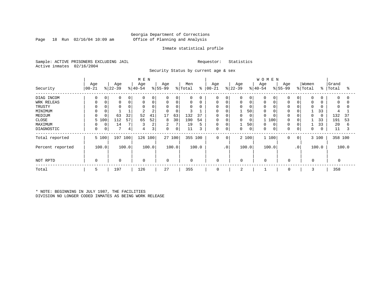#### Georgia Department of Corrections Page 18 Run 02/16/04 10:09 am Office of Planning and Analysis

#### Inmate statistical profile

Sample: ACTIVE PRISONERS EXCLUDING JAIL Requestor: Statistics Active inmates 02/16/2004

Security Status by current age & sex

|                  |            | M E N       |               |       |             |       |             |        |             |       |             |                 |           |             | <b>WOMEN</b> |             |              |           |          |       |           |       |
|------------------|------------|-------------|---------------|-------|-------------|-------|-------------|--------|-------------|-------|-------------|-----------------|-----------|-------------|--------------|-------------|--------------|-----------|----------|-------|-----------|-------|
|                  | Age        |             | Age           |       | Age         |       | Age         |        | Men         |       | Age         |                 | Age       |             | Age          |             | Age          |           | Women    |       | Grand     |       |
| Security         | $ 00 - 21$ |             | $ 22-39$      |       | $ 40-54$    |       | $ 55-99$    |        | % Total     | ိ     | $ 00 - 21$  |                 | $ 22-39 $ |             | $ 40-54$     |             | $8 55-99$    |           | % Total  |       | %   Total | ႜ     |
| DIAG INCOM       | $\Omega$   | $\Omega$    | $\Omega$      |       | $\Omega$    | 0     | $\Omega$    | 0      | 0           |       | $\Omega$    |                 |           | 0           |              | $\mathbf 0$ | $\Omega$     |           | $\Omega$ |       | $\Omega$  |       |
| WRK RELEAS       | $\Omega$   | 0           | 0             | 0     | 0           | 0     | $\mathbf 0$ | 0      | 0           | 0     | 0           | $\mathbf 0$     |           | $\mathbf 0$ | 0            | 0           | $\Omega$     |           | $\Omega$ |       | 0         |       |
| TRUSTY           |            |             |               |       | $\Omega$    |       |             | 0      | 0           |       | 0           |                 |           | 0           |              |             |              |           |          |       | 0         |       |
| MINIMUM          |            |             |               |       |             | 2     | $\Omega$    | 0      |             |       | 0           |                 |           | 50          | 0            | $\Omega$    | <sup>0</sup> |           |          | 33    |           |       |
| MEDIUM           | $\Omega$   |             | 63            | 32    | 52          | 41    | 17          | 63     | 132         | 37    | $\mathbf 0$ |                 | 0         | $\mathbf 0$ | 0            | $\Omega$    | $\Omega$     |           | $\Omega$ | 0     | 132       | 37    |
| CLOSE            |            | 5 100       | 112           | 57    | 65          | 52    | 8           | 30     | 190         | 54    | 0           |                 | 0         | 0           |              | 100         | $\Omega$     |           |          | 33    | 191       | 53    |
| MAXIMUM          |            | 0           | 14            |       |             | 2     | 2           | 7      | 19          | 5     | 0           | $\Omega$        |           | 50          | U            | 0           | $\Omega$     |           |          | 33    | 20        | 6     |
| DIAGNOSTIC       | 0          | $\mathbf 0$ | $\mathcal{L}$ | 4     | 4           | 3     | $\mathbf 0$ | 0      | 11          | 3     | 0           | 0               | 0         | 0           | 0            | 0           | 0            |           | 0        |       | 11        |       |
| Total reported   |            | 5 100       | 197           | 100   | 126 100     |       |             | 27 100 | 355 100     |       | $\mathbf 0$ | 0               |           | 2 100       |              | 1 100       | $\mathbf 0$  | $\circ$   |          | 3 100 | 358 100   |       |
| Percent reported |            | 100.0       |               | 100.0 |             | 100.0 |             | 100.0  |             | 100.0 |             | .0 <sup>′</sup> |           | 100.0       |              | 100.0       |              | $\cdot$ 0 |          | 100.0 |           | 100.0 |
| NOT RPTD         | $\Omega$   |             | $\mathbf 0$   |       | $\mathbf 0$ |       | $\mathbf 0$ |        | $\mathbf 0$ |       | 0           |                 | 0         |             | $\Omega$     |             | $\mathbf 0$  |           | 0        |       |           |       |
| Total            | 5          |             | 197           |       | 126         |       | 27          |        | 355         |       | 0           |                 | 2         |             |              |             | 0            |           | 3        |       | 358       |       |

\* NOTE: BEGINNING IN JULY 1987, THE FACILITIES DIVISION NO LONGER CODED INMATES AS BEING WORK RELEASE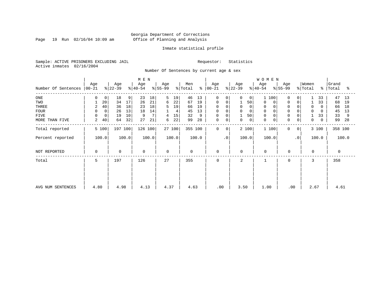Page 19 Run 02/16/04 10:09 am

#### Inmate statistical profile

Sample: ACTIVE PRISONERS EXCLUDING JAIL Requestor: Statistics Active inmates 02/16/2004

Number Of Sentences by current age & sex

|                     |                |       |           |       | M E N     |       |           |        |                     |       |             |           |             |             | <b>WOMEN</b>               |             |                |          |       |           |       |
|---------------------|----------------|-------|-----------|-------|-----------|-------|-----------|--------|---------------------|-------|-------------|-----------|-------------|-------------|----------------------------|-------------|----------------|----------|-------|-----------|-------|
|                     | Age            |       | Age       |       | Age       |       | Age       |        | Men                 |       | Age         |           | Age         |             | Age                        | Age         |                | Women    |       | Grand     |       |
| Number Of Sentences | $ 00-21$       |       | $ 22-39 $ |       | $ 40-54 $ |       | $ 55-99 $ |        | $\frac{1}{2}$ Total | န္    | $ 00-21 $   |           | $ 22-39 $   |             | $ 40-54 $                  | $ 55-99 $   |                | % Total  |       | %   Total | ႜ     |
| $_{\rm ONE}$        | 0              | 0     | 18        | 9     | 23        | 18    | 5         | 19     | 46                  | 13    | 0           | 0         | 0           | 0           | 100<br>$\mathbf{1}$        | 0           | 0              |          | 33    | 47        | 13    |
| TWO                 |                | 20    | 34        | 17    | 26        | 21    | 6         | 22     | 67                  | 19    | 0           |           |             | 50          | 0                          | 0           | 0              |          | 33    | 68        | 19    |
| THREE               | 2              | 40    | 36        | 18    | 23        | 18    | 5         | 19     | 66                  | 19    | 0           |           | 0           |             | 0                          | $\Omega$    |                | $\Omega$ | 0     | 66        | 18    |
| <b>FOUR</b>         | 0              | 0     | 26        | 13    | 18        | 14    |           | 4      | 45                  | 13    | $\mathbf 0$ |           | $\Omega$    |             |                            |             |                | $\Omega$ | 0     | 45        | 13    |
| FIVE                | 0              | 0     | 19        | 10    | 9         | 7     |           | 15     | 32                  | 9     | 0           |           | 1           | 50          | $\Omega$                   | 0           |                |          | 33    | 33        | 9     |
| MORE THAN FIVE      | $\overline{a}$ | 40    | 64        | 32    | 27        | 21    | 6         | 22     | 99                  | 28    | 0           | 0         | 0           | $\mathbf 0$ | $\mathbf 0$<br>$\mathbf 0$ | $\mathbf 0$ | 0              | 0        | 0     | 99        | 28    |
| Total reported      |                | 5 100 | 197 100   |       | 126 100   |       |           | 27 100 | 355 100             |       | 0           | 0         |             | 2 100       | 1 100                      | $\Omega$    | 0 <sup>1</sup> |          | 3 100 | 358 100   |       |
| Percent reported    |                | 100.0 |           | 100.0 |           | 100.0 |           | 100.0  |                     | 100.0 |             | $\cdot$ 0 | 100.0       |             | 100.0                      |             | $\cdot$ 0      |          | 100.0 |           | 100.0 |
| NOT REPORTED        | 0              |       | 0         |       | 0         |       | 0         |        | 0                   |       | 0           |           | $\mathbf 0$ |             | $\mathbf 0$                | 0           |                | $\Omega$ |       | 0         |       |
| Total               | 5              |       | 197       |       | 126       |       | 27        |        | 355                 |       | $\Omega$    |           | 2           |             |                            | $\Omega$    |                | 3        |       | 358       |       |
|                     |                |       |           |       |           |       |           |        |                     |       |             |           |             |             |                            |             |                |          |       |           |       |
|                     |                |       |           |       |           |       |           |        |                     |       |             |           |             |             |                            |             |                |          |       |           |       |
| AVG NUM SENTENCES   | 4.80           |       | 4.98      |       | 4.13      |       | 4.37      |        | 4.63                |       | .00         |           | 3.50        |             | 1.00                       |             | .00            | 2.67     |       | 4.61      |       |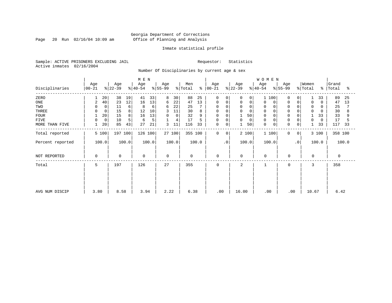Page 20 Run 02/16/04 10:09 am

#### Inmate statistical profile

Sample: ACTIVE PRISONERS EXCLUDING JAIL Requestor: Statistics Active inmates 02/16/2004

Number Of Disciplinaries by current age & sex

| M E N            |                  |                   |             |                  |       |                 |        |                |       |                  |           |                  |             | WOMEN            |                 |             |                  |             |                |       |
|------------------|------------------|-------------------|-------------|------------------|-------|-----------------|--------|----------------|-------|------------------|-----------|------------------|-------------|------------------|-----------------|-------------|------------------|-------------|----------------|-------|
| Disciplinaries   | Age<br>$00 - 21$ | Age<br>$ 22-39 $  |             | Age<br>$ 40-54 $ |       | Age<br>$ 55-99$ |        | Men<br>% Total | ွေ    | Age<br>$ 00-21 $ |           | Age<br>$ 22-39 $ |             | Age<br>$ 40-54$  | Age<br>$ 55-99$ |             | Women<br>% Total | $\approx$ 1 | Grand<br>Total | ႜ     |
| ZERO             |                  | 38<br>20          | 19          | 41               | 33    | 8               | 30     | 88             | 25    | $\mathbf 0$      | 0         | $\Omega$         | 0           | 100<br>1         | $\Omega$        | $\Omega$    |                  | 33          | 89             | 25    |
| $_{\rm ONE}$     | $\overline{2}$   | 23<br>40          | 12          | 16               | 13    | 6               | 22     | 47             | 13    | 0                | 0         | 0                | $\mathbf 0$ | 0<br>0           | $\Omega$        | 0           | $\mathbf 0$      | $\Omega$    | 47             | 13    |
| TWO              |                  | 11<br>$\mathbf 0$ | 6           | 8                | 6     | 6               | 22     | 25             |       | $\Omega$         | $\Omega$  | $\Omega$         | $\Omega$    | $\mathbf 0$      | $\Omega$        |             | $\mathbf 0$      |             | 25             |       |
| THREE            |                  | 15<br>0           | 8           | 12               | 10    | 3               | 11     | 30             | 8     | 0                |           | 0                | 0           | 0                |                 |             | $\mathbf 0$      |             | 30             |       |
| <b>FOUR</b>      |                  | 20<br>15          | 8           | 16               | 13    | 0               | 0      | 32             | 9     | $\mathbf 0$      |           |                  | 50          | $\mathbf 0$      | $\Omega$        |             |                  | 33          | 33             | 9     |
| FIVE             | $\Omega$         | 10<br>$\mathbf 0$ |             | 6                | 5     |                 | 4      | 17             |       | 0                | $\Omega$  | 0                | 0           | $\mathbf 0$      | $\Omega$        | $\mathbf 0$ | $\Omega$         | $\Omega$    | 17             |       |
| MORE THAN FIVE   |                  | 85<br>20          | 43          | 27               | 21    | 3               | 11     | 116            | 33    | 0                | 0         |                  | 50          | $\mathbf 0$<br>0 | $\mathbf 0$     | 0           |                  | 33          | 117            | 33    |
| Total reported   | 5 100            |                   | 197 100     | 126 100          |       |                 | 27 100 | 355 100        |       | 0                | 0         | 2 100            |             | 1 100            | $\mathbf 0$     | 0           |                  | 3 100       | 358 100        |       |
| Percent reported | 100.0            |                   | 100.0       |                  | 100.0 |                 | 100.0  |                | 100.0 |                  | $\cdot$ 0 | 100.0            |             | 100.0            |                 | $\cdot$ 0   |                  | 100.0       |                | 100.0 |
| NOT REPORTED     | $\mathbf 0$      |                   | $\mathbf 0$ | $\mathbf 0$      |       | $\mathbf 0$     |        | $\mathbf 0$    |       | $\mathbf 0$      |           | $\mathbf 0$      |             | $\mathbf 0$      | $\mathbf 0$     |             | $\mathbf 0$      |             | 0              |       |
| Total            | 5                | 197               |             | 126              |       | 27              |        | 355            |       | $\mathbf 0$      |           | 2                |             |                  | $\mathbf 0$     |             | 3                |             | 358            |       |
|                  |                  |                   |             |                  |       |                 |        |                |       |                  |           |                  |             |                  |                 |             |                  |             |                |       |
|                  |                  |                   |             |                  |       |                 |        |                |       |                  |           |                  |             |                  |                 |             |                  |             |                |       |
| AVG NUM DISCIP   | 3.80             |                   | 8.58        | 3.94             |       | 2.22            |        | 6.38           |       | .00              |           | 16.00            |             | .00              |                 | .00         | 10.67            |             | 6.42           |       |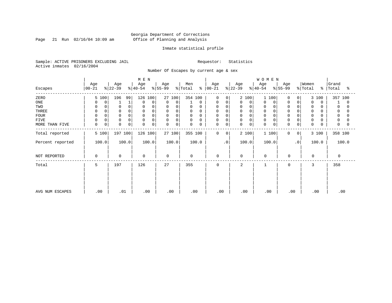Page 21 Run 02/16/04 10:09 am

#### Inmate statistical profile

Sample: ACTIVE PRISONERS EXCLUDING JAIL Requestor: Statistics Active inmates 02/16/2004

Number Of Escapes by current age & sex

|                  |                  |                  | M E N            |                  |                         |                      |                  | WOMEN            |                                |                              |                         |
|------------------|------------------|------------------|------------------|------------------|-------------------------|----------------------|------------------|------------------|--------------------------------|------------------------------|-------------------------|
| Escapes          | Age<br>$ 00-21 $ | Age<br>$ 22-39 $ | Age<br>$ 40-54 $ | Age<br>$ 55-99 $ | Men<br>% Total<br>ႜ     | Age<br>$ 00 - 21 $   | Age<br>$ 22-39 $ | Age<br>$ 40-54 $ | Age<br>$ 55-99 $               | Women<br>$\frac{1}{2}$ Total | Grand<br>%   Total<br>ႜ |
|                  |                  |                  |                  |                  |                         |                      |                  |                  |                                |                              |                         |
| ZERO             | 5 100            | 196<br>99        | 126 100          | 27 100           | 354 100                 | $\Omega$<br>$\Omega$ | 2 100            | 100              | 0<br>$\Omega$                  | 3 100                        | 357 100                 |
| ONE              | 0                |                  | $\Omega$<br>0    | 0<br>$\mathbf 0$ | 0                       | 0<br>0               | 0<br>0           | 0<br>$\mathbf 0$ | 0<br>0                         | $\mathbf 0$<br>0             | 0                       |
| TWO              |                  | 0                | 0                | 0<br>0           | 0<br>0                  | 0<br>$\Omega$        | 0<br>0           | 0                | $\Omega$                       | 0                            |                         |
| THREE            |                  | $\Omega$         | 0                | $\mathbf 0$<br>0 | $\mathbf 0$             | 0                    | $\mathbf 0$      | $\Omega$         | $\mathbf 0$                    | 0                            | 0                       |
| <b>FOUR</b>      |                  | $\Omega$         | 0<br>$\Omega$    | 0<br>$\Omega$    | $\mathbf 0$<br>$\Omega$ | 0                    | $\Omega$         |                  |                                | $\Omega$                     |                         |
| FIVE             |                  | 0                | 0                | 0<br>0           | 0<br>0                  | 0<br>$\Omega$        | 0                | $\Omega$         | $\Omega$                       | 0                            |                         |
| MORE THAN FIVE   | $\mathbf 0$      | $\Omega$<br>0    | 0<br>$\Omega$    | 0<br>$\Omega$    | $\Omega$<br>0           | 0<br>0               | 0<br>0           | $\Omega$<br>0    | $\mathbf 0$<br>0               | $\Omega$                     | 0                       |
| Total reported   | 5 100            | 197 100          | 126 100          | 27100            | 355 100                 | 0<br>0               | 2 100            | 1 100            | $\mathbf{0}$<br>$\overline{0}$ | 3 100                        | 358 100                 |
| Percent reported | 100.0            | 100.0            | 100.0            | 100.0            | 100.0                   | $\cdot$ 0            | 100.0            | 100.0            | .0'                            | 100.0                        | 100.0                   |
| NOT REPORTED     | $\Omega$         | $\mathbf 0$      | 0                | $\Omega$         | $\mathbf 0$             | $\mathbf 0$          | <sup>0</sup>     | $\Omega$         | $\mathbf 0$                    | $\Omega$                     | $\Omega$                |
| Total            | 5                | 197              | 126              | 27               | 355                     | $\mathbf 0$          | 2                |                  | $\mathbf 0$                    | 3                            | 358                     |
|                  |                  |                  |                  |                  |                         |                      |                  |                  |                                |                              |                         |
|                  |                  |                  |                  |                  |                         |                      |                  |                  |                                |                              |                         |
|                  |                  |                  |                  |                  |                         |                      |                  |                  |                                |                              |                         |
|                  |                  |                  |                  |                  |                         |                      |                  |                  |                                |                              |                         |
| AVG NUM ESCAPES  | .00              | .01              | .00              | .00              | .00                     | .00                  | .00              | .00              | .00                            | .00                          | .00                     |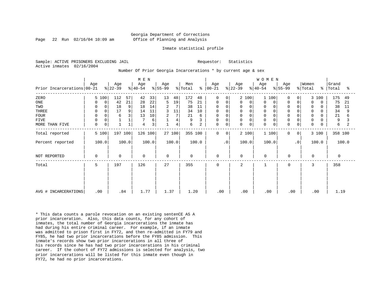#### Georgia Department of Corrections Page 22 Run 02/16/04 10:09 am Office of Planning and Analysis

#### Inmate statistical profile

Sample: ACTIVE PRISONERS EXCLUDING JAIL **Requestor:** Statistics Active inmates 02/16/2004

Number Of Prior Georgia Incarcerations \* by current age & sex

| Prior Incarcerations 00-21                                           | Age                                                              | Age<br>$ 22-39 $                                               | M E N<br>Age<br>$ 40-54 $                                               | Age<br>$ 55-99 $                                                                               | Men<br>% Total<br>ႜ                                                          | Age<br>$ 00-21 $                                                | Age<br>$ 22-39 $<br>$ 40-54 $                                                             | <b>WOMEN</b><br>Age<br>Age<br>$ 55-99 $                                                                                                                                              | Women<br>% Total                                                                                                                                | Grand<br>%   Total<br>ႜ                                           |
|----------------------------------------------------------------------|------------------------------------------------------------------|----------------------------------------------------------------|-------------------------------------------------------------------------|------------------------------------------------------------------------------------------------|------------------------------------------------------------------------------|-----------------------------------------------------------------|-------------------------------------------------------------------------------------------|--------------------------------------------------------------------------------------------------------------------------------------------------------------------------------------|-------------------------------------------------------------------------------------------------------------------------------------------------|-------------------------------------------------------------------|
| ZERO<br>ONE<br>TWO<br>THREE<br><b>FOUR</b><br>FIVE<br>MORE THAN FIVE | 5 100<br>0<br>0<br>0<br>0<br>$\Omega$<br>0<br>$\Omega$<br>0<br>0 | 112<br>57<br>42<br>21<br>18<br>9<br>17<br>9<br>3<br>6<br>$1\,$ | 42<br>33<br>22<br>28<br>14<br>18<br>11<br>14<br>10<br>13<br>6<br>3<br>4 | 13<br>48<br>19<br>5<br>$\overline{a}$<br>3<br>11<br>7<br>$\overline{a}$<br>4<br>$\overline{4}$ | 172<br>48<br>75<br>21<br>38<br>11<br>34<br>10<br>21<br>6<br>9<br>3<br>6<br>2 | 0<br>0<br>0<br>0<br>0<br>$\mathbf 0$<br>0<br>0<br>0<br>$\Omega$ | 2 100<br>$\Omega$<br>0<br>0<br>$\mathbf 0$<br>$\mathbf 0$<br>$\mathbf 0$<br>$\Omega$<br>0 | 1 100<br>$\Omega$<br>$\Omega$<br>$\Omega$<br>0<br>0<br>$\mathbf 0$<br>$\Omega$<br>$\Omega$<br>$\mathbf 0$<br>$\Omega$<br>$\mathbf 0$<br>$\Omega$<br>$\Omega$<br>$\Omega$<br>$\Omega$ | 3 100<br>$\overline{0}$<br>0<br>$\Omega$<br>$\Omega$<br>$\Omega$<br>0<br>$\Omega$<br>O<br>$\mathbf 0$<br>0<br>$\mathbf 0$<br>0<br>$\Omega$<br>O | 175<br>49<br>75<br>21<br>38<br>11<br>34<br>9<br>21<br>6<br>9<br>6 |
| Total reported<br>Percent reported                                   | 5 100<br>100.0                                                   | 197 100<br>100.0                                               | 126 100<br>100.0                                                        | 27 100<br>100.0                                                                                | 355 100<br>100.0                                                             | $\mathbf 0$<br>$\Omega$<br>$\cdot$ 0                            | 2 100<br>100.0                                                                            | 1 100<br>$\Omega$<br>100.0                                                                                                                                                           | 3 100<br>0 <sup>1</sup><br>$\cdot$ 0<br>100.0                                                                                                   | 358 100<br>100.0                                                  |
| NOT REPORTED                                                         | $\Omega$                                                         | $\Omega$                                                       | $\mathbf 0$                                                             | $\mathbf 0$                                                                                    | $\mathbf 0$                                                                  | $\mathbf 0$                                                     | $\mathbf 0$                                                                               | $\Omega$<br>$\mathbf 0$                                                                                                                                                              | $\Omega$                                                                                                                                        | $\Omega$                                                          |
| Total                                                                | 5                                                                | 197                                                            | 126                                                                     | 27                                                                                             | 355                                                                          | $\mathbf 0$                                                     | 2                                                                                         | 0                                                                                                                                                                                    | 3                                                                                                                                               | 358                                                               |
| AVG # INCARCERATIONS                                                 | .00                                                              | .84                                                            | 1.77                                                                    | 1.37                                                                                           | 1.20                                                                         | .00                                                             | .00                                                                                       | .00<br>.00                                                                                                                                                                           | .00                                                                                                                                             | 1.19                                                              |

\* This data counts a parole revocation on an existing sentenCE AS A prior incarceration. Also, this data counts, for any cohort of inmates, the total number of Georgia incarcerations the inmate has had during his entire criminal career. For example, if an inmate was admitted to prison first in FY72, and then re-admitted in FY79 and FY85, he had two prior incarcerations before the FY85 admission. This inmate's records show two prior incarcerations in all three of his records since he has had two prior incarcerations in his criminal career. If the cohort of FY72 admissions is selected for analysis, two prior incarcerations will be listed for this inmate even though in FY72, he had no prior incarcerations.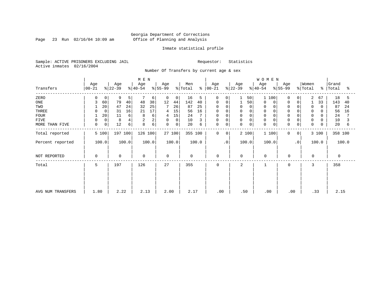Page 23 Run 02/16/04 10:09 am

#### Inmate statistical profile

Sample: ACTIVE PRISONERS EXCLUDING JAIL Requestor: Statistics Active inmates 02/16/2004

Number Of Transfers by current age & sex

|                   |                     |                  | M E N            |                  |                      |                             |                  | <b>WOMEN</b>                              |                              |                         |
|-------------------|---------------------|------------------|------------------|------------------|----------------------|-----------------------------|------------------|-------------------------------------------|------------------------------|-------------------------|
| Transfers         | Age<br>$ 00-21 $    | Age<br>$ 22-39 $ | Age<br>$ 40-54 $ | Age<br>$ 55-99 $ | Men<br>% Total<br>န္ | Age<br>00-21                | Age<br>$8 22-39$ | Age<br>Age<br>$ 55-99 $<br>$ 40-54 $      | Women<br>$\frac{1}{2}$ Total | Grand<br>%   Total<br>ႜ |
| ZERO              | 0                   | 9<br>5           | 6                | 0<br>0           | 16<br>5              | 0<br>$\circ$                | 50               | $\mathbf{1}$<br>100<br>$\Omega$           | 2<br>67<br>0                 | 18<br>5                 |
| ONE               | 60                  | 79<br>40         | 38<br>48         | 12<br>44         | 142<br>40            | 0<br>0                      | 50               | $\mathbf 0$<br>0<br>$\Omega$              | 33<br>0                      | 143<br>40               |
| TWO               | 20                  | 47<br>24         | 25<br>32         | 7<br>26          | 87<br>25             | $\Omega$<br>0               | $\Omega$<br>0    | $\mathbf 0$<br>0                          | 0<br>$\Omega$                | 87<br>24                |
| THREE             | 0                   | 16<br>31         | 17<br>21         | 15<br>4          | 56<br>16             | 0<br>$\Omega$               | 0                | 0                                         | 0                            | 56<br>16                |
| <b>FOUR</b>       | 20                  | 6<br>11          | 6<br>8           | 15<br>4          | 24                   | $\Omega$<br>0               | $\Omega$         |                                           | 0                            | 24                      |
| <b>FIVE</b>       | $\mathbf 0$         | 8<br>4           | 2                | 0<br>$\mathbf 0$ | 10<br>3              | 0<br>0                      | 0<br>$\Omega$    | $\mathbf 0$                               | $\mathbf 0$<br>0             | 10                      |
| MORE THAN FIVE    | $\overline{0}$<br>0 | 12<br>6          | б<br>8           | $\mathbf 0$<br>0 | 20<br>6              | 0<br>0                      | 0<br>$\mathbf 0$ | $\mathbf 0$<br>$\mathbf 0$<br>$\mathbf 0$ | $\mathbf 0$<br>$\mathbf 0$   | 20<br>6                 |
| Total reported    | 5 100               | 197 100          | 126 100          | 27 100           | 355 100              | $\mathbf 0$<br>$\mathbf{0}$ | 2 100            | 1 100<br>$\mathbf{0}$                     | 3 100<br>0                   | 358 100                 |
| Percent reported  | 100.0               | 100.0            | 100.0            | 100.0            | 100.0                | $\cdot$ 0                   | 100.0            | 100.0                                     | $\cdot$ 0<br>100.0           | 100.0                   |
| NOT REPORTED      | 0                   | $\mathbf 0$      | 0                | $\mathbf 0$      | $\mathbf 0$          | $\mathbf 0$                 | $\mathbf 0$      | $\mathbf 0$<br>$\mathbf 0$                | $\Omega$                     | $\mathbf 0$             |
| Total             | 5                   | 197              | 126              | 27               | 355                  | 0                           | 2                | 0<br>1                                    | 3                            | 358                     |
|                   |                     |                  |                  |                  |                      |                             |                  |                                           |                              |                         |
|                   |                     |                  |                  |                  |                      |                             |                  |                                           |                              |                         |
| AVG NUM TRANSFERS | 1.80                | 2.22             | 2.13             | 2.00             | 2.17                 | .00                         | .50              | .00                                       | .33<br>.00                   | 2.15                    |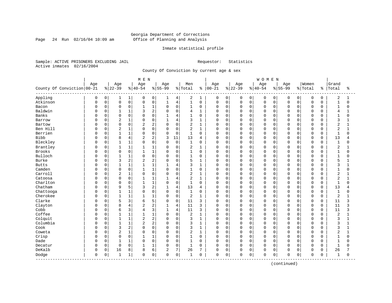Page 24 Run 02/16/04 10:09 am

#### Inmate statistical profile

Sample: ACTIVE PRISONERS EXCLUDING JAIL Requestor: Statistics Active inmates 02/16/2004

County Of Conviction by current age & sex

| Women<br>Age<br>Age<br>Age<br>Age<br>Age<br>Men<br>Age<br>Age<br>Age<br>County Of Conviction 00-21<br>$8 22-39$<br>$ 40-54$<br>$8 55-99$<br>$ 00 - 21$<br>$ 22-39$<br>$ 55-99$<br>% Total<br>% Total<br>$ 40-54$<br>ႜ<br>Appling<br>0<br>0<br>$\mathbf{1}$<br>0<br>2<br>0<br>0<br>$\mathbf 0$<br>1<br>0<br>4<br>0<br>0<br>0<br>0<br>0<br>0<br>1<br>1<br>0<br>0<br>Atkinson<br>$\mathsf 0$<br>$\mathsf 0$<br>$1\,$<br>$\,4$<br>$\mathbf{1}$<br>$\mathbf 0$<br>$\mathbf 0$<br>$\mathsf{O}$<br>$\mathbf 0$<br>$\Omega$<br>$\mathsf 0$<br>O<br>$\Omega$<br>0<br>0<br>0<br>0<br>$1\,$<br>$\mathbf 0$<br>$\mathbf 0$<br>$\mathbf 0$<br>0<br>$\Omega$<br>$\mathbf 0$<br>$\Omega$<br>$\mathbf 0$<br>0<br>$\mathbf 0$<br>$\mathbf 0$<br>$\Omega$<br>$\Omega$<br>$\mathbf 0$<br>Bacon<br>$\Omega$<br>1<br>1<br>0<br>Baldwin<br>0<br>$\mathbf 1$<br>$\overline{c}$<br>$\mathbf 0$<br>$\mathbf{1}$<br>$\Omega$<br>$\mathbf{1}$<br>$\mathbf 0$<br>0<br>$\mathbf 0$<br>$\mathbf 0$<br>$\Omega$<br>$\Omega$<br>$\Omega$<br>U<br>3<br>4<br>0<br>$\Omega$<br>Banks<br>$\Omega$<br>0<br>$\Omega$<br>0<br>$\Omega$<br>$\mathbf 0$<br>0<br>$\Omega$<br>$\Omega$<br>$\Omega$<br>$\cap$<br>$\mathbf{1}$<br>4<br>1<br>0<br>$\Omega$<br>$\Omega$<br>U<br>Λ<br>1<br>0<br>4<br>3<br>0<br>$\overline{2}$<br>$\mathbf 0$<br>$\mathbf 0$<br>$\mathbf 0$<br>$\Omega$<br>$\mathbf 0$<br>Barrow<br>$\Omega$<br>$\mathbf{1}$<br>0<br>0<br>$\Omega$<br>$\Omega$<br>$\mathsf 0$<br>0<br>$\overline{c}$<br>2<br>0<br>2<br>$\mathbf 0$<br>$\mathbf 0$<br>$\mathbf{1}$<br>$\mathbf 0$<br>0<br>$\mathbf 0$<br>0<br>$\mathbf 0$<br>$\mathbf 0$<br>Bartow<br>0<br>0<br>$\Omega$ | Grand<br>Total<br>နွ<br>ႜ<br>2<br>0<br>1<br>$\mathbf{1}$<br>$\mathbf 0$<br>$\Omega$<br>$\mathbf{1}$<br>0<br>$\Omega$ |  |
|----------------------------------------------------------------------------------------------------------------------------------------------------------------------------------------------------------------------------------------------------------------------------------------------------------------------------------------------------------------------------------------------------------------------------------------------------------------------------------------------------------------------------------------------------------------------------------------------------------------------------------------------------------------------------------------------------------------------------------------------------------------------------------------------------------------------------------------------------------------------------------------------------------------------------------------------------------------------------------------------------------------------------------------------------------------------------------------------------------------------------------------------------------------------------------------------------------------------------------------------------------------------------------------------------------------------------------------------------------------------------------------------------------------------------------------------------------------------------------------------------------------------------------------------------------------------------------------------------------------------------------------|----------------------------------------------------------------------------------------------------------------------|--|
|                                                                                                                                                                                                                                                                                                                                                                                                                                                                                                                                                                                                                                                                                                                                                                                                                                                                                                                                                                                                                                                                                                                                                                                                                                                                                                                                                                                                                                                                                                                                                                                                                                        |                                                                                                                      |  |
|                                                                                                                                                                                                                                                                                                                                                                                                                                                                                                                                                                                                                                                                                                                                                                                                                                                                                                                                                                                                                                                                                                                                                                                                                                                                                                                                                                                                                                                                                                                                                                                                                                        |                                                                                                                      |  |
|                                                                                                                                                                                                                                                                                                                                                                                                                                                                                                                                                                                                                                                                                                                                                                                                                                                                                                                                                                                                                                                                                                                                                                                                                                                                                                                                                                                                                                                                                                                                                                                                                                        |                                                                                                                      |  |
|                                                                                                                                                                                                                                                                                                                                                                                                                                                                                                                                                                                                                                                                                                                                                                                                                                                                                                                                                                                                                                                                                                                                                                                                                                                                                                                                                                                                                                                                                                                                                                                                                                        |                                                                                                                      |  |
|                                                                                                                                                                                                                                                                                                                                                                                                                                                                                                                                                                                                                                                                                                                                                                                                                                                                                                                                                                                                                                                                                                                                                                                                                                                                                                                                                                                                                                                                                                                                                                                                                                        |                                                                                                                      |  |
|                                                                                                                                                                                                                                                                                                                                                                                                                                                                                                                                                                                                                                                                                                                                                                                                                                                                                                                                                                                                                                                                                                                                                                                                                                                                                                                                                                                                                                                                                                                                                                                                                                        | $\Omega$<br>4                                                                                                        |  |
|                                                                                                                                                                                                                                                                                                                                                                                                                                                                                                                                                                                                                                                                                                                                                                                                                                                                                                                                                                                                                                                                                                                                                                                                                                                                                                                                                                                                                                                                                                                                                                                                                                        | $\mathbf{1}$<br>$\cap$<br>$\Omega$                                                                                   |  |
|                                                                                                                                                                                                                                                                                                                                                                                                                                                                                                                                                                                                                                                                                                                                                                                                                                                                                                                                                                                                                                                                                                                                                                                                                                                                                                                                                                                                                                                                                                                                                                                                                                        | 3<br>$\Omega$                                                                                                        |  |
|                                                                                                                                                                                                                                                                                                                                                                                                                                                                                                                                                                                                                                                                                                                                                                                                                                                                                                                                                                                                                                                                                                                                                                                                                                                                                                                                                                                                                                                                                                                                                                                                                                        | $\overline{a}$<br>$\Omega$                                                                                           |  |
| $\overline{2}$<br>$\mathbf 1$<br>$\mathbf 0$<br>$\overline{2}$<br>Ben Hill<br>0<br>$\Omega$<br>$\Omega$<br>$\mathbf 0$<br>$\mathbf{1}$<br>$\mathbf 0$<br>0<br>$\mathbf 0$<br>$\mathbf 0$<br>$\Omega$<br>$\Omega$<br>$\Omega$<br>U<br>0<br>0                                                                                                                                                                                                                                                                                                                                                                                                                                                                                                                                                                                                                                                                                                                                                                                                                                                                                                                                                                                                                                                                                                                                                                                                                                                                                                                                                                                            | $\overline{2}$<br>0<br>1                                                                                             |  |
| Berrien<br>$\mathbf 0$<br>$\mathbf 0$<br>1<br>$\mathbf 0$<br>0<br>$\mathbf{1}$<br>$\Omega$<br>0<br>0<br>0<br>0<br>0<br>$\Omega$<br>O<br>0<br>Ω<br>$\Omega$<br>$\Omega$                                                                                                                                                                                                                                                                                                                                                                                                                                                                                                                                                                                                                                                                                                                                                                                                                                                                                                                                                                                                                                                                                                                                                                                                                                                                                                                                                                                                                                                                 | 0<br>1<br>O                                                                                                          |  |
| <b>Bibb</b><br>8<br>2<br>0<br>4<br>$\overline{2}$<br>3<br>11<br>13<br>$\mathbf 0$<br>0<br>$\mathbf 0$<br>$\mathbf 0$<br>$\Omega$<br>$\Omega$<br>$\overline{4}$<br>0<br>$\Omega$<br>$\Omega$<br>U                                                                                                                                                                                                                                                                                                                                                                                                                                                                                                                                                                                                                                                                                                                                                                                                                                                                                                                                                                                                                                                                                                                                                                                                                                                                                                                                                                                                                                       | 13<br>$\mathbf 0$<br>4                                                                                               |  |
| Bleckley<br>$\Omega$<br>$\mathbf{1}$<br>1<br>$\mathbf 0$<br>$\mathbf 0$<br>$\Omega$<br>$\Omega$<br>$\Omega$<br>$\Omega$<br>$\Omega$<br>$\mathbf{1}$<br>$\Omega$<br>$\mathbf 0$<br>$\Omega$<br>$\Omega$<br>$\Omega$<br>$\Omega$<br>0<br>$\Omega$                                                                                                                                                                                                                                                                                                                                                                                                                                                                                                                                                                                                                                                                                                                                                                                                                                                                                                                                                                                                                                                                                                                                                                                                                                                                                                                                                                                        | $\Omega$<br>$\mathbf{1}$<br>O                                                                                        |  |
| Brantley<br>0<br>$1\,$<br>$\mathbf{1}$<br>1<br>$\mathbf 0$<br>2<br>$\mathbf 0$<br>0<br>$\mathbf 0$<br>$\mathbf 0$<br>$\Omega$<br>$\Omega$<br>$\Omega$<br>$\mathbf{1}$<br>0<br>$\Omega$<br>$\Omega$<br>0                                                                                                                                                                                                                                                                                                                                                                                                                                                                                                                                                                                                                                                                                                                                                                                                                                                                                                                                                                                                                                                                                                                                                                                                                                                                                                                                                                                                                                | $\overline{2}$<br>$\Omega$                                                                                           |  |
| Brooks<br>$\mathsf 0$<br>$\mathbf 0$<br>0<br>$1\,$<br>$\mathsf 0$<br>$\mathbf 0$<br>$\mathbf 0$<br>$\Omega$<br>$\mathbf 0$<br>$\Omega$<br>$\mathbf 0$<br>0<br>$\mathbf 0$<br>0<br>$\Omega$<br>0<br>1                                                                                                                                                                                                                                                                                                                                                                                                                                                                                                                                                                                                                                                                                                                                                                                                                                                                                                                                                                                                                                                                                                                                                                                                                                                                                                                                                                                                                                   | $\mathbf 1$<br>$\Omega$<br>0                                                                                         |  |
| 1<br>$\mathsf 0$<br>Bulloch<br>0<br>$\mathbf{1}$<br>$\mathbf 0$<br>$\mathbf{1}$<br>$\mathbf 0$<br>$\mathbf 0$<br>$\mathbf 0$<br>$\Omega$<br>Ω<br>$\Omega$<br>$\Omega$<br>0<br>0<br>0<br>0<br>$\Omega$<br>O                                                                                                                                                                                                                                                                                                                                                                                                                                                                                                                                                                                                                                                                                                                                                                                                                                                                                                                                                                                                                                                                                                                                                                                                                                                                                                                                                                                                                             | $\mathbf{1}$<br>$\Omega$<br>U                                                                                        |  |
| 2<br>$\overline{2}$<br>Burke<br>0<br>3<br>$\mathbf 0$<br>5<br>$\mathbf 0$<br>U<br>2<br>$\Omega$<br>1<br>0<br>0<br>0<br>0<br>$\Omega$<br>$\Omega$<br>0<br>0                                                                                                                                                                                                                                                                                                                                                                                                                                                                                                                                                                                                                                                                                                                                                                                                                                                                                                                                                                                                                                                                                                                                                                                                                                                                                                                                                                                                                                                                             | 5<br>0                                                                                                               |  |
| $\mathbf 1$<br>$\mathbf{1}$<br>0<br>$\mathbf{1}$<br>$\overline{4}$<br>3<br>$\mathbf{1}$<br>0<br>$\mathbf 0$<br>$\mathbf 0$<br>$\Omega$<br><b>Butts</b><br>$\mathbf{1}$<br>0<br>0<br>$\Omega$<br>$\Omega$<br>O<br>U                                                                                                                                                                                                                                                                                                                                                                                                                                                                                                                                                                                                                                                                                                                                                                                                                                                                                                                                                                                                                                                                                                                                                                                                                                                                                                                                                                                                                     | 3<br>$\Omega$                                                                                                        |  |
| $1\,$<br>Camden<br>0<br>$\Omega$<br>$\Omega$<br>$\Omega$<br>$\Omega$<br>$\Omega$<br>$\Omega$<br>$\mathbf{1}$<br>$\Omega$<br>$\Omega$<br>$\Omega$<br>0<br>$\Omega$<br>$\Omega$<br>$\Omega$<br>$\Omega$<br>U<br>1                                                                                                                                                                                                                                                                                                                                                                                                                                                                                                                                                                                                                                                                                                                                                                                                                                                                                                                                                                                                                                                                                                                                                                                                                                                                                                                                                                                                                        | $\mathbf{1}$<br>$\Omega$<br>$\Omega$                                                                                 |  |
| Carroll<br>$\mathbf 1$<br>$\mathbf 0$<br>$\mathbf 0$<br>$\Omega$<br>$\overline{2}$<br>2<br>$\mathbf 0$<br>$\Omega$<br>$\mathbf 0$<br>$\mathbf 0$<br>$\Omega$<br>$\Omega$<br>$\mathbf{1}$<br>$\Omega$<br>0<br>$\Omega$<br>$\Omega$<br>$\Omega$<br>0                                                                                                                                                                                                                                                                                                                                                                                                                                                                                                                                                                                                                                                                                                                                                                                                                                                                                                                                                                                                                                                                                                                                                                                                                                                                                                                                                                                     | $\overline{2}$<br>$\Omega$<br>1                                                                                      |  |
| $\mathbf 0$<br>0<br>$\mathbf 1$<br>2<br>$\mathbf 0$<br>$\mathbf 0$<br>$\Omega$<br>Catoosa<br>$\mathbf 0$<br>$\mathbf{1}$<br>$\overline{4}$<br>$\mathbf{1}$<br>$\Omega$<br>$\mathbf 0$<br>0<br>0<br>$\Omega$<br>$\mathbf 0$<br>Ω                                                                                                                                                                                                                                                                                                                                                                                                                                                                                                                                                                                                                                                                                                                                                                                                                                                                                                                                                                                                                                                                                                                                                                                                                                                                                                                                                                                                        | $\overline{a}$<br>$\Omega$                                                                                           |  |
| Charlton<br>0<br>$1\,$<br>$\mathbf 0$<br>$\mathbf 0$<br>$\Omega$<br>0<br>$\mathbf{1}$<br>$\Omega$<br>$\mathbf{1}$<br>$\Omega$<br>$\Omega$<br>$\mathbf 0$<br>$\Omega$<br>$\Omega$<br>$\mathbf 0$<br>$\Omega$<br>$\Omega$<br>U<br>$\Omega$                                                                                                                                                                                                                                                                                                                                                                                                                                                                                                                                                                                                                                                                                                                                                                                                                                                                                                                                                                                                                                                                                                                                                                                                                                                                                                                                                                                               | $\Omega$<br>$\mathbf{1}$<br>$\Omega$                                                                                 |  |
| Chatham<br>$\overline{c}$<br>9<br>5<br>4<br>13<br>$\mathbf 0$<br>0<br>ζ<br>$\Omega$<br>$\mathbf 0$<br>0<br>$\Omega$<br>$\Omega$<br>$\Omega$<br>Ω<br>4<br>$\Omega$<br>O                                                                                                                                                                                                                                                                                                                                                                                                                                                                                                                                                                                                                                                                                                                                                                                                                                                                                                                                                                                                                                                                                                                                                                                                                                                                                                                                                                                                                                                                 | 13<br>$\Omega$                                                                                                       |  |
| Chattooga<br>1<br>$\mathbf 0$<br>$\mathbf 0$<br>0<br>$\mathbf{1}$<br>$\Omega$<br>$\mathbf{1}$<br>$\mathbf 0$<br>0<br>$\Omega$<br>$\mathbf 0$<br>$\Omega$<br>$\Omega$<br>U<br>$\Omega$<br>$\Omega$<br>0<br>$\Omega$<br>O                                                                                                                                                                                                                                                                                                                                                                                                                                                                                                                                                                                                                                                                                                                                                                                                                                                                                                                                                                                                                                                                                                                                                                                                                                                                                                                                                                                                                | $\mathbf 1$<br>$\Omega$<br>U                                                                                         |  |
| Cherokee<br>$\mathbf 0$<br>$\mathbf 1$<br>$\mathbf{1}$<br>$\mathbf 0$<br>$\overline{2}$<br>$\mathbf{1}$<br>$\mathbf 0$<br>$\mathbf{1}$<br>$\Omega$<br>$\mathbf 0$<br>0<br>$\Omega$<br>$\mathbf 0$<br>$\Omega$<br>$\Omega$<br>$\mathbf 0$<br>U<br>$\Omega$<br>1                                                                                                                                                                                                                                                                                                                                                                                                                                                                                                                                                                                                                                                                                                                                                                                                                                                                                                                                                                                                                                                                                                                                                                                                                                                                                                                                                                         | $\overline{2}$<br>0<br>1                                                                                             |  |
| Clarke<br>5<br>3<br>$\mathbf 0$<br>0<br>5<br>3<br>$\mathbf 0$<br>$\Omega$<br>6<br>$\Omega$<br>11<br>$\Omega$<br>0<br>$\mathbf 0$<br>$\Omega$<br>$\Omega$<br>$\Omega$<br>$\Omega$<br>0                                                                                                                                                                                                                                                                                                                                                                                                                                                                                                                                                                                                                                                                                                                                                                                                                                                                                                                                                                                                                                                                                                                                                                                                                                                                                                                                                                                                                                                  | $\Omega$<br>11<br>3                                                                                                  |  |
| 2<br>Clayton<br>0<br>8<br>$\overline{4}$<br>$\overline{2}$<br>4<br>3<br>$\mathbf 0$<br>$\mathbf 0$<br>$\mathbf 0$<br>$\Omega$<br>11<br>$\Omega$<br>0<br>0<br>$\Omega$<br>0                                                                                                                                                                                                                                                                                                                                                                                                                                                                                                                                                                                                                                                                                                                                                                                                                                                                                                                                                                                                                                                                                                                                                                                                                                                                                                                                                                                                                                                             | 11<br>$\mathbf 0$<br>3                                                                                               |  |
| 3<br>3<br>Cobb<br>0<br>4<br>3<br>$\mathbf 0$<br>$\mathbf 0$<br>$\Omega$<br>6<br>$\mathbf{1}$<br>11<br>$\Omega$<br>$\Omega$<br>$\mathbf 0$<br>$\Omega$<br>$\Omega$<br>Ω<br>4<br>0                                                                                                                                                                                                                                                                                                                                                                                                                                                                                                                                                                                                                                                                                                                                                                                                                                                                                                                                                                                                                                                                                                                                                                                                                                                                                                                                                                                                                                                       | 11<br>ζ<br>$\Omega$                                                                                                  |  |
| Coffee<br>1<br>$\mathbf{1}$<br>$\mathbf 0$<br>0<br>$\mathbf{1}$<br>$\mathbf 0$<br>$\overline{2}$<br>$\mathbf 0$<br>$\mathbf 0$<br>$\mathbf 0$<br>$\Omega$<br>U<br>$\mathbf{1}$<br>0<br>0<br>$\Omega$<br>$\Omega$<br>O                                                                                                                                                                                                                                                                                                                                                                                                                                                                                                                                                                                                                                                                                                                                                                                                                                                                                                                                                                                                                                                                                                                                                                                                                                                                                                                                                                                                                  | $\overline{2}$<br>$\Omega$                                                                                           |  |
| Colquit<br>1<br>2<br>0<br>$\mathbf{1}$<br>$\overline{2}$<br>$\Omega$<br>$\Omega$<br>3<br>$\mathbf{1}$<br>$\mathbf 0$<br>0<br>$\Omega$<br>$\mathbf 0$<br>$\Omega$<br>U<br>0<br>$\Omega$<br>$\cap$<br>O                                                                                                                                                                                                                                                                                                                                                                                                                                                                                                                                                                                                                                                                                                                                                                                                                                                                                                                                                                                                                                                                                                                                                                                                                                                                                                                                                                                                                                  | 3<br>$\Omega$                                                                                                        |  |
| $\overline{c}$<br>Columbia<br>0<br>$\mathbf{1}$<br>$\mathbf 1$<br>2<br>0<br>3<br>$\Omega$<br>$\Omega$<br>$\mathbf{1}$<br>$\mathbf 0$<br>0<br>$\Omega$<br>$\mathbf 0$<br>$\Omega$<br>$\Omega$<br>$\Omega$<br>0<br>U                                                                                                                                                                                                                                                                                                                                                                                                                                                                                                                                                                                                                                                                                                                                                                                                                                                                                                                                                                                                                                                                                                                                                                                                                                                                                                                                                                                                                     | 3<br>$\Omega$<br>1                                                                                                   |  |
| 2<br>$\mathsf 0$<br>Cook<br>$\mathbf 0$<br>3<br>$\mathsf 0$<br>3<br>$\mathbf 0$<br>$\mathbf{1}$<br>$\mathbf 0$<br>$\mathbf 0$<br>0<br>$\mathbf 0$<br>$\Omega$<br>$\Omega$<br>0<br>0<br>0<br>$\Omega$                                                                                                                                                                                                                                                                                                                                                                                                                                                                                                                                                                                                                                                                                                                                                                                                                                                                                                                                                                                                                                                                                                                                                                                                                                                                                                                                                                                                                                   | 3<br>$\Omega$<br>1                                                                                                   |  |
| $\overline{c}$<br>$\mathbf 1$<br>0<br>2<br>Coweta<br>0<br>$\Omega$<br>$\mathbf 0$<br>$\mathbf{1}$<br>$\mathbf 0$<br>0<br>$\mathbf 0$<br>$\mathbf 0$<br>$\Omega$<br>$\mathbf 0$<br>$\mathbf 0$<br>Ω<br>$\Omega$<br>0<br>0                                                                                                                                                                                                                                                                                                                                                                                                                                                                                                                                                                                                                                                                                                                                                                                                                                                                                                                                                                                                                                                                                                                                                                                                                                                                                                                                                                                                               | $\overline{c}$<br>$\Omega$<br>1                                                                                      |  |
| Crisp<br>0<br>$\mathbf 0$<br>0<br>$\mathbf{1}$<br>$\mathbf 0$<br>$\mathbf 0$<br>$\mathbf 0$<br>$\mathbf 0$<br>$\mathbf 0$<br>$\mathbf 0$<br>$\Omega$<br>0<br>1<br>0<br>0<br>0<br>$\Omega$<br>0<br>1                                                                                                                                                                                                                                                                                                                                                                                                                                                                                                                                                                                                                                                                                                                                                                                                                                                                                                                                                                                                                                                                                                                                                                                                                                                                                                                                                                                                                                    | $\mathbf{1}$<br>0<br>0                                                                                               |  |
| Dade<br>$\mathbf 0$<br>0<br>$\mathbf{1}$<br>1<br>$\mathbf 0$<br>$\mathbf 0$<br>0<br>$\mathbf 0$<br>$\mathbf 0$<br>$\Omega$<br>$\Omega$<br>$\Omega$<br>0<br>0<br>$\Omega$<br>$\Omega$<br>0<br>U<br>1                                                                                                                                                                                                                                                                                                                                                                                                                                                                                                                                                                                                                                                                                                                                                                                                                                                                                                                                                                                                                                                                                                                                                                                                                                                                                                                                                                                                                                    | $\Omega$<br>1                                                                                                        |  |
| $1\,$<br>$\mathbf 0$<br>0<br>$\Omega$<br>0<br>$\Omega$<br>$\Omega$<br>$\Omega$<br>Decatur<br>$\mathbf{1}$<br>$\mathbf{1}$<br>$\Omega$<br>$\Omega$<br>$\mathbf 0$<br>0<br>$\Omega$<br>0<br>$\Omega$<br>$\Omega$<br>0                                                                                                                                                                                                                                                                                                                                                                                                                                                                                                                                                                                                                                                                                                                                                                                                                                                                                                                                                                                                                                                                                                                                                                                                                                                                                                                                                                                                                    | $\mathbf{1}$<br>$\Omega$<br>$\Omega$                                                                                 |  |
| DeKalb<br>6<br>7<br>0<br>8<br>26<br>16<br>8<br>$\overline{2}$<br>7<br>$\mathbf 0$<br>0<br>$\mathbf 0$<br>$\mathbf 0$<br>0<br>0<br>$\mathbf 0$<br>0<br>0<br>0                                                                                                                                                                                                                                                                                                                                                                                                                                                                                                                                                                                                                                                                                                                                                                                                                                                                                                                                                                                                                                                                                                                                                                                                                                                                                                                                                                                                                                                                           | 26<br>$\Omega$                                                                                                       |  |
| $\mathsf 0$<br>0<br>0<br>Dodge<br>0<br>0<br>$\mathbf{1}$<br>$\mathbf{1}$<br>0<br>0<br>0<br>$\mathbf 0$<br>0<br>$\mathbf 0$<br>0<br>$\Omega$<br>1<br>0<br>0<br>$\Omega$<br>------------                                                                                                                                                                                                                                                                                                                                                                                                                                                                                                                                                                                                                                                                                                                                                                                                                                                                                                                                                                                                                                                                                                                                                                                                                                                                                                                                                                                                                                                 | 0<br>1<br>0                                                                                                          |  |

(continued)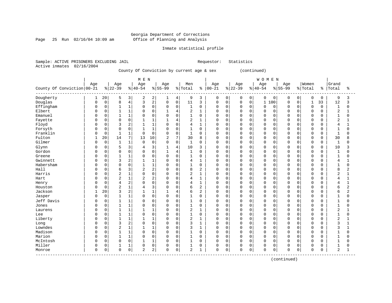Page 25 Run 02/16/04 10:09 am

#### Inmate statistical profile

Sample: ACTIVE PRISONERS EXCLUDING JAIL Requestor: Statistics Active inmates 02/16/2004

County Of Conviction by current age & sex (continued)

|                              |          |             |                |                     | M E N          |                |              |                |              |                |             |             |             |                | WOMEN       |             |             |             |              |             |                |              |
|------------------------------|----------|-------------|----------------|---------------------|----------------|----------------|--------------|----------------|--------------|----------------|-------------|-------------|-------------|----------------|-------------|-------------|-------------|-------------|--------------|-------------|----------------|--------------|
|                              | Age      |             | Age            |                     | Age            |                | Age          |                | Men          |                | Age         |             | Age         |                | Age         |             | Age         |             | Women        |             | Grand          |              |
| County Of Conviction   00-21 |          |             | $8 22-39$      |                     | $ 40-54$       |                | $8 55-99$    |                | % Total      | ి              | $00 - 21$   |             | $ 22-39$    |                | $ 40-54$    |             | $8 55-99$   |             | % Total      | န္          | Total          | ႜ            |
| Dougherty                    |          | 20          | 5              | 3                   | 2              | 2              | 1            | 4              | 9            | 3              | 0           | 0           | 0           | $\overline{0}$ | 0           | 0           | 0           | 0           | 0            | 0           | 9              | 3            |
| Douglas                      | O        | $\mathsf 0$ | 8              | $\overline{4}$      | 3              | 2              | 0            | $\mathsf 0$    | 11           | 3              | $\mathbf 0$ | 0           | $\Omega$    | $\mathsf 0$    | $\mathbf 1$ | 100         | $\mathbf 0$ | 0           | $\mathbf{1}$ | 33          | 12             | 3            |
| Effingham                    | Ω        | $\Omega$    | $\mathbf{1}$   | $\mathbf 1$         | 0              | $\mathbf 0$    | 0            | $\mathbf 0$    | $\mathbf{1}$ | $\mathbf 0$    | $\Omega$    | $\mathbf 0$ | $\Omega$    | $\Omega$       | $\Omega$    | $\Omega$    | $\mathbf 0$ | $\Omega$    | $\mathbf 0$  | $\Omega$    | $\mathbf 1$    | $\Omega$     |
| Elbert                       |          | $\mathbf 0$ | $\mathbf{1}$   | $\mathbf{1}$        | $\Omega$       | $\Omega$       | 1            | $\overline{4}$ | 2            | $\mathbf{1}$   | $\Omega$    | $\Omega$    | $\Omega$    | $\Omega$       | $\Omega$    | $\Omega$    | $\Omega$    | $\Omega$    | $\Omega$     | $\Omega$    | $\overline{2}$ | 1            |
| Emanuel                      |          | $\mathsf 0$ |                | $\mathbf{1}$        | $\Omega$       | $\mathsf 0$    | 0            | $\mathbf 0$    | $\mathbf{1}$ | $\Omega$       | $\Omega$    | 0           | $\mathbf 0$ | 0              | $\mathbf 0$ | $\mathbf 0$ | $\Omega$    | $\Omega$    | $\mathbf 0$  | $\mathbf 0$ | $\mathbf{1}$   | 0            |
| Fayette                      |          | $\mathbf 0$ | $\Omega$       | $\Omega$            | $\mathbf{1}$   | $\mathbf{1}$   | $\mathbf{1}$ | $\overline{4}$ | 2            | $\mathbf{1}$   | $\Omega$    | $\mathbf 0$ | $\Omega$    | $\Omega$       | $\mathbf 0$ | $\mathbf 0$ | $\Omega$    | $\Omega$    | $\mathbf 0$  | $\Omega$    | $\overline{2}$ | $\mathbf{1}$ |
| Floyd                        |          | $\mathbf 0$ | 3              | $\overline{2}$      | $\mathbf{1}$   | $\mathbf{1}$   | 0            | $\Omega$       | 4            | $\mathbf{1}$   | $\Omega$    | $\Omega$    | $\Omega$    | $\Omega$       | $\mathbf 0$ | $\Omega$    | $\Omega$    | $\Omega$    | $\Omega$     | $\Omega$    | 4              | $\mathbf{1}$ |
| Forsyth                      |          | $\mathsf 0$ | $\mathbf 0$    | $\mathbf 0$         |                | $\mathbf{1}$   | 0            | $\mathbf 0$    | 1            | 0              | $\Omega$    | $\mathbf 0$ | $\Omega$    | $\Omega$       | $\mathbf 0$ | $\mathbf 0$ | $\Omega$    | $\cap$      | $\mathbf 0$  | 0           | $\mathbf{1}$   | 0            |
| Franklin                     |          | $\Omega$    | $\mathbf{1}$   | $\mathbf 1$         | $\Omega$       | $\mathbf 0$    | $\Omega$     | $\mathbf 0$    | $\mathbf{1}$ | $\Omega$       | $\Omega$    | $\mathbf 0$ | $\Omega$    | $\Omega$       | $\mathbf 0$ | $\Omega$    | $\Omega$    | $\Omega$    | $\mathbf 0$  | $\Omega$    | $\overline{1}$ | $\Omega$     |
| Fulton                       |          | 20          | 14             | 7                   | 13             | 10             | 2            | 7              | 30           | 8              | $\Omega$    | $\Omega$    | $\Omega$    | $\Omega$       | $\Omega$    | $\Omega$    | $\Omega$    | $\Omega$    | $\mathbf 0$  | $\Omega$    | 30             | 8            |
| Gilmer                       | Λ        | $\mathbf 0$ | $\mathbf{1}$   | $\mathbf{1}$        | $\mathbf 0$    | $\mathbf 0$    | 0            | $\mathbf 0$    | $\mathbf{1}$ | $\Omega$       | $\Omega$    | $\mathbf 0$ | $\Omega$    | $\Omega$       | $\mathbf 0$ | $\mathbf 0$ | $\Omega$    | $\Omega$    | $\mathbf 0$  | 0           | $\mathbf{1}$   | $\Omega$     |
| Glynn                        |          | $\mathbf 0$ | 5              | 3                   | 4              | $\overline{3}$ | 1            | $\overline{4}$ | 10           | 3              | $\Omega$    | $\mathbf 0$ | $\Omega$    | $\Omega$       | $\mathbf 0$ | $\mathbf 0$ | 0           | $\Omega$    | $\mathbf 0$  | 0           | 10             | 3            |
| Gordon                       |          | $\mathbf 0$ | $\Omega$       | $\mathbf 0$         | $\Omega$       | $\mathsf{O}$   | 1            | $\overline{4}$ | $\mathbf{1}$ | $\Omega$       | $\Omega$    | $\mathbf 0$ | $\Omega$    | $\Omega$       | $\Omega$    | $\mathbf 0$ | $\Omega$    | $\Omega$    | $\mathbf 0$  | $\mathbf 0$ | $\mathbf 1$    | 0            |
| Greene                       |          | $\mathbf 0$ | $\mathbf{1}$   | 1                   | $\Omega$       | $\mathbf 0$    | 0            | $\mathbf 0$    | $\mathbf{1}$ | $\Omega$       | $\Omega$    | $\mathbf 0$ | $\Omega$    | $\Omega$       | $\Omega$    | $\Omega$    | $\Omega$    | $\Omega$    | $\mathbf 0$  | $\Omega$    | $\mathbf{1}$   | 0            |
| Gwinnett                     |          | $\mathbf 0$ | 3              | $\overline{2}$      | 1              | $\mathbf{1}$   | 0            | $\mathbf 0$    | 4            | 1              | $\mathbf 0$ | $\mathbf 0$ | $\Omega$    | $\Omega$       | $\mathbf 0$ | $\mathbf 0$ | $\Omega$    | $\Omega$    | $\Omega$     | 0           | 4              | 1            |
| Habersham                    |          | $\mathbf 0$ | $\Omega$       | $\Omega$            |                | $\mathbf{1}$   | 0            | $\mathbf 0$    | $\mathbf{1}$ | 0              | $\Omega$    | $\mathbf 0$ | $\Omega$    | $\Omega$       | $\mathbf 0$ | $\Omega$    | $\Omega$    | $\Omega$    | $\mathbf 0$  | O           | $\mathbf{1}$   | $\Omega$     |
| Hall                         | U        | $\Omega$    | 6              | 3                   | $\overline{a}$ | 2              | 0            | $\Omega$       | 8            | $\overline{2}$ | $\Omega$    | $\Omega$    | $\Omega$    | $\Omega$       | $\Omega$    | $\Omega$    | $\Omega$    | $\cap$      | $\Omega$     | $\Omega$    | 8              | 2            |
| Harris                       |          | $\mathbf 0$ | $\overline{2}$ | $\mathbf{1}$        | 0              | $\mathbf 0$    | 0            | $\mathbf 0$    | 2            | $\mathbf{1}$   | $\Omega$    | $\mathbf 0$ | $\mathbf 0$ | $\Omega$       | $\mathbf 0$ | $\Omega$    | $\Omega$    | $\Omega$    | $\mathbf 0$  | $\Omega$    | 2              | 1            |
| Hart                         |          | $\mathbf 0$ | $\overline{2}$ | $\mathbf{1}$        | $\overline{2}$ | $\overline{c}$ | 0            | $\mathbf 0$    | 4            | $\mathbf{1}$   | $\Omega$    | $\mathbf 0$ | $\Omega$    | $\Omega$       | $\mathbf 0$ | $\Omega$    | $\Omega$    | $\Omega$    | $\mathbf 0$  | $\Omega$    | 4              | $\mathbf 1$  |
| Henry                        |          | $\mathbf 0$ | 4              | $\overline{2}$      | $\Omega$       | $\mathsf 0$    | 0            | $\mathbf 0$    | 4            | $\mathbf{1}$   | $\Omega$    | $\mathbf 0$ | $\Omega$    | $\Omega$       | $\mathbf 0$ | $\mathbf 0$ | $\Omega$    | $\Omega$    | $\Omega$     | 0           | 4              | $\mathbf{1}$ |
| Houston                      |          | $\mathbf 0$ | $\overline{2}$ | $\mathbf{1}$        | 4              | 3              | 0            | $\mathbf 0$    | 6            | 2              | $\Omega$    | $\mathbf 0$ | $\Omega$    | $\Omega$       | $\mathbf 0$ | $\mathbf 0$ | $\Omega$    | $\Omega$    | $\circ$      | $\Omega$    | 6              | 2            |
| Jackson                      |          | 20          | 3              | $\overline{2}$      | $\mathbf{1}$   | $\mathbf{1}$   | 1            | $\overline{4}$ | 6            | 2              | $\Omega$    | $\mathbf 0$ | $\Omega$    | $\Omega$       | $\mathbf 0$ | $\mathbf 0$ | $\Omega$    | $\Omega$    | $\Omega$     | 0           | 6              | 2            |
| Jasper                       | O        | $\mathbf 0$ |                | $\mathbf{1}$        | 0              | $\mathsf 0$    | 0            | $\mathbf 0$    | $\mathbf{1}$ | $\Omega$       | $\Omega$    | $\mathbf 0$ | $\Omega$    | $\Omega$       | $\mathbf 0$ | $\Omega$    | $\Omega$    | $\Omega$    | $\Omega$     | 0           | 1              | $\Omega$     |
| Jeff Davis                   |          | $\mathbf 0$ |                | $\mathbf 1$         | 0              | $\mathbf 0$    | 0            | $\mathbf 0$    | 1            | $\Omega$       | $\Omega$    | 0           | $\Omega$    | $\Omega$       | $\mathbf 0$ | $\Omega$    | $\Omega$    | $\Omega$    | 0            | 0           | $\mathbf{1}$   | 0            |
| Jones                        |          | $\Omega$    | $\mathbf{1}$   | $\mathbf{1}$        | $\Omega$       | $\mathbf 0$    | 0            | $\mathbf 0$    | $\mathbf{1}$ | $\Omega$       | $\Omega$    | $\mathbf 0$ | $\Omega$    | $\Omega$       | $\Omega$    | $\Omega$    | $\Omega$    | $\Omega$    | $\mathbf 0$  | $\Omega$    | $\mathbf{1}$   | $\Omega$     |
| Laurens                      |          | $\mathbf 0$ | $\mathbf{1}$   | 1                   | $\mathbf{1}$   | $\mathbf{1}$   | 0            | $\mathbf 0$    | 2            | $\mathbf{1}$   | $\Omega$    | $\Omega$    | $\Omega$    | $\Omega$       | $\Omega$    | $\Omega$    | $\Omega$    | $\Omega$    | $\mathbf 0$  | $\Omega$    | 2              | 1            |
| Lee                          |          | $\mathbf 0$ |                | $\mathbf{1}$        | $\Omega$       | $\mathbf 0$    | 0            | $\mathbf 0$    | 1            | $\mathbf 0$    | $\Omega$    | $\Omega$    | $\Omega$    | $\Omega$       | $\mathbf 0$ | $\Omega$    | $\Omega$    | $\Omega$    | $\Omega$     | $\Omega$    | $\mathbf{1}$   | 0            |
| Liberty                      |          | $\mathbf 0$ | $\mathbf{1}$   | $\mathbf{1}$        |                | $1\,$          | 0            | $\mathbf 0$    | 2            | $\mathbf{1}$   | $\Omega$    | $\mathbf 0$ | $\Omega$    | 0              | $\mathbf 0$ | $\mathbf 0$ | $\Omega$    | $\mathbf 0$ | $\circ$      | 0           | $\overline{2}$ | 1            |
| Long                         |          | $\mathbf 0$ | 3              | $\overline{a}$      | 0              | $\mathbf 0$    | 0            | $\mathbf 0$    | 3            | $\mathbf{1}$   | $\Omega$    | $\mathbf 0$ | $\Omega$    | $\Omega$       | $\mathbf 0$ | $\Omega$    | $\Omega$    | $\Omega$    | $\mathbf 0$  | $\Omega$    | 3              | $\mathbf{1}$ |
| Lowndes                      |          | $\mathbf 0$ | $\overline{2}$ | 1                   | $\mathbf{1}$   | $\mathbf{1}$   | 0            | $\mathbf 0$    | 3            | 1              | $\Omega$    | $\mathbf 0$ | $\Omega$    | $\Omega$       | $\mathbf 0$ | $\Omega$    | $\Omega$    | $\Omega$    | $\Omega$     | $\Omega$    | 3              | $\mathbf{1}$ |
| Madison                      | Λ        | $\mathbf 0$ |                | $\mathbf{1}$        | 0              | $\mathbf 0$    | 0            | $\mathbf 0$    | $\mathbf{1}$ | 0              | $\Omega$    | $\mathbf 0$ | $\mathbf 0$ | 0              | $\mathbf 0$ | $\Omega$    | $\Omega$    | $\Omega$    | $\mathbf 0$  | $\Omega$    | $\mathbf{1}$   | 0            |
| Marion                       | U        | $\Omega$    | $\mathbf{1}$   | $\mathbf{1}$        | 0              | $\mathbf 0$    | 0            | $\mathbf 0$    | $\mathbf{1}$ | $\Omega$       | $\Omega$    | $\mathbf 0$ | $\Omega$    | $\Omega$       | $\Omega$    | $\Omega$    | $\Omega$    | $\Omega$    | $\mathbf 0$  | $\Omega$    | $\mathbf{1}$   | $\Omega$     |
| McIntosh                     | 0        | $\Omega$    | $\mathbf 0$    | $\Omega$            | $\mathbf{1}$   | $\mathbf{1}$   | 0            | $\Omega$       | $\mathbf{1}$ | $\Omega$       | $\Omega$    | $\Omega$    | $\Omega$    | $\Omega$       | $\Omega$    | $\Omega$    | $\Omega$    | $\Omega$    | $\Omega$     | $\Omega$    | $\mathbf{1}$   | 0            |
| Miller                       |          | $\mathbf 0$ | 1              | $\mathbf 1$         | 0              | $\mathbf 0$    | 0            | $\mathbf 0$    | 1            | 0              | 0           | 0           | 0           | 0              | $\mathbf 0$ | $\mathbf 0$ | 0           | $\mathbf 0$ | 0            | 0           | 1              | 0            |
| Monroe                       | $\Omega$ | $\mathbf 0$ | $\mathbf 0$    | $\mathsf{O}\xspace$ | $\overline{2}$ | $\overline{a}$ | 0            | $\mathbf 0$    | 2            | $\mathbf{1}$   | $\mathbf 0$ | 0           | $\Omega$    | 0              | $\mathbf 0$ | 0           | $\Omega$    | 0           | $\Omega$     | 0           | $\overline{2}$ | $\mathbf{1}$ |

(continued)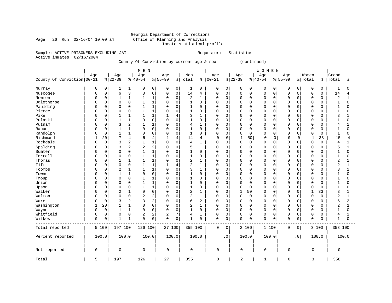### Georgia Department of Corrections<br>Office of Planning and Analysis Inmate statistical profile

Page 26 Run 02/16/04 10:09 am

Sample: ACTIVE PRISONERS EXCLUDING JAIL **Requestor:** Statistics Active inmates 02/16/2004

County Of Conviction by current age & sex (continued)

|                            |              |             |                  |                | MEN              |                |                  |                |                |                |                  |             |                 |             | <b>WOMEN</b>     |             |                  |             |                  |             |                |              |
|----------------------------|--------------|-------------|------------------|----------------|------------------|----------------|------------------|----------------|----------------|----------------|------------------|-------------|-----------------|-------------|------------------|-------------|------------------|-------------|------------------|-------------|----------------|--------------|
| County Of Conviction 00-21 | Age          |             | Age<br>$8 22-39$ |                | Age<br>$8 40-54$ |                | Age<br>$8 55-99$ |                | Men<br>% Total | နွ             | Age<br>$00 - 21$ |             | Age<br>$ 22-39$ |             | Age<br>$8 40-54$ |             | Age<br>$8 55-99$ |             | Women<br>% Total | န           | Grand<br>Total | နွ           |
| Murray                     | 0            | 0           |                  | 1              | 0                | 0              | 0                | $\overline{0}$ | $\mathbf 1$    | 0              | 0                | 0           | 0               | 0           | 0                | 0           | 0                | 0           | 0                | 0           | 1              | 0            |
| Muscogee                   | $\Omega$     | $\mathsf 0$ | 6                | 3              | 8                | 6              | 0                | $\mathsf{O}$   | 14             | 4              | $\mathbf 0$      | 0           | $\mathbf 0$     | $\mathbf 0$ | $\Omega$         | $\mathbf 0$ | $\mathbf 0$      | $\mathbf 0$ | 0                | 0           | 14             | 4            |
| Newton                     | $\Omega$     | $\Omega$    | 1                | $\mathbf{1}$   | $\mathbf{1}$     | 1              | 0                | $\mathbf 0$    | 2              | 1              | $\Omega$         | 0           | $\Omega$        | $\Omega$    | $\Omega$         | $\Omega$    | $\Omega$         | $\Omega$    | $\mathbf 0$      | $\Omega$    | 2              | $\mathbf 1$  |
| Oglethorpe                 | 0            | $\mathsf 0$ | $\Omega$         | $\mathbf 0$    | $\mathbf{1}$     | $\mathbf{1}$   | 0                | $\mathsf{O}$   | $\mathbf{1}$   | $\mathbf 0$    | $\mathbf 0$      | 0           | $\Omega$        | $\mathbf 0$ | $\mathbf 0$      | 0           | 0                | $\Omega$    | $\mathbf 0$      | 0           | $\mathbf 1$    | 0            |
| Paulding                   | <sup>0</sup> | $\mathbf 0$ | $\Omega$         | $\mathbf 0$    | $\mathbf{1}$     | $\mathbf{1}$   | $\Omega$         | $\mathbf 0$    | $\mathbf{1}$   | $\mathbf 0$    | $\mathbf 0$      | $\mathbf 0$ | $\Omega$        | $\Omega$    | $\Omega$         | $\Omega$    | $\Omega$         | $\Omega$    | $\Omega$         | $\Omega$    | $\mathbf{1}$   | $\Omega$     |
| Pierce                     | <sup>0</sup> | $\mathbf 0$ | $\Omega$         | $\mathbf 0$    | $\mathbf{1}$     | $\mathbf{1}$   | 0                | $\mathbf 0$    | 1              | $\mathbf 0$    | $\mathbf 0$      | 0           | $\Omega$        | $\Omega$    | $\Omega$         | $\Omega$    | 0                | $\Omega$    | $\mathbf 0$      | $\Omega$    | $\mathbf{1}$   | $\Omega$     |
| Pike                       | <sup>0</sup> | $\mathbf 0$ | 1                | $\mathbf{1}$   | $\mathbf{1}$     | $\mathbf{1}$   | 1                | 4              | 3              | $\mathbf{1}$   | $\mathbf 0$      | 0           | $\Omega$        | $\Omega$    | $\mathbf 0$      | $\mathbf 0$ | $\mathbf 0$      | $\Omega$    | $\mathbf 0$      | $\Omega$    | 3              | 1            |
| Pulaski                    | $\Omega$     | $\mathbf 0$ | $\mathbf{1}$     | $\mathbf{1}$   | $\Omega$         | $\mathbf 0$    | $\Omega$         | $\mathbf 0$    | $\mathbf{1}$   | $\mathbf 0$    | $\mathbf 0$      | $\mathbf 0$ | $\Omega$        | $\mathbf 0$ | $\mathbf 0$      | $\mathbf 0$ | $\Omega$         | $\Omega$    | $\mathbf 0$      | $\Omega$    | $\mathbf{1}$   | $\Omega$     |
| Putnam                     | $\Omega$     | $\mathbf 0$ | 3                | $\overline{2}$ | 1                | 1              | 0                | $\mathbf 0$    | 4              | 1              | $\mathbf 0$      | 0           | 0               | 0           | $\mathbf 0$      | 0           | 0                | 0           | $\mathbf 0$      | 0           | 4              | 1            |
| Rabun                      |              | $\mathbf 0$ | 1                | $\mathbf{1}$   | $\mathbf 0$      | $\Omega$       | 0                | $\mathbf 0$    | $\mathbf{1}$   | $\mathbf 0$    | $\mathbf 0$      | $\mathbf 0$ | $\Omega$        | $\Omega$    | $\Omega$         | $\Omega$    | $\mathbf 0$      | $\Omega$    | $\mathbf 0$      | $\Omega$    | $\mathbf{1}$   | $\Omega$     |
| Randolph                   | $\Omega$     | $\mathbf 0$ | 1                | $\mathbf{1}$   | $\Omega$         | $\mathbf 0$    | $\Omega$         | $\mathbf 0$    | $\mathbf{1}$   | $\mathbf 0$    | $\mathbf 0$      | $\mathbf 0$ | $\Omega$        | $\mathbf 0$ | $\mathbf 0$      | $\mathbf 0$ | $\mathbf 0$      | $\Omega$    | $\mathbf 0$      | $\mathbf 0$ | $\mathbf{1}$   | $\Omega$     |
| Richmond                   |              | 20          | 7                | $\overline{4}$ | 5                | $\overline{4}$ | $\mathbf{1}$     | 4              | 14             | 4              | 0                | 0           | $\mathbf{1}$    | 50          | $\mathbf 0$      | 0           | $\Omega$         | 0           | $\mathbf{1}$     | 33          | 15             | 4            |
| Rockdale                   | $\Omega$     | 0           | 3                | $\overline{2}$ | $\mathbf{1}$     | $\mathbf{1}$   | 0                | $\mathbf 0$    | 4              | $\mathbf{1}$   | $\mathbf 0$      | 0           | $\mathbf 0$     | $\mathbf 0$ | $\Omega$         | $\mathbf 0$ | $\Omega$         | $\Omega$    | $\mathbf 0$      | $\Omega$    | 4              | 1            |
| Spalding                   | <sup>0</sup> | $\mathbf 0$ | 3                | $\overline{c}$ | $\overline{2}$   | $\overline{2}$ | $\Omega$         | $\mathbf 0$    | 5              | $\mathbf{1}$   | $\mathbf 0$      | $\mathbf 0$ | $\Omega$        | $\mathbf 0$ | $\Omega$         | $\Omega$    | $\Omega$         | $\Omega$    | $\mathbf 0$      | 0           | 5              | 1            |
| Sumter                     | $\Omega$     | $\mathbf 0$ | $\mathbf 0$      | $\mathbf 0$    | $\mathbf{1}$     | $\mathbf{1}$   | 0                | $\mathbf 0$    | 1              | $\mathbf 0$    | 0                | 0           | 0               | 0           | $\mathbf 0$      | 0           | 0                | $\Omega$    | $\mathbf 0$      | 0           | 1              | 0            |
| Terrell                    | <sup>0</sup> | 0           | $\Omega$         | $\mathbf 0$    | $\mathbf{1}$     | $1\,$          | 0                | $\mathbf 0$    | 1              | $\mathbf 0$    | $\Omega$         | 0           | $\Omega$        | $\mathbf 0$ | $\Omega$         | $\mathbf 0$ | $\mathbf 0$      | $\Omega$    | $\mathbf 0$      | 0           | $\mathbf{1}$   | 0            |
| Thomas                     | $\Omega$     | $\mathbf 0$ |                  | $\mathbf{1}$   | $\mathbf{1}$     | $\mathbf{1}$   | $\Omega$         | $\mathbf 0$    | 2              | 1              | $\mathbf 0$      | 0           | $\Omega$        | $\Omega$    | $\mathbf 0$      | 0           | $\Omega$         | $\Omega$    | $\mathbf 0$      | $\Omega$    | 2              | $\mathbf{1}$ |
| Tift                       | <sup>0</sup> | $\mathbf 0$ | $\mathbf 0$      | $\mathbf 0$    | 1                | $\mathbf{1}$   | 1                | $\overline{4}$ | 2              | $\mathbf{1}$   | $\mathbf 0$      | 0           | $\Omega$        | $\Omega$    | $\Omega$         | $\Omega$    | 0                | $\Omega$    | $\mathbf 0$      | 0           | $\overline{2}$ | $\mathbf{1}$ |
| Toombs                     | $\Omega$     | $\mathsf 0$ | $\overline{c}$   | $1\,$          | 1                | $\mathbf{1}$   | 0                | $\mathsf 0$    | 3              | $\mathbf{1}$   | 0                | 0           | $\mathbf 0$     | $\mathbf 0$ | $\mathbf 0$      | $\mathbf 0$ | $\Omega$         | $\Omega$    | $\mathbf 0$      | $\Omega$    | 3              | $\mathbf{1}$ |
| Towns                      | $\Omega$     | $\mathbf 0$ | $\mathbf{1}$     | 1              | $\Omega$         | $\Omega$       | 0                | $\mathbf 0$    | 1              | $\mathbf 0$    | $\mathbf 0$      | $\mathbf 0$ | $\Omega$        | $\Omega$    | $\Omega$         | $\Omega$    | $\Omega$         | $\Omega$    | $\mathbf 0$      | O           | $\mathbf{1}$   | $\Omega$     |
| Troup                      | $\Omega$     | 0           | $\Omega$         | $\mathbf 0$    | 1                | 1              | 0                | $\mathbf 0$    | 1              | 0              | $\mathbf 0$      | 0           | $\Omega$        | 0           | $\Omega$         | $\Omega$    | $\Omega$         | $\Omega$    | 0                | U           | 1              | $\Omega$     |
| Union                      | <sup>0</sup> | $\mathbf 0$ | $\Omega$         | $\mathbf 0$    | $\mathbf 1$      | $\mathbf{1}$   | 0                | $\mathbf 0$    | $1\,$          | $\mathbf 0$    | $\mathbf 0$      | $\mathbf 0$ | $\Omega$        | $\Omega$    | $\Omega$         | $\Omega$    | $\mathbf 0$      | $\Omega$    | $\mathbf 0$      | $\Omega$    | $\mathbf{1}$   | $\Omega$     |
| Upson                      | $\Omega$     | $\mathbf 0$ | $\Omega$         | $\mathbf 0$    | $\mathbf{1}$     | $\mathbf{1}$   | 0                | $\mathbf 0$    | 1              | $\mathbf 0$    | $\mathbf 0$      | $\mathbf 0$ | $\Omega$        | $\Omega$    | $\mathbf 0$      | 0           | 0                | $\Omega$    | $\Omega$         | $\Omega$    | $\mathbf{1}$   | 0            |
| Walker                     | $\Omega$     | 0           | 2                | $\mathbf{1}$   | $\mathbf 0$      | $\mathsf 0$    | 0                | $\mathbf 0$    | 2              | $\mathbf{1}$   | 0                | 0           | $\mathbf{1}$    | 50          | $\mathbf 0$      | $\mathbf 0$ | $\mathbf 0$      | $\mathbf 0$ | $\mathbf 1$      | 33          | 3              | $\mathbf{1}$ |
| Walton                     | $\Omega$     | $\mathsf 0$ | $\Omega$         | $\mathsf 0$    | $\overline{2}$   | $\overline{c}$ | $\Omega$         | $\mathbf 0$    | 2              | $\mathbf{1}$   | $\mathbf 0$      | $\mathbf 0$ | $\Omega$        | $\mathbf 0$ | $\mathbf 0$      | $\mathbf 0$ | $\mathbf 0$      | $\Omega$    | $\mathbf 0$      | $\Omega$    | $\overline{2}$ | $\mathbf{1}$ |
| Ware                       | $\Omega$     | $\mathbf 0$ | 3                | $\overline{2}$ | 3                | $\overline{2}$ | $\Omega$         | $\mathbf 0$    | 6              | $\overline{2}$ | $\mathbf 0$      | 0           | $\Omega$        | $\Omega$    | $\Omega$         | $\Omega$    | 0                | $\Omega$    | $\mathbf 0$      | $\Omega$    | 6              | 2            |
| Washington                 |              | 20          | 1                | $1\,$          | $\mathbf 0$      | $\mathbf 0$    | 0                | $\mathbf 0$    | 2              | $\mathbf{1}$   | 0                | 0           | 0               | $\mathbf 0$ | $\mathbf 0$      | 0           | 0                | $\mathbf 0$ | $\mathbf 0$      | 0           | $\overline{2}$ | $\mathbf{1}$ |
| Wayne                      | $\Omega$     | $\mathsf 0$ | $\mathbf 1$      | $\mathbf 1$    | $\Omega$         | $\mathbf 0$    | 0                | $\mathbf 0$    | 1              | $\mathbf 0$    | $\mathbf 0$      | 0           | $\Omega$        | $\mathbf 0$ | $\mathbf 0$      | 0           | $\mathbf 0$      | $\mathbf 0$ | $\circ$          | 0           | $\mathbf{1}$   | 0            |
| Whitfield                  | $\Omega$     | 0           | $\Omega$         | $\mathbf 0$    | 2                | $\overline{c}$ | 2                | 7              | 4              | $\mathbf{1}$   | $\mathbf 0$      | $\mathbf 0$ | $\Omega$        | $\mathbf 0$ | $\mathbf 0$      | $\mathbf 0$ | $\mathbf 0$      | $\mathbf 0$ | $\mathbf 0$      | $\Omega$    | 4              | 1            |
| Wilkes                     | $\mathbf 0$  | $\mathbf 0$ | 1                | 1              | $\mathbf 0$      | $\mathbf 0$    | 0                | $\mathbf 0$    | 1              | $\mathbf 0$    | $\mathbf 0$      | 0           | $\mathbf 0$     | $\mathbf 0$ | $\mathbf 0$      | $\mathbf 0$ | $\mathbf 0$      | $\mathbf 0$ | $\mathbf 0$      | 0           | $\mathbf{1}$   | 0            |
| Total reported             |              | 5 100       | 197 100          |                | 126 100          |                | 27 100           |                | 355 100        |                | $\mathbf 0$      | $\mathbf 0$ |                 | 2 100       | 1 100            |             | $\mathbf 0$      | $\mathbf 0$ |                  | 3 100       | 358 100        |              |
| Percent reported           |              | 100.0       |                  | 100.0          | 100.0            |                | 100.0            |                | 100.0          |                |                  | $\cdot$ 0   |                 | 100.0       | 100.0            |             |                  | $\cdot$ 0   |                  | 100.0       |                | 100.0        |
| Not reported               | 0            |             | 0                |                | 0                |                | 0                |                | $\mathbf 0$    |                | $\mathbf{0}$     |             | 0               |             | $\mathbf 0$      |             | 0                |             | 0                |             | 0              |              |
| Total                      | 5            |             | 197              |                | 126              |                | 27               |                | 355            |                | $\mathbf 0$      |             | $\overline{2}$  |             | $\mathbf{1}$     |             | 0                |             | 3                |             | 358            |              |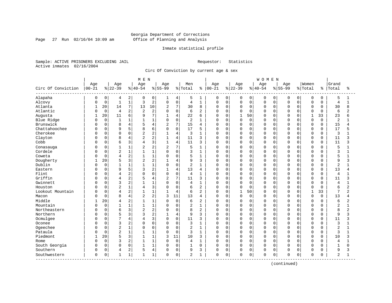Page 27 Run 02/16/04 10:09 am

#### Inmate statistical profile

Sample: ACTIVE PRISONERS EXCLUDING JAIL Requestor: Statistics Active inmates 02/16/2004

Circ Of Conviction by current age & sex

|                    |              |             |                |                | M E N          |                |                |                |                |                |              |             |              |             | <b>WOMEN</b> |          |           |             |              |             |                |                |
|--------------------|--------------|-------------|----------------|----------------|----------------|----------------|----------------|----------------|----------------|----------------|--------------|-------------|--------------|-------------|--------------|----------|-----------|-------------|--------------|-------------|----------------|----------------|
|                    | Age          |             | Age            |                | Age            |                | Age            |                | Men            |                | Age          |             | Age          |             | Age          |          | Age       |             | Women        |             | Grand          |                |
| Circ Of Conviction | $00 - 21$    |             | $ 22-39$       |                | $8 40-54$      |                | $8155 - 99$    |                | % Total        | ႜ              | $ 00 - 21$   |             | $8 22-39$    |             | $8 40-54$    |          | $8 55-99$ |             | % Total      | ႜ           | Total          | ÷              |
| Alapaha            | 0            | 0           | 4              | 2              | 0              | 0              | ı              | 4              | 5              | 1              | 0            | 0           | 0            | 0           | 0            | 0        | $\Omega$  | 0           | 0            | 0           | 5              | 1              |
| Alcovy             | U            | $\mathbf 0$ | $\mathbf{1}$   | $\mathbf 1$    | 3              | $\overline{c}$ | $\mathbf 0$    | $\mathsf 0$    | $\overline{4}$ | $\mathbf{1}$   | $\Omega$     | $\mathbf 0$ | $\mathsf 0$  | $\mathbf 0$ | $\mathbf 0$  | 0        | $\Omega$  | $\mathbf 0$ | $\mathbf 0$  | 0           | 4              | $\mathbf{1}$   |
| Atlanta            | $\mathbf{1}$ | 20          | 14             | $\overline{7}$ | 13             | 10             | $\overline{a}$ | 7              | 30             | 8              | $\Omega$     | $\mathbf 0$ | $\mathbf 0$  | 0           | $\Omega$     | 0        | $\Omega$  | $\Omega$    | $\Omega$     | $\Omega$    | 30             | 8              |
| Atlantic           | U            | $\mathbf 0$ | $\overline{4}$ | 2              | 2              | $\overline{c}$ |                | $\mathbf 0$    | 6              | 2              | 0            | $\mathbf 0$ | 0            | $\Omega$    | $\Omega$     | $\Omega$ |           | $\cap$      | $\Omega$     | $\Omega$    | 6              | 2              |
| Augusta            | -1           | 20          | 11             | 6              | q              | 7              | $\mathbf{1}$   | $\overline{4}$ | 22             | 6              | <sup>0</sup> | $\Omega$    | $\mathbf{1}$ | 50          | $\Omega$     | $\Omega$ | $\Omega$  | U           | $\mathbf{1}$ | 33          | 23             | ศ              |
| Blue Ridge         | ſ            | $\mathbf 0$ | $\overline{1}$ | 1              |                | $\mathbf{1}$   | $\Omega$       | $\mathbf 0$    | 2              | $\mathbf{1}$   | 0            | $\Omega$    | 0            | $\Omega$    | $\Omega$     | $\Omega$ | $\cap$    | $\cap$      | $\Omega$     | $\Omega$    | 2              |                |
| Brunswick          |              | 0           | 8              | 4              |                | 4              | $\overline{2}$ | 7              | 15             | 4              | $\Omega$     | $\mathbf 0$ | 0            | $\mathbf 0$ | $\Omega$     | 0        | $\Omega$  | $\Omega$    | $\mathbf 0$  | $\mathbf 0$ | 15             | 4              |
| Chattahoochee      |              | $\Omega$    | 9              | 5              | 8              | 6              | $\Omega$       | $\mathbf 0$    | 17             | 5              | 0            | $\Omega$    | 0            | $\Omega$    | $\Omega$     | 0        | $\Omega$  | $\Omega$    | $\mathbf 0$  | $\Omega$    | 17             | 5              |
| Cherokee           | C            | 0           | $\Omega$       | 0              |                | $\overline{2}$ |                | $\overline{4}$ | 3              |                | 0            | 0           | 0            | 0           | $\Omega$     | 0        | $\Omega$  | $\cap$      | 0            | 0           | 3              |                |
| Clayton            |              | 0           | 8              | 4              | $\overline{c}$ | 2              |                | $\overline{4}$ | 11             | 3              | $\Omega$     | $\Omega$    | 0            | $\Omega$    | 0            | 0        | $\Omega$  | $\Omega$    | $\mathbf 0$  | $\Omega$    | 11             | 3              |
| Cobb               | C            | 0           | 6              | 3              | 4              | 3              | $\mathbf{1}$   | 4              | 11             | 3              | 0            | $\Omega$    | 0            | $\Omega$    | 0            | $\Omega$ | $\Omega$  | $\Omega$    | $\mathbf 0$  | 0           | 11             | ζ              |
| Conasauga          | C            | 0           | $\mathbf{1}$   | $\mathbf{1}$   | $\overline{c}$ | 2              | $\overline{a}$ | 7              | 5              | $\mathbf{1}$   | 0            | $\Omega$    | O            | $\Omega$    | $\Omega$     | $\Omega$ | $\Omega$  | $\Omega$    | $\Omega$     | $\Omega$    | 5              |                |
| Cordele            |              | 0           | $\overline{c}$ | $\mathbf 1$    |                | $1\,$          | $\Omega$       | $\mathbf 0$    | 3              | $\mathbf{1}$   | 0            | $\mathbf 0$ | 0            | $\Omega$    | $\Omega$     | $\Omega$ | $\Omega$  | $\Omega$    | $\mathbf 0$  | $\Omega$    | 3              |                |
| Coweta             |              | $\Omega$    | 4              | $\overline{c}$ | $\mathbf{1}$   | $\mathbf{1}$   | $\Omega$       | $\Omega$       | 5              | $\mathbf{1}$   | 0            | $\Omega$    | 0            | $\Omega$    | $\Omega$     | 0        | $\cap$    | $\cap$      | $\mathbf 0$  | $\Omega$    | 5              | $\mathbf{1}$   |
| Dougherty          |              | 20          | 5              | 3              | $\overline{c}$ | 2              |                | $\overline{4}$ | 9              | 3              | $\Omega$     | 0           | 0            | $\Omega$    | $\Omega$     | 0        | $\cap$    | $\cap$      | $\mathbf 0$  | $\Omega$    | 9              | 3              |
| Dublin             |              | $\mathbf 0$ | $\mathbf{1}$   | 1              |                | $1\,$          | $\Omega$       | $\mathbf 0$    | $\overline{a}$ | $\mathbf{1}$   | 0            | $\Omega$    | 0            | $\Omega$    | $\Omega$     | O        | $\cap$    | $\cap$      | $\Omega$     | $\Omega$    | $\overline{a}$ |                |
| Eastern            |              | $\Omega$    | 9              | 5              | ζ              | $\overline{c}$ | 1              | $\overline{4}$ | 13             | 4              | 0            | $\Omega$    | 0            | $\Omega$    | $\Omega$     | $\Omega$ | $\Omega$  | $\cap$      | $\Omega$     | $\Omega$    | 13             | 4              |
| Flint              | С            | 0           | 4              | $\overline{c}$ | U              | $\mathbf 0$    | $\mathbf 0$    | $\mathbf 0$    | $\overline{4}$ | $\mathbf{1}$   | 0            | 0           | 0            | 0           | $\Omega$     | $\Omega$ | $\Omega$  | $\Omega$    | $\mathbf 0$  | 0           | 4              |                |
| Griffin            |              | 0           | 4              | $\overline{c}$ |                | $\overline{4}$ | $\overline{2}$ | 7              | 11             | 3              | 0            | $\Omega$    | 0            | $\mathbf 0$ | $\Omega$     | 0        | $\Omega$  | $\Omega$    | $\mathbf 0$  | $\mathbf 0$ | 11             | 3              |
| Gwinnett           |              | 0           | 3              | $\overline{a}$ |                | $\mathbf{1}$   | $\Omega$       | $\mathbf 0$    | 4              | $\mathbf{1}$   | 0            | $\Omega$    | $\mathbf 0$  | $\mathbf 0$ | $\Omega$     | 0        | $\Omega$  | $\Omega$    | $\Omega$     | $\Omega$    | 4              | $\mathbf{1}$   |
| Houston            |              | 0           | 2              | $\mathbf 1$    |                | 3              | $\Omega$       | $\mathbf 0$    | 6              | 2              | 0            | 0           | 0            | 0           | $\Omega$     | 0        | $\Omega$  | $\cap$      | $\Omega$     | 0           | 6              | 2              |
| Lookout Mountain   |              | 0           | $\overline{4}$ | $\overline{a}$ | 1              | $\mathbf{1}$   | $\mathbf{1}$   | $\overline{4}$ | 6              | 2              | $\Omega$     | $\mathbf 0$ | $\mathbf{1}$ | 50          | 0            | 0        | $\Omega$  | $\Omega$    | $\mathbf{1}$ | 33          | 7              | 2              |
| Macon              | U            | $\Omega$    | 8              | 4              | $\overline{2}$ | 2              | 3              | 11             | 13             | 4              | $\Omega$     | $\Omega$    | $\Omega$     | $\Omega$    | $\Omega$     | $\Omega$ | $\Omega$  | $\Omega$    | $\Omega$     | $\Omega$    | 13             | 4              |
| Middle             |              | 20          | 4              | $\overline{c}$ |                | $\mathbf{1}$   | $\Omega$       | 0              | 6              | $\overline{2}$ | $\Omega$     | $\Omega$    | 0            | $\Omega$    | $\Omega$     | $\Omega$ | $\Omega$  | $\Omega$    | $\mathbf 0$  | $\Omega$    | 6              | $\overline{2}$ |
| Mountain           |              | $\mathbf 0$ | $\mathbf{1}$   | 1              |                | $1\,$          | $\Omega$       | $\mathbf 0$    | 2              | $\mathbf{1}$   | $\Omega$     | $\mathbf 0$ | 0            | 0           | $\Omega$     | 0        | $\Omega$  | $\Omega$    | $\mathbf 0$  | $\mathbf 0$ | $\overline{2}$ | 1              |
| Northeastern       |              | 0           | 6              | 3              | $\overline{a}$ | $\overline{c}$ | $\cap$         | $\Omega$       | 8              | 2              | 0            | $\Omega$    | 0            | $\Omega$    | $\Omega$     | 0        | $\cap$    | $\cap$      | $\mathbf 0$  | $\Omega$    | 8              | $\overline{2}$ |
| Northern           |              | 0           | 5              | 3              |                | $\overline{2}$ |                | $\overline{4}$ | 9              | 3              | 0            | 0           | 0            | 0           | $\Omega$     | 0        | $\Omega$  | $\cap$      | 0            | 0           | 9              | 3              |
| Ocmulgee           |              | O           | 7              | 4              | Δ              | 3              | $\Omega$       | $\mathbf 0$    | 11             | 3              | 0            | $\Omega$    | 0            | $\Omega$    | 0            | $\Omega$ | $\Omega$  | $\cap$      | $\mathbf 0$  | $\Omega$    | 11             | 3              |
| Oconee             |              | 0           | 3              | $\overline{2}$ | $\cap$         | $\mathbf 0$    | $\Omega$       | 0              | 3              | $\mathbf{1}$   | 0            | $\Omega$    | 0            | $\Omega$    | $\Omega$     | $\Omega$ | $\Omega$  | $\cap$      | $\Omega$     | $\Omega$    | 3              |                |
| Ogeechee           | С            | 0           | 2              | $\mathbf{1}$   | $\Omega$       | $\mathbf 0$    | 0              | $\mathbf 0$    | $\overline{2}$ | $\mathbf{1}$   | 0            | $\mathbf 0$ | 0            | $\mathbf 0$ | $\Omega$     | 0        | $\Omega$  | $\Omega$    | $\mathbf 0$  | 0           | $\overline{2}$ | 1              |
| Pataula            |              | 0           | $\overline{2}$ | $\mathbf{1}$   |                | $\mathbf{1}$   | $\Omega$       | $\mathbf 0$    | 3              | $\mathbf{1}$   | 0            | $\mathbf 0$ | 0            | $\mathbf 0$ | $\Omega$     | 0        | $\Omega$  | $\Omega$    | $\mathbf 0$  | 0           | 3              |                |
| Piedmont           |              | 20          | 5              | 3              |                | $\mathbf{1}$   | 3              | 11             | 10             | 3              | $\Omega$     | $\Omega$    | $\Omega$     | $\Omega$    | $\Omega$     | $\Omega$ | $\Omega$  | $\Omega$    | $\Omega$     | $\Omega$    | 10             | 3              |
| Rome               |              | $\mathbf 0$ | 3              | 2              |                | 1              | $\Omega$       | $\mathbf 0$    | $\overline{4}$ | $\mathbf{1}$   | $\Omega$     | $\mathbf 0$ | 0            | $\Omega$    | $\Omega$     | $\Omega$ | $\Omega$  | $\Omega$    | $\Omega$     | $\Omega$    | 4              |                |
| South Georgia      | U            | 0           | $\Omega$       | 0              | $\mathbf{1}$   | 1              | $\Omega$       | $\mathbf 0$    | $\mathbf{1}$   | $\Omega$       | 0            | $\Omega$    | 0            | $\Omega$    | $\Omega$     | 0        | $\Omega$  | $\Omega$    | $\Omega$     | $\Omega$    | $\mathbf{1}$   | $\Omega$       |
| Southern           | 0            | 0           | 4              | 2              | 5              | $\overline{4}$ | $\Omega$       | $\mathbf 0$    | 9              | 3              | 0            | 0           | 0            | 0           | $\Omega$     | 0        | $\Omega$  | $\Omega$    | $\Omega$     | $\Omega$    | 9              | 3              |
| Southwestern       | 0            | 0           | 1              | 1              | 1              | 1              | $\Omega$       | 0              | 2              | $\mathbf{1}$   | 0            | 0           | 0            | 0           | $\mathbf 0$  | 0        | 0         | 0           | $\Omega$     | 0           | 2              | 1              |

(continued)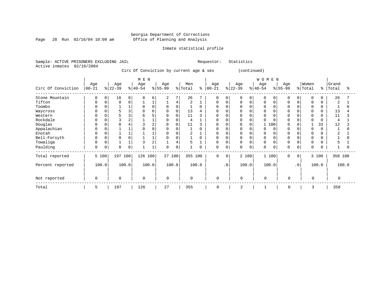Page 28 Run 02/16/04 10:09 am

#### Inmate statistical profile

Sample: ACTIVE PRISONERS EXCLUDING JAIL Requestor: Statistics Active inmates 02/16/2004

Circ Of Conviction by current age & sex (continued)

|                    |                  |          |                  |                | M E N            |          |                  |        |                |          |                 |           |                  |             | WOMEN            |          |                 |                |                  |          |                |       |
|--------------------|------------------|----------|------------------|----------------|------------------|----------|------------------|--------|----------------|----------|-----------------|-----------|------------------|-------------|------------------|----------|-----------------|----------------|------------------|----------|----------------|-------|
| Circ Of Conviction | Age<br>$00 - 21$ |          | Age<br>$ 22-39 $ |                | Age<br>$ 40-54 $ |          | Age<br>$8 55-99$ |        | Men<br>% Total | ి        | Age<br>$ 00-21$ |           | Age<br>$ 22-39 $ |             | Age<br>$ 40-54 $ |          | Age<br>$ 55-99$ |                | Women<br>% Total | ႜ        | Grand<br>Total | °     |
| Stone Mountain     | 0                | $\Omega$ | 16               | 8              | 8                | 6        | 2                | 7      | 26             |          | 0               | 0         | 0                | 0           | 0                | $\Omega$ | 0               | $\Omega$       | 0                | 0        | 26             |       |
| Tifton             | $\Omega$         | 0        | $\Omega$         | 0              |                  |          |                  | 4      | $\overline{2}$ |          | $\Omega$        | $\Omega$  | <sup>0</sup>     | $\mathbf 0$ | 0                | $\Omega$ | $\Omega$        |                | 0                |          | $\overline{2}$ |       |
| Toombs             | $\Omega$         |          |                  |                | $\Omega$         | $\Omega$ | 0                | 0      |                | $\Omega$ | 0               |           |                  | 0           | 0                |          | $\Omega$        |                | 0                | 0        |                |       |
| Waycross           | 0                |          |                  |                | 8                | б        | 0                | 0      | 13             |          | $\Omega$        |           |                  |             |                  |          |                 |                | $\Omega$         |          | 13             |       |
| Western            | $\Omega$         |          |                  | 3              |                  |          | $\Omega$         | 0      | 11             |          | O               |           |                  |             |                  |          |                 |                | $\Omega$         |          | 11             |       |
| Rockdale           | O                |          |                  | $\overline{2}$ |                  |          |                  |        | 4              |          |                 |           |                  | $\Omega$    |                  |          |                 |                | $\Omega$         |          | $\overline{4}$ |       |
| Douglas            | $\Omega$         |          |                  |                |                  |          | $\Omega$         | 0      | 11             |          | $\Omega$        |           |                  | 0           |                  | 100      |                 |                |                  | 33       | 12             |       |
| Appalachian        | 0                |          |                  |                |                  |          | $\Omega$         |        |                | $\Omega$ | <sup>0</sup>    |           |                  |             |                  | $\Omega$ |                 |                | $\cap$           |          |                |       |
| Enotah             | $\Omega$         |          |                  |                |                  |          |                  |        |                |          | U               |           | O                |             |                  |          |                 |                | $\Omega$         |          |                |       |
| Bell-Forsyth       | 0                |          |                  | $\Omega$       |                  |          | $\Omega$         |        |                | $\Omega$ | <sup>0</sup>    |           | <sup>0</sup>     |             | $\Omega$         |          | $\Omega$        |                | $\Omega$         |          |                |       |
| Towaliga           | $\Omega$         |          |                  |                |                  | 2        |                  |        | 5              |          | 0               |           | 0                | $\Omega$    | O                |          | $\Omega$        |                | $\Omega$         |          |                |       |
| Paulding           | 0                | 0        | $\Omega$         | 0              |                  |          | $\Omega$         | 0      |                | 0        | 0               | 0         | 0                | 0           | 0                | 0        | $\Omega$        | 0              | $\Omega$         | $\Omega$ |                |       |
| Total reported     |                  | 5 100    | 197 100          |                | 126 100          |          |                  | 27 100 | 355 100        |          | 0               | $\Omega$  |                  | 2 100       | 1 100            |          | $\Omega$        | 0 <sup>1</sup> |                  | 3 100    | 358 100        |       |
| Percent reported   |                  | 100.0    |                  | 100.0          |                  | 100.0    |                  | 100.0  |                | 100.0    |                 | $\cdot$ 0 |                  | 100.0       | 100.0            |          |                 | $\cdot$ 0      |                  | 100.0    |                | 100.0 |
| Not reported       | $\mathbf 0$      |          | $\Omega$         |                | $\mathbf 0$      |          | $\Omega$         |        | $\mathbf 0$    |          | 0               |           | $\mathbf 0$      |             | $\Omega$         |          | $\Omega$        |                | $\Omega$         |          | $\Omega$       |       |
| Total              | 5                |          | 197              |                | 126              |          | 27               |        | 355            |          | $\mathbf 0$     |           | $\overline{2}$   |             |                  |          | 0               |                | 3                |          | 358            |       |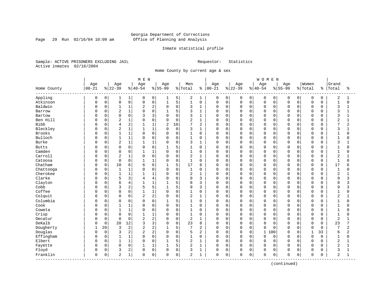Page 29 Run 02/16/04 10:09 am

#### Inmate statistical profile

Sample: ACTIVE PRISONERS EXCLUDING JAIL Requestor: Statistics Active inmates 02/16/2004

Home County by current age & sex

|                         |           |             |                |              | M E N          |                |                |              |                |                |              |             |          |              | <b>WOMEN</b> |          |           |             |                |             |                |                |
|-------------------------|-----------|-------------|----------------|--------------|----------------|----------------|----------------|--------------|----------------|----------------|--------------|-------------|----------|--------------|--------------|----------|-----------|-------------|----------------|-------------|----------------|----------------|
|                         | Age       |             | Age            |              | Age            |                | Age            |              | Men            |                | Age          |             | Age      |              | Age          |          | Age       |             | Women          |             | Grand          |                |
| Home County<br>-------- | $00 - 21$ |             | $8 22-39$      |              | $8140 - 54$    |                | $8155 - 99$    |              | % Total        | ႜ              | $ 00 - 21$   |             | $ 22-39$ |              | $ 40-54$     |          | $8 55-99$ |             | % Total        | နွ          | Total          | ႜ              |
| Appling                 | 0         | 0           | 1              | $\mathbf{1}$ | 0              | 0              | ı              | 5            | 2              | 1              | 0            | 0           | 0        | 0            | 0            | 0        | 0         | 0           | 0              | 0           | 2              | 1              |
| Atkinson                | 0         | $\mathsf 0$ | $\mathsf 0$    | 0            | 0              | 0              | $\mathbf{1}$   | 5            | $\mathbf{1}$   | $\mathbf 0$    | $\Omega$     | $\mathbf 0$ | 0        | $\mathsf{O}$ | $\mathsf 0$  | 0        | $\Omega$  | $\mathbf 0$ | $\mathsf 0$    | $\mathbf 0$ | $\mathbf{1}$   | $\Omega$       |
| Baldwin                 | $\Omega$  | $\mathbf 0$ | $\mathbf{1}$   | 1            | 2              | $\overline{c}$ | $\Omega$       | $\mathbf 0$  | 3              | $\mathbf{1}$   | $\Omega$     | $\mathbf 0$ | 0        | $\mathbf 0$  | $\mathbf 0$  | 0        | $\Omega$  | $\Omega$    | $\mathbf 0$    | 0           | 3              | 1              |
| Barrow                  | Ω         | 0           | $\overline{c}$ | 1            | $\Omega$       | $\mathsf 0$    |                | 5            | 3              | 1              | 0            | $\mathbf 0$ | 0        | $\mathbf 0$  | $\mathbf 0$  | 0        | $\Omega$  | O           | $\Omega$       | $\Omega$    | 3              |                |
| Bartow                  | U         | 0           | $\Omega$       | $\Omega$     | 3              | 3              | $\Omega$       | $\Omega$     | 3              | $\mathbf{1}$   | <sup>0</sup> | $\Omega$    | 0        | $\Omega$     | $\Omega$     | $\Omega$ | $\cap$    | $\cap$      | $\Omega$       | $\cap$      | 3              |                |
| Ben Hill                | U         | $\mathbf 0$ | $\overline{2}$ | 1            | $\Omega$       | $\mathbf 0$    | $\Omega$       | $\mathbf 0$  | 2              | $\mathbf{1}$   | 0            | 0           | 0        | $\Omega$     | $\mathbf 0$  | $\Omega$ | $\Omega$  | $\Omega$    | $\Omega$       | O           | 2              | 1              |
| <b>Bibb</b>             | Ω         | 0           | 4              | 2            |                | $\mathbf 1$    | $\overline{2}$ | 10           | 7              | $\overline{2}$ | $\Omega$     | $\mathbf 0$ | $\Omega$ | $\mathbf 0$  | $\mathbf 0$  | 0        | $\Omega$  | $\mathbf 0$ | $\Omega$       | $\Omega$    | 7              | $\overline{2}$ |
| Bleckley                | Ω         | $\mathbf 0$ | $\overline{c}$ | 1            | $\mathbf{1}$   | $1\,$          | $\Omega$       | 0            | 3              | $\mathbf{1}$   | 0            | $\mathbf 0$ | 0        | $\mathbf 0$  | $\mathbf 0$  | 0        | $\Omega$  | 0           | $\mathbf 0$    | $\Omega$    | 3              | 1              |
| <b>Brooks</b>           | U         | 0           | $\mathbf{1}$   | 1            | $\Omega$       | 0              | 0              | 0            | 1              | 0              | 0            | $\mathbf 0$ | 0        | 0            | 0            | 0        | $\Omega$  | $\Omega$    | 0              | $\Omega$    | 1              | $\Omega$       |
| Bulloch                 | 0         | 0           | $\mathbf{1}$   | 1            | $\Omega$       | $\mathbf 0$    | $\Omega$       | $\mathbf 0$  | 1              | $\mathbf 0$    | 0            | $\mathbf 0$ | 0        | $\mathbf 0$  | $\mathbf 0$  | $\Omega$ | $\Omega$  | 0           | $\Omega$       | $\Omega$    | $\mathbf{1}$   |                |
| Burke                   | U         | 0           | $\overline{2}$ | 1            | 1              | $1\,$          | $\Omega$       | 0            | 3              | 1              | 0            | $\mathbf 0$ | 0        | $\mathbf 0$  | $\mathbf 0$  | 0        | $\Omega$  | $\Omega$    | $\Omega$       | $\Omega$    | 3              |                |
| <b>Butts</b>            | U         | 0           | $\mathbf 0$    | 0            | $\Omega$       | $\mathbf 0$    | -1             | 5            | 1              | $\Omega$       | 0            | $\mathbf 0$ | 0        | $\Omega$     | $\mathbf 0$  | $\Omega$ | $\Omega$  | 0           | $\Omega$       | O           | $\mathbf{1}$   | O              |
| Camden                  |           | $\mathbf 0$ | $\mathbf 0$    | 0            |                | $1\,$          | $\mathbf 0$    | $\mathbf 0$  | 1              | $\mathbf 0$    | 0            | $\mathbf 0$ | 0        | $\mathbf 0$  | $\mathbf 0$  | 0        | $\Omega$  | $\Omega$    | $\Omega$       | $\Omega$    | $\mathbf 1$    | O              |
| Carroll                 | Ω         | $\mathbf 0$ | $\sqrt{2}$     | 1            | $\Omega$       | 0              | $\Omega$       | $\mathbf 0$  | $\mathbf 2$    | $\mathbf{1}$   | 0            | $\mathbf 0$ | 0        | $\mathbf 0$  | $\mathbf 0$  | 0        | $\Omega$  | 0           | $\mathbf 0$    | $\Omega$    | $\overline{a}$ |                |
| Catoosa                 | U         | $\mathbf 0$ | $\mathbf 0$    | 0            | 1              | 1              | $\Omega$       | $\mathbf 0$  | 1              | $\mathbf 0$    | 0            | $\mathbf 0$ | 0        | $\mathbf 0$  | $\mathbf 0$  | 0        | $\Omega$  | $\Omega$    | $\mathbf 0$    | 0           | $\mathbf{1}$   | $\cap$         |
| Chatham                 | U         | 0           | 10             | б            | 6              | 6              |                | 5            | 17             | 6              | 0            | $\mathbf 0$ | 0        | $\mathbf 0$  | $\mathbf 0$  | 0        | $\Omega$  | $\Omega$    | $\Omega$       | $\Omega$    | 17             |                |
| Chattooga               | U         | $\mathbf 0$ | $\mathbf 1$    | 1            | $\Omega$       | $\mathbf 0$    | $\Omega$       | $\mathbf 0$  | $\mathbf{1}$   | $\Omega$       | 0            | 0           | 0        | $\Omega$     | $\Omega$     | $\Omega$ | $\Omega$  | O           | $\Omega$       | $\Omega$    | $\mathbf 1$    | U              |
| Cherokee                | U         | $\mathbf 0$ | $\mathbf{1}$   | 1            | 1              | $1\,$          | $\mathbf 0$    | $\mathbf 0$  | 2              | $\mathbf{1}$   | 0            | $\mathbf 0$ | 0        | $\mathbf 0$  | $\mathbf 0$  | $\Omega$ | $\Omega$  | $\Omega$    | $\mathbf 0$    | $\Omega$    | 2              |                |
| Clarke                  |           | $\mathbf 0$ | 5              | 3            | 4              | $\overline{4}$ | $\Omega$       | 0            | 9              | 3              | 0            | $\mathbf 0$ | 0        | $\mathbf 0$  | 0            | 0        | $\Omega$  | 0           | $\mathbf 0$    | $\Omega$    | 9              | 3              |
| Clayton                 | U         | 0           | 6              | 4            | 1              | $1\,$          | $\mathbf{1}$   | 5            | 8              | 3              | 0            | $\mathbf 0$ | 0        | $\mathbf 0$  | $\mathbf 0$  | 0        | $\Omega$  | O           | $\Omega$       | $\Omega$    | 8              | 3              |
| Cobb                    | U         | 0           | 3              | 2            | 5              | 5              |                | 5            | 9              | 3              | 0            | 0           | 0        | 0            | $\mathbf 0$  | $\Omega$ | $\Omega$  | 0           | $\Omega$       | $\Omega$    | 9              | 3              |
| Coffee                  | 0         | 0           | $\mathbf 0$    | 0            |                | $\mathbf{1}$   | $\Omega$       | $\mathbf 0$  | $\mathbf{1}$   | $\mathbf 0$    | $\Omega$     | $\mathbf 0$ | 0        | $\mathbf 0$  | $\mathbf 0$  | $\Omega$ | $\Omega$  | $\Omega$    | $\Omega$       | $\Omega$    | $\mathbf{1}$   | $\Omega$       |
| Colquit                 | 0         | $\Omega$    | $\Omega$       | 0            | 2              | 2              | $\Omega$       | $\Omega$     | 2              | $\mathbf{1}$   | $\Omega$     | $\Omega$    | $\Omega$ | $\Omega$     | $\Omega$     | $\Omega$ | $\Omega$  | $\Omega$    | $\Omega$       | $\Omega$    | $\overline{2}$ |                |
| Columbia                | 0         | 0           | $\mathbf 0$    | 0            | $\Omega$       | $\mathbf 0$    | 1              | 5            | 1              | $\mathbf 0$    | 0            | $\mathbf 0$ | 0        | $\mathbf 0$  | $\mathbf 0$  | $\Omega$ | $\Omega$  | $\Omega$    | $\Omega$       | O           | $\mathbf{1}$   | O              |
| Cook                    |           | $\mathsf 0$ | 1              | 1            | $\Omega$       | 0              | $\Omega$       | $\mathsf 0$  | 1              | $\mathbf 0$    | $\Omega$     | $\mathbf 0$ | 0        | $\mathbf 0$  | $\mathbf 0$  | 0        | $\Omega$  | 0           | $\overline{0}$ | $\Omega$    | $1\,$          | O              |
| Coweta                  |           | $\mathbf 0$ | $\mathbf{1}$   | 1            | $\Omega$       | $\mathbf 0$    | $\Omega$       | 0            | $\mathbf{1}$   | $\mathbf 0$    | 0            | $\mathbf 0$ | $\Omega$ | $\mathbf 0$  | $\mathbf 0$  | 0        | $\Omega$  | O           | $\Omega$       | $\Omega$    | $\mathbf{1}$   | U              |
| Crisp                   | U         | 0           | $\mathbf 0$    | 0            |                | $\mathbf{1}$   | $\Omega$       | $\mathbf 0$  | 1              | 0              | 0            | 0           | 0        | 0            | 0            | 0        | $\Omega$  | 0           | 0              | $\Omega$    | $\mathbf{1}$   | O              |
| Decatur                 | U         | $\mathbf 0$ | $\mathbf 0$    | 0            | $\overline{2}$ | 2              | $\Omega$       | $\mathbf 0$  | $\overline{2}$ | $\mathbf{1}$   | 0            | 0           | 0        | $\mathbf 0$  | $\mathbf 0$  | $\Omega$ | $\Omega$  | O           | $\Omega$       | $\Omega$    | $\overline{2}$ |                |
| DeKalb                  | U         | 0           | 20             | 12           | 3              | 3              | $\Omega$       | 0            | 23             | 8              | 0            | $\mathbf 0$ | 0        | $\mathbf 0$  | $\mathbf 0$  | $\Omega$ | $\Omega$  | $\Omega$    | $\Omega$       | $\Omega$    | 23             | 7              |
| Dougherty               | 1         | 20          | 3              | 2            | 2              | $\overline{c}$ |                | 5            | 7              | 2              | 0            | $\mathbf 0$ | 0        | $\mathbf 0$  | $\mathbf 0$  | $\Omega$ | $\Omega$  | 0           | $\mathbf 0$    | 0           | 7              | 2              |
| Douglas                 | 0         | $\mathbf 0$ | 3              | 2            | $\overline{2}$ | $\overline{c}$ | $\Omega$       | $\mathbf 0$  | 5              | $\overline{2}$ | 0            | $\mathbf 0$ | 0        | $\mathbf 0$  | $\mathbf 1$  | 100      | $\Omega$  | 0           | $\mathbf{1}$   | 33          | 6              | $\overline{2}$ |
| Effingham               | $\Omega$  | $\mathbf 0$ | $\mathbf{1}$   | 1            | $\Omega$       | 0              | $\Omega$       | $\mathbf 0$  | $\mathbf{1}$   | $\Omega$       | $\Omega$     | $\mathbf 0$ | 0        | $\Omega$     | $\mathbf 0$  | $\Omega$ | $\Omega$  | $\Omega$    | $\Omega$       | $\Omega$    | $\mathbf{1}$   | $\Omega$       |
| Elbert                  | U         | 0           | $\mathbf{1}$   | 1            | $\Omega$       | $\mathsf 0$    |                | 5            | 2              | $\mathbf{1}$   | $\Omega$     | $\mathbf 0$ | 0        | $\mathbf 0$  | $\mathbf 0$  | $\Omega$ | $\Omega$  | $\Omega$    | $\Omega$       | $\Omega$    | $\overline{2}$ |                |
| Fayette                 | 0         | 0           | $\Omega$       | 0            | $\mathbf{1}$   | $1\,$          | $\mathbf{1}$   | 5            | 2              | $\mathbf{1}$   | $\Omega$     | $\mathbf 0$ | 0        | $\Omega$     | $\Omega$     | 0        | $\Omega$  | $\Omega$    | $\Omega$       | $\Omega$    | $\overline{2}$ | $\mathbf{1}$   |
| Floyd                   | 0         | 0           | 3              | 2            | 0              | 0              | $\Omega$       | $\mathbf 0$  | 3              | $\mathbf{1}$   | 0            | $\mathbf 0$ | 0        | $\mathbf 0$  | $\mathbf 0$  | 0        | $\Omega$  | 0           | $\Omega$       | 0           | 3              | 1              |
| Franklin<br>---------   | 0         | 0           | $\overline{2}$ | 1            | 0              | 0              | $\Omega$       | $\mathsf{O}$ | 2              | 1              | 0            | 0           | 0        | 0            | $\mathbf 0$  | 0        | 0         | 0           | $\mathbf 0$    | 0           | 2              | 1              |

(continued)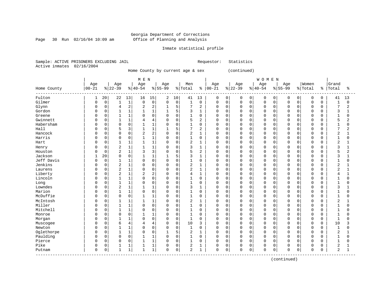Page 30 Run 02/16/04 10:09 am

#### Inmate statistical profile

Sample: ACTIVE PRISONERS EXCLUDING JAIL Requestor: Statistics Active inmates 02/16/2004

Home County by current age & sex (continued)

|                          |           |             |                |             | M E N          |                |              |             |                |                |            |             |              |                | <b>WOMEN</b>   |             |             |             |             |             |                |              |
|--------------------------|-----------|-------------|----------------|-------------|----------------|----------------|--------------|-------------|----------------|----------------|------------|-------------|--------------|----------------|----------------|-------------|-------------|-------------|-------------|-------------|----------------|--------------|
|                          | Age       |             | Age            |             | Age            |                | Age          |             | Men            |                | Age        |             | Age          |                | Age            |             | Age         |             | Women       |             | Grand          |              |
| Home County<br>--------- | $00 - 21$ |             | $ 22-39$       |             | $ 40-54$       |                | $8 55-99$    |             | % Total        | နွ             | $ 00 - 21$ |             | $ 22-39$     |                | $ 40-54$       |             | $8 55-99$   |             | % Total     | နွ          | Total          | ిక           |
| Fulton                   | 1         | 20          | 22             | 13          | 16             | 15             | 2            | 10          | 41             | 13             | 0          | 0           | 0            | $\overline{0}$ | 0              | 0           | 0           | $\mathbf 0$ | $\mathbf 0$ | $\mathbf 0$ | 41             | 13           |
| Gilmer                   | U         | $\mathbf 0$ | $\mathbf{1}$   | $1\,$       | $\Omega$       | $\mathbf 0$    | $\mathbf 0$  | $\mathbf 0$ | $\mathbf{1}$   | $\mathbf 0$    | 0          | $\mathbf 0$ | $\mathbf 0$  | 0              | $\mathbf 0$    | $\mathbf 0$ | $\mathbf 0$ | $\mathbf 0$ | $\mathbf 0$ | $\mathbf 0$ | $\mathbf{1}$   | 0            |
| Glynn                    | 0         | $\mathbf 0$ | 4              | 2           | 2              | $\sqrt{2}$     | 1            | 5           | 7              | $\overline{2}$ | 0          | $\mathbf 0$ | $\mathbf 0$  | 0              | $\overline{0}$ | $\mathbf 0$ | $\Omega$    | $\Omega$    | $\mathbf 0$ | 0           | 7              | 2            |
| Gordon                   |           | 0           | $\mathbf{1}$   | 1           |                | $1\,$          |              | 5           | 3              | $\mathbf{1}$   | 0          | $\mathbf 0$ | 0            | 0              | $\mathbf 0$    | $\mathbf 0$ | $\Omega$    | $\mathbf 0$ | $\mathbf 0$ | $\Omega$    | 3              | 1            |
| Greene                   |           | 0           | $\mathbf{1}$   | 1           | $\Omega$       | $\Omega$       | $\Omega$     | $\Omega$    | $\mathbf{1}$   | $\Omega$       | 0          | 0           | $\Omega$     | $\Omega$       | $\Omega$       | $\Omega$    | n           | $\Omega$    | $\mathbf 0$ | U           | $\mathbf{1}$   | $\Omega$     |
| Gwinnett                 | Λ         | 0           | $\mathbf{1}$   | 1           | 4              | $\overline{4}$ | $\Omega$     | $\Omega$    | 5              | $\overline{2}$ | 0          | $\Omega$    | $\mathbf 0$  | $\Omega$       | $\Omega$       | $\Omega$    | n           | $\Omega$    | $\mathbf 0$ | 0           | 5              | 2            |
| Habersham                |           | 0           | $\Omega$       | 0           |                | $\mathbf{1}$   | 0            | $\Omega$    |                | 0              | 0          | 0           | 0            | $\Omega$       | $\Omega$       | $\Omega$    |             | $\Omega$    | 0           | U           |                | 0            |
| Hall                     |           | 0           | 5              | 3           |                | $\mathbf{1}$   |              | 5           | 7              | 2              | U          | $\Omega$    | 0            | $\Omega$       | $\Omega$       | $\Omega$    | n           | $\Omega$    | $\mathbf 0$ |             | 7              | 2            |
| Hancock                  |           | O           | $\Omega$       | 0           | $\overline{2}$ | $\overline{2}$ | $\Omega$     | $\Omega$    | 2              | $\mathbf{1}$   | U          | $\Omega$    | <sup>0</sup> | $\Omega$       | $\Omega$       | $\Omega$    | $\cap$      | $\cap$      | $\Omega$    | ∩           | $\overline{2}$ | 1            |
| Harris                   |           | 0           | $\Omega$       | 0           |                | 1              | $\Omega$     | $\Omega$    | 1              | $\Omega$       | U          | $\Omega$    | 0            | $\Omega$       | $\Omega$       | $\Omega$    | n           | $\Omega$    | $\Omega$    | U           | -1             | $\Omega$     |
| Hart                     | Ω         | 0           | $\mathbf{1}$   | 1           | -1             | $\mathbf{1}$   | $\Omega$     | 0           | 2              | 1              | U          | 0           | 0            | 0              | $\Omega$       | $\Omega$    | $\Omega$    | $\Omega$    | $\Omega$    | $\Omega$    | 2              | 1            |
| Henry                    | Ω         | 0           | $\overline{2}$ | $\mathbf 1$ |                | $\mathbf{1}$   | 0            | 0           | 3              | $\mathbf{1}$   | 0          | 0           | 0            | $\Omega$       | $\Omega$       | $\mathbf 0$ |             | $\Omega$    | $\mathbf 0$ | U           | 3              | 1            |
| Houston                  |           | $\mathbf 0$ | $\overline{2}$ | 1           | 3              | 3              | $\Omega$     | 0           | 5              | $\overline{2}$ | 0          | $\mathbf 0$ | $\Omega$     | $\Omega$       | $\Omega$       | $\Omega$    |             | $\Omega$    | $\mathbf 0$ | 0           | 5              | 2            |
| Jackson                  |           | 20          | $\Omega$       | 0           |                | $\mathbf 1$    | $\mathbf{1}$ | 5           | 3              | $\mathbf{1}$   | 0          | 0           | $\Omega$     | $\Omega$       | $\Omega$       | 0           | $\Omega$    | $\Omega$    | $\mathbf 0$ | $\Omega$    | 3              | $\mathbf{1}$ |
| Jeff Davis               | U         | $\mathbf 0$ | $\mathbf{1}$   | 1           | $\Omega$       | $\mathbf 0$    | $\Omega$     | $\Omega$    | $\mathbf{1}$   | $\Omega$       | 0          | $\mathbf 0$ | $\mathbf 0$  | $\Omega$       | $\Omega$       | $\Omega$    | $\cap$      | $\Omega$    | $\mathbf 0$ | 0           | $\mathbf{1}$   | $\Omega$     |
| Jenkins                  | Ω         | 0           | $\overline{2}$ | 1           | $\Omega$       | $\mathbf 0$    | $\Omega$     | 0           | 2              | 1              | 0          | 0           | 0            | $\Omega$       | $\Omega$       | $\Omega$    | n           | $\Omega$    | 0           | O           | 2              |              |
| Laurens                  |           | 0           | $\overline{2}$ | 1           | $\Omega$       | $\mathbf 0$    | $\Omega$     | $\Omega$    | 2              | $\mathbf{1}$   | U          | $\Omega$    | $\Omega$     | 0              | $\Omega$       | $\Omega$    |             | $\Omega$    | $\mathbf 0$ | 0           | $\overline{c}$ |              |
| Liberty                  |           | $\Omega$    | $\overline{2}$ | 1           | 2              | $\overline{2}$ | $\Omega$     | $\Omega$    | 4              | $\mathbf{1}$   | 0          | $\Omega$    | 0            | $\Omega$       | $\Omega$       | $\Omega$    | $\Omega$    |             | $\mathbf 0$ | 0           | 4              |              |
| Lincoln                  |           | 0           | $\mathbf{1}$   | 1           | $\Omega$       | $\Omega$       | $\Omega$     | $\Omega$    | 1              | $\Omega$       | U          | $\Omega$    | <sup>0</sup> | $\Omega$       | $\Omega$       | $\Omega$    | $\cap$      | $\cap$      | $\Omega$    | $\Omega$    | $\mathbf{1}$   | U            |
| Long                     |           | 0           | $\mathbf{1}$   | $\mathbf 1$ | $\Omega$       | $\mathbf 0$    | $\Omega$     | 0           | $\mathbf{1}$   | $\Omega$       | U          | $\Omega$    | 0            | $\Omega$       | $\Omega$       | $\Omega$    | $\Omega$    | $\Omega$    | $\mathbf 0$ | $\Omega$    | $\mathbf{1}$   | 0            |
| Lowndes                  |           | 0           | $\overline{2}$ | 1           |                | $1\,$          | $\Omega$     | 0           | 3              | $\mathbf{1}$   | 0          | $\mathbf 0$ | 0            | $\Omega$       | $\Omega$       | $\mathbf 0$ |             | $\Omega$    | $\mathbf 0$ | 0           | 3              |              |
| Marion                   |           | 0           | $\mathbf{1}$   | 1           | $\Omega$       | 0              | $\Omega$     | 0           | $\mathbf{1}$   | $\mathbf 0$    | 0          | $\mathbf 0$ | 0            | 0              | $\Omega$       | $\mathbf 0$ | $\cap$      | $\Omega$    | $\mathbf 0$ | 0           | 1              | 0            |
| McDuffie                 |           | 0           | $\mathbf 0$    | 0           | 1              | 1              | $\Omega$     | $\Omega$    | $\mathbf{1}$   | $\mathbf 0$    | O          | $\mathbf 0$ | $\mathbf 0$  | 0              | $\Omega$       | $\mathbf 0$ | $\cap$      | $\Omega$    | $\mathbf 0$ | $\Omega$    | $\mathbf{1}$   | $\Omega$     |
| McIntosh                 |           | 0           | $\mathbf{1}$   | 1           |                | 1              | 0            | 0           | 2              | $\mathbf{1}$   | 0          | 0           | 0            | $\Omega$       | $\Omega$       | $\Omega$    | n           | $\Omega$    | 0           | O           | $\overline{2}$ |              |
| Miller                   | O         | 0           | -1             | 1           | $\Omega$       | $\mathbf 0$    | $\Omega$     | $\Omega$    | 1              | $\Omega$       | U          | 0           | 0            | $\Omega$       | $\Omega$       | $\Omega$    | $\cap$      | $\Omega$    | 0           | 0           | $\mathbf{1}$   | $\Omega$     |
| Mitchell                 |           | 0           | $\mathbf{1}$   | 1           | $\Omega$       | 0              | $\Omega$     | $\Omega$    | $\mathbf{1}$   | 0              | U          | 0           | 0            | $\Omega$       | $\Omega$       | $\Omega$    | $\cap$      | $\Omega$    | 0           | U           | $\mathbf{1}$   | O            |
| Monroe                   |           | 0           | $\Omega$       | 0           |                | $\mathbf{1}$   | $\Omega$     | $\Omega$    | 1              | 0              | U          | $\Omega$    | 0            | $\Omega$       | $\Omega$       | $\Omega$    | n           |             | 0           |             | $\mathbf{1}$   | O            |
| Morgan                   |           | O           | $\mathbf{1}$   | 1           | $\Omega$       | $\mathbf 0$    | $\Omega$     | $\Omega$    | 1              | $\Omega$       | U          | $\Omega$    | 0            | $\Omega$       | $\Omega$       | $\Omega$    | $\cap$      | $\cap$      | $\Omega$    | $\Omega$    | $\mathbf{1}$   | O            |
| Muscogee                 |           | 0           | 6              | 4           | 4              | 4              | $\Omega$     | $\Omega$    | 10             | 3              | U          | $\Omega$    | $\Omega$     | $\Omega$       | $\Omega$       | $\Omega$    | $\cap$      | $\Omega$    | $\mathbf 0$ | $\Omega$    | 10             | 3            |
| Newton                   | Ω         | 0           | $\mathbf{1}$   | 1           | $\Omega$       | $\mathbf 0$    | $\Omega$     | 0           | $\mathbf{1}$   | $\Omega$       | 0          | $\mathbf 0$ | $\Omega$     | $\Omega$       | $\Omega$       | $\Omega$    |             | $\Omega$    | $\mathbf 0$ | U           | $\mathbf{1}$   | 0            |
| Oglethorpe               |           | 0           | $\mathbf{1}$   | 1           | $\Omega$       | 0              | $\mathbf{1}$ | 5           | 2              | $\mathbf{1}$   | O          | $\mathbf 0$ | 0            | 0              | $\Omega$       | $\mathbf 0$ | $\cap$      | $\Omega$    | $\mathbf 0$ | 0           | 2              | 1            |
| Paulding                 |           | 0           | $\mathbf 0$    | 0           |                | 1              | $\Omega$     | 0           | $\mathbf{1}$   | $\mathbf 0$    | 0          | $\mathbf 0$ | $\Omega$     | 0              | $\Omega$       | $\mathbf 0$ | $\cap$      | $\Omega$    | $\mathbf 0$ | 0           | $\mathbf{1}$   | 0            |
| Pierce                   | U         | 0           | $\Omega$       | 0           |                | $1\,$          | $\Omega$     | 0           | $\mathbf 1$    | $\Omega$       | U          | $\mathbf 0$ | $\mathbf 0$  | $\Omega$       | $\Omega$       | 0           | $\cap$      | $\Omega$    | $\mathbf 0$ | U           | $\mathbf{1}$   | $\Omega$     |
| Pike                     | 0         | 0           | $\mathbf{1}$   | 1           |                | 1              | 0            | 0           | 2              |                | 0          | 0           | 0            | 0              | 0              | 0           | O           | 0           | 0           | O           | 2              |              |
| Putnam                   | 0         | 0           | $\mathbf{1}$   | 1           |                | $\mathbf 1$    | O            | 0           | $\overline{2}$ | 1              | 0          | 0           | $\mathbf 0$  | 0              | $\Omega$       | $\mathbf 0$ | $\Omega$    | 0           | $\mathbf 0$ | 0           | 2              | 1            |

(continued)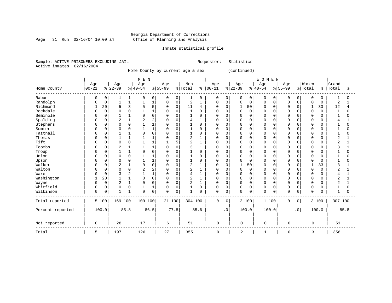Page 31 Run 02/16/04 10:09 am

### Inmate statistical profile

Sample: ACTIVE PRISONERS EXCLUDING JAIL Requestor: Statistics Active inmates 02/16/2004

Home County by current age & sex (continued)

|                  |             |             |                |                  | M E N    |                |           |             |                |              |             |           |              |             | WOMEN       |             |             |             |              |          |                |          |
|------------------|-------------|-------------|----------------|------------------|----------|----------------|-----------|-------------|----------------|--------------|-------------|-----------|--------------|-------------|-------------|-------------|-------------|-------------|--------------|----------|----------------|----------|
|                  | Age         |             | Age            |                  | Age      |                | Age       |             | Men            |              | Age         |           | Age          |             | Age         |             | Age         |             | Women        |          | Grand          |          |
| Home County      | $00 - 21$   |             | $ 22-39$       |                  | $ 40-54$ |                | $8 55-99$ |             | % Total        | ႜ            | $00 - 21$   |           | $ 22-39$     |             | $ 40-54$    |             | $8 55-99$   |             | % Total      | န္       | Total          | ႜ        |
| Rabun            | 0           | 0           |                | 1                | $\Omega$ | 0              | 0         | 0           | 1              | $\Omega$     | 0           | 0         | 0            | 0           | $\mathbf 0$ | 0           | $\Omega$    | 0           | 0            | O        |                | 0        |
| Randolph         | 0           | $\mathbf 0$ |                | $\mathbf 1$      |          | 1              | 0         | $\mathbf 0$ | 2              |              | 0           | 0         | 0            | 0           | $\Omega$    | 0           | 0           | 0           | 0            | O        | 2              |          |
| Richmond         | -1          | 20          |                | 3                |          | 5              | $\Omega$  | $\mathbf 0$ | 11             | 4            | $\Omega$    | 0         | 1            | 50          | $\Omega$    | $\Omega$    | $\cap$      | $\Omega$    | 1            | 33       | 12             | 4        |
| Rockdale         | U           | 0           | O              | 0                |          | 1              | $\Omega$  | 0           | $\mathbf{1}$   | 0            | U           | $\Omega$  | 0            | $\mathbf 0$ | $\Omega$    | $\Omega$    |             | $\Omega$    | $\mathbf 0$  | $\Omega$ | 1              | $\Omega$ |
| Seminole         |             | 0           |                | 1                |          | $\Omega$       | 0         | $\mathbf 0$ | $\mathbf{1}$   | $\Omega$     | 0           | $\Omega$  | 0            | $\Omega$    | $\Omega$    | $\Omega$    |             | $\Omega$    | $\mathbf 0$  |          |                | O        |
| Spalding         |             | 0           | $\overline{2}$ | $\mathbf{1}$     | 2        | $\overline{2}$ | $\Omega$  | $\mathbf 0$ | $\overline{4}$ |              | 0           | $\Omega$  | 0            | 0           | $\Omega$    | $\cap$      |             | $\Omega$    | $\mathbf 0$  |          | 4              |          |
| Stephens         |             | $\Omega$    | <sup>0</sup>   | 0                |          |                | O         | $\Omega$    |                | $\Omega$     | U           | $\Omega$  | 0            | $\Omega$    | $\Omega$    | $\cap$      |             | $\Omega$    | 0            | n        |                | U        |
| Sumter           |             | $\Omega$    | U              | $\mathbf 0$      |          | $\mathbf{1}$   | $\Omega$  | $\Omega$    | $\mathbf{1}$   | $\Omega$     | U           | $\Omega$  | <sup>0</sup> | $\Omega$    | $\Omega$    | U           |             | $\Omega$    | $\Omega$     |          | -1             | U        |
| Tattnall         | U           | $\Omega$    |                | 1                |          | $\Omega$       | O         | $\Omega$    |                | $\Omega$     | U           | $\Omega$  | 0            | $\Omega$    | $\Omega$    | 0           |             | $\Omega$    | $\Omega$     |          |                | N        |
| Thomas           |             | 0           |                | 1                |          |                |           | $\Omega$    | 2              |              | 0           | 0         | 0            | 0           | $\Omega$    | O           |             |             | 0            |          | 2              |          |
| Tift             | U           | $\Omega$    | $\Omega$       | 0                |          |                |           | 5           | 2              | 1            | U           | 0         | $\Omega$     | $\Omega$    | $\Omega$    | $\Omega$    | n           | $\Omega$    | $\Omega$     | U        | $\overline{2}$ |          |
| Toombs           |             | 0           | 2              | 1                |          | $\mathbf{1}$   |           | $\Omega$    | 3              |              | 0           | $\Omega$  | 0            | 0           | $\Omega$    | O           |             | $\Omega$    | $\Omega$     |          |                |          |
| Troup            |             | U           |                | $\mathbf 1$      |          | $\Omega$       | 0         | $\Omega$    |                | O            | U           | O         | 0            | 0           | $\Omega$    | $\cap$      |             | $\Omega$    | $\Omega$     |          |                | U        |
| Union            |             | U           | $\Omega$       | 0                |          | $\mathbf{1}$   | $\Omega$  | $\Omega$    | 1              | $\Omega$     | U           | O         | $\Omega$     | $\Omega$    | $\Omega$    | $\cap$      |             | $\Omega$    | $\Omega$     | U        |                | U        |
| Upson            | U           | 0           | <sup>0</sup>   | 0                |          |                | O         | $\Omega$    |                | $\Omega$     | U           | 0         | 0            | $\Omega$    | $\Omega$    | O           | n           | $\Omega$    | $\Omega$     | U        |                | U        |
| Walker           | U           | 0           | $\overline{2}$ | 1                |          | $\Omega$       |           | $\Omega$    | 2              |              | O           | $\Omega$  | 1            | 50          | $\Omega$    | O           |             | O           | $\mathbf{1}$ | 33       |                |          |
| Walton           | U           | 0           | <sup>0</sup>   | 0                |          | $\overline{2}$ |           | $\Omega$    | $\overline{c}$ |              | 0           | 0         | 0            | $\mathbf 0$ | $\Omega$    | O           | n           |             | 0            | 0        | 2              |          |
| Ware             | O           | $\Omega$    |                | $\boldsymbol{2}$ |          | 1              | $\Omega$  | $\Omega$    | 4              | 1            | 0           | $\Omega$  | 0            | $\Omega$    | $\Omega$    | O           | n           | $\Omega$    | 0            | ∩        |                |          |
| Washington       | 1           | 20          |                | $1\,$            |          | 0              | $\Omega$  | $\Omega$    | $\overline{2}$ | $\mathbf{1}$ | 0           | $\Omega$  | $\Omega$     | $\Omega$    | $\Omega$    | $\Omega$    | O           | $\Omega$    | $\mathbf 0$  | U        | 2              |          |
| Wayne            |             | 0           | $\overline{2}$ | $1\,$            |          | $\Omega$       | 0         | $\Omega$    | 2              |              | 0           | $\Omega$  | 0            | $\Omega$    | $\Omega$    | 0           |             | $\Omega$    | 0            |          | 2              |          |
| Whitfield        |             | 0           | 0              | $\mathsf 0$      |          | 1              | $\Omega$  | $\mathbf 0$ |                | $\Omega$     | 0           | 0         | 0            | $\Omega$    | $\Omega$    | $\Omega$    |             | $\Omega$    | 0            |          |                | N        |
| Wilkinson        | $\mathbf 0$ | 0           | 1              | $1\,$            | $\Omega$ | $\mathsf 0$    | $\Omega$  | $\mathbf 0$ | $\mathbf{1}$   | $\Omega$     | $\mathbf 0$ | $\Omega$  | $\Omega$     | 0           | $\Omega$    | $\mathbf 0$ | $\Omega$    | $\mathsf 0$ | $\Omega$     | U        | -1             | $\Omega$ |
| Total reported   |             | 5 100       | 169 100        |                  | 109      | 100            | 21 100    |             | 304 100        |              | $\mathbf 0$ | $\Omega$  |              | 2 100       |             | 1 100       | $\mathbf 0$ | 0           |              | 3 100    | 307 100        |          |
| Percent reported |             | 100.0       |                | 85.8             |          | 86.5           |           | 77.8        |                | 85.6         |             | $\cdot$ 0 |              | 100.0       |             | 100.0       |             | $\cdot$ 0   |              | 100.0    |                | 85.8     |
| Not reported     | 0           |             | 28             |                  | 17       |                | 6         |             | 51             |              | 0           |           | $\mathsf 0$  |             | $\mathbf 0$ |             | 0           |             | 0            |          | 51             |          |
| Total            | 5           |             | 197            |                  | 126      |                | 27        |             | 355            |              | 0           |           | 2            |             |             |             | 0           |             | 3            |          | 358            |          |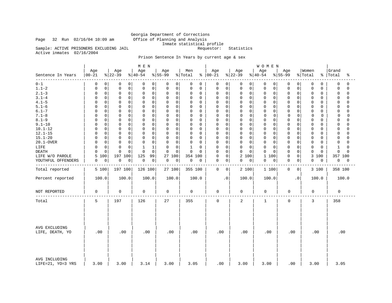# Georgia Department of Corrections<br>Office of Planning and Analysis Inmate statistical profile<br>Requestor: Statistics

Sample: ACTIVE PRISONERS EXCLUDING JAIL

Active inmates 02/16/2004

Page 32 Run 02/16/04 10:09 am

### Prison Sentence In Years by current age & sex

|                                    |                             |                            | M E N                       |                         |                            |                      |                                           | WOMEN                      |                         |                            |                         |
|------------------------------------|-----------------------------|----------------------------|-----------------------------|-------------------------|----------------------------|----------------------|-------------------------------------------|----------------------------|-------------------------|----------------------------|-------------------------|
| Sentence In Years<br>------        | Age<br>$00 - 21$            | Age<br>$ 22-39$            | Age<br>$8 40-54$            | Age<br>$8 55-99$        | Men<br>% Total             | Age<br>$8   00 - 21$ | Age<br>$ 22-39 $                          | Age<br>$8 40-54$           | Age<br>$8 55-99$        | Women<br>% Total           | Grand<br>%   Total<br>ႜ |
| $0 - 1$                            | 0<br>0                      | 0<br>0                     | 0<br>0                      | 0<br>0                  | 0<br>0                     | 0                    | 0<br>0<br>0                               | 0<br>0                     | 0<br>0                  | 0<br>0                     | 0<br>0                  |
| $1.1 - 2$                          | $\mathsf 0$<br>0            | $\mathsf 0$<br>$\mathbf 0$ | 0<br>$\mathbf 0$            | $\mathbf 0$<br>0        | 0<br>0                     | 0                    | 0<br>$\mathbf 0$<br>$\Omega$              | $\mathbf 0$<br>$\mathbf 0$ | $\mathbf 0$<br>$\Omega$ | $\mathbf 0$<br>0           | $\mathbf 0$<br>$\Omega$ |
| $2.1 - 3$                          | $\mathsf 0$<br>0            | $\mathsf 0$<br>$\mathbf 0$ | $\mathsf 0$<br>$\mathbf 0$  | 0<br>0                  | 0<br>0                     | $\mathbf 0$          | $\mathsf 0$<br>0<br>0                     | $\mathbf 0$<br>0           | 0<br>0                  | 0<br>0                     | $\Omega$<br>$\Omega$    |
| $3.1 - 4$                          | $\mathbf 0$<br>0            | $\mathbf 0$<br>$\Omega$    | $\mathbf 0$<br>0            | $\mathbf 0$<br>0        | 0<br>0                     | 0                    | $\mathbf 0$<br>$\Omega$<br>$\Omega$       | $\mathbf 0$<br>$\mathbf 0$ | $\Omega$<br>$\Omega$    | 0<br>0                     | $\Omega$<br>$\Omega$    |
| $4.1 - 5$                          | $\mathbf 0$<br>$\Omega$     | $\mathbf 0$<br>$\Omega$    | $\mathbf 0$<br>$\mathbf 0$  | $\mathbf 0$<br>$\Omega$ | 0<br>$\Omega$              | $\mathbf 0$          | $\mathbf 0$<br>$\mathbf 0$<br>$\Omega$    | $\mathbf 0$<br>$\mathbf 0$ | $\mathbf 0$<br>O        | 0<br>0                     | $\Omega$<br>$\Omega$    |
| $5.1 - 6$                          | 0                           | $\mathbf 0$<br>$\mathbf 0$ | $\mathbf 0$<br>$\Omega$     | $\mathbf 0$<br>0        | 0<br>0                     | $\mathbf 0$          | $\mathbf 0$<br>$\mathbf 0$<br>0           | $\mathbf 0$<br>0           | $\mathbf 0$<br>$\Omega$ | 0<br>0                     | $\Omega$<br>$\cap$      |
| $6.1 - 7$                          | $\mathbf 0$<br><sup>0</sup> | $\mathbf 0$<br>0           | $\Omega$<br>0               | 0<br>0                  | 0<br>$\Omega$              | 0                    | $\Omega$<br>0<br>0                        | 0<br>0                     | 0<br>$\Omega$           | 0<br>0                     | $\cap$<br>0             |
| $7.1 - 8$                          | $\mathbf 0$<br>$\Omega$     | $\mathbf 0$<br>$\mathbf 0$ | 0<br>0                      | 0<br>0                  | 0<br>0                     | $\mathbf 0$          | $\mathbf 0$<br>$\mathbf 0$<br>$\mathbf 0$ | $\mathbf 0$<br>0           | 0<br>$\Omega$           | $\mathbf 0$<br>$\mathbf 0$ | 0<br>$\Omega$           |
| $8.1 - 9$                          | $\mathbf 0$<br>$\Omega$     | $\Omega$<br>$\Omega$       | $\Omega$<br>$\Omega$        | $\Omega$<br>$\mathbf 0$ | 0<br>$\Omega$              | $\mathbf 0$          | $\mathbf 0$<br>$\Omega$<br>$\Omega$       | $\mathbf 0$<br>$\Omega$    | $\Omega$<br>$\Omega$    | 0<br>0                     | $\Omega$<br>$\cap$      |
| $9.1 - 10$                         | 0<br>$\Omega$               | $\mathbf 0$<br>$\mathbf 0$ | $\mathbf 0$<br>$\mathbf 0$  | $\mathbf 0$<br>$\Omega$ | 0<br>$\Omega$              | $\Omega$             | 0<br>$\mathbf 0$<br>$\mathbf 0$           | $\mathbf 0$<br>0           | $\mathbf 0$<br>$\Omega$ | 0<br>0                     | $\Omega$<br>$\Omega$    |
| $10.1 - 12$                        | 0<br><sup>0</sup>           | $\mathbf 0$<br>$\mathbf 0$ | 0<br>$\mathbf 0$            | $\mathbf 0$<br>0        | 0<br>0                     | 0                    | 0<br>$\mathbf 0$<br>0                     | $\mathbf 0$<br>$\mathbf 0$ | $\mathbf 0$<br>$\Omega$ | 0<br>0                     | 0<br>$\Omega$           |
| $12.1 - 15$                        | $\mathbf 0$<br><sup>0</sup> | $\mathbf 0$<br>0           | $\mathbf 0$<br>0            | $\mathbf 0$<br>0        | 0<br>$\Omega$              | 0                    | $\mathbf 0$<br>$\mathbf 0$<br>$\Omega$    | $\mathbf 0$<br>0           | $\Omega$<br>0           | 0<br>0                     | $\Omega$<br>$\cap$      |
| $15.1 - 20$                        | $\mathbf 0$<br>$\Omega$     | $\mathbf 0$<br>$\mathbf 0$ | $\mathbf 0$<br>$\mathbf 0$  | $\mathbf 0$<br>0        | 0<br>$\mathbf 0$           | $\Omega$             | $\mathbf 0$<br>0<br>$\mathbf 0$           | $\mathbf 0$<br>$\mathbf 0$ | $\mathbf 0$<br>$\Omega$ | 0<br>0                     | $\Omega$<br>$\Omega$    |
| 20.1-OVER                          | $\mathbf 0$<br>0            | $\Omega$<br>$\mathbf 0$    | $\mathbf 0$<br>$\mathbf 0$  | $\mathbf 0$<br>0        | 0<br>0                     | 0                    | $\mathbf 0$<br>$\Omega$<br>$\Omega$       | $\mathbf 0$<br>$\mathbf 0$ | $\mathbf 0$<br>$\Omega$ | 0<br>0                     | $\Omega$<br>$\Omega$    |
| LIFE                               | $\mathbf 0$<br>$\Omega$     | $\Omega$<br>$\mathbf 0$    | $\mathbf{1}$<br>$\mathbf 1$ | $\mathbf 0$<br>0        | $\mathbf 1$<br>$\mathbf 0$ | $\mathbf 0$          | $\mathbf 0$<br>$\mathbf 0$<br>$\Omega$    | $\mathbf 0$<br>$\mathbf 0$ | $\mathbf 0$<br>$\Omega$ | 0<br>$\mathbf 0$           | $\mathbf{1}$<br>$\cap$  |
| <b>DEATH</b>                       | $\mathbf 0$<br>0            | $\Omega$<br>U              | $\Omega$<br>$\Omega$        | $\Omega$<br>$\Omega$    | 0<br>$\Omega$              | $\mathbf 0$          | $\mathbf 0$<br>$\Omega$<br>$\Omega$       | $\mathbf 0$<br>$\Omega$    | $\mathbf 0$<br>$\Omega$ | 0<br>$\Omega$              | $\Omega$<br>$\Omega$    |
| LIFE W/O PAROLE                    | 100<br>5                    | 197<br>100                 | 125<br>99                   | 27 100                  | 354 100                    | $\mathbf 0$          | $\overline{a}$<br>$\mathbf 0$<br>100      | $\mathbf{1}$<br>100        | 0<br>0                  | 100<br>3                   | 357 100                 |
| YOUTHFUL OFFENDERS                 | 0<br>0                      | 0<br>0                     | 0<br>$\overline{0}$         | 0<br>0                  | 0<br>0                     | 0                    | 0<br>0<br>0                               | 0<br>0                     | $\mathbf 0$<br>0        | 0<br>0                     | 0<br>0                  |
|                                    |                             |                            |                             |                         |                            |                      |                                           |                            |                         |                            |                         |
| Total reported                     | 5 100                       | 197 100                    | 126 100                     | 27 100                  | 355 100                    | $\mathbf 0$          | 2 100<br>0                                | 1 100                      | 0<br>0                  | 3 100                      | 358 100                 |
| Percent reported                   | 100.0                       | 100.0                      | 100.0                       | 100.0                   | 100.0                      |                      | 100.0<br>$\cdot$ 0                        | 100.0                      | $\cdot$ 0               | 100.0                      | 100.0                   |
| NOT REPORTED                       | $\mathsf 0$                 | 0                          | 0                           | 0                       | 0                          | $\mathbf 0$          | 0                                         | 0                          | 0                       | 0                          | 0                       |
| Total                              | 5                           | 197                        | 126                         | 27                      | 355                        | $\mathbf 0$          | 2                                         | 1                          | $\mathbf 0$             | 3                          | 358                     |
| AVG EXCLUDING<br>LIFE, DEATH, YO   | .00                         | .00                        | .00                         | .00                     | .00                        | .00                  | .00                                       | .00                        | .00                     | .00                        | .00                     |
| AVG INCLUDING<br>LIFE=21, YO=3 YRS | 3.00                        | 3.00                       | 3.14                        | 3.00                    | 3.05                       | .00                  | 3.00                                      | 3.00                       | .00                     | 3.00                       | 3.05                    |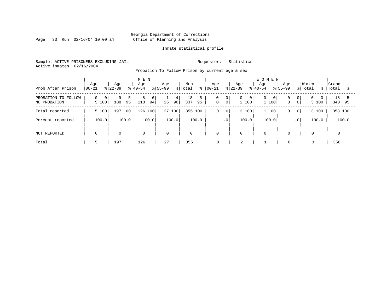Page 33 Run 02/16/04 10:09 am

#### Inmate statistical profile

Sample: ACTIVE PRISONERS EXCLUDING JAIL Requestor: Statistics Active inmates 02/16/2004

Probation To Follow Prison by current age & sex

| Prob After Prison                   | Age<br>$00 - 21$                    | Age<br>$ 22-39 $      | M E N<br>Age<br>$8 40-54$ | Age<br>$ 55-99 $ | Men<br>% Total<br>ွေ | Age<br>$ 00 - 21$                             | Age<br>$ 22-39 $                        | <b>WOMEN</b><br>Age<br>$8 40-54$<br>$ 55-99 $ | Age<br>% Total                                   | Women<br>- န ၂    | Grand<br>Total |
|-------------------------------------|-------------------------------------|-----------------------|---------------------------|------------------|----------------------|-----------------------------------------------|-----------------------------------------|-----------------------------------------------|--------------------------------------------------|-------------------|----------------|
| PROBATION TO FOLLOW<br>NO PROBATION | $\Omega$<br>$\overline{0}$<br>5 100 | 9<br>5  <br>188<br>95 | 8<br>6<br>94<br>118       | 4<br>96 <br>26   | 18<br>5<br>337<br>95 | 0<br>$\circ$<br>0 <sup>1</sup><br>$\mathsf 0$ | $\mathbf{0}$<br>$\overline{0}$<br>2 100 | $\mathbf{0}$<br>0 <sup>1</sup><br>1 100       | 0 <sup>1</sup><br>$\mathbf{0}$<br>0 <sup>1</sup> | $\Omega$<br>3 100 | 18<br>340 95   |
| Total reported                      | 5 100                               | 197<br>100 l          | 100<br>126                | 27 100           | 355 100              | 0<br>$\overline{0}$                           | 2 100                                   | 1 100                                         | 0<br>$\mathbf{0}$                                | 3 100             | 358 100        |
| Percent reported                    | 100.0                               | 100.0                 | 100.0                     | 100.0            | 100.0                | $\cdot$ 0                                     | 100.0                                   | 100.0                                         | .0 <sup>1</sup>                                  | 100.0             | 100.0          |
| NOT REPORTED                        | $\Omega$                            | $\mathbf 0$           | $\mathbf 0$               | $\mathbf 0$      | $\mathbf 0$          | $\mathbf 0$                                   | 0                                       | $\mathbf 0$                                   | $\Omega$                                         | $\mathbf 0$       | $\Omega$       |
| Total                               | י.                                  | 197                   | 126                       | 27               | 355                  | 0                                             | z                                       |                                               | 0                                                |                   | 358            |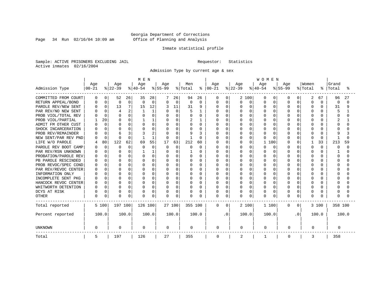Page 34 Run 02/16/04 10:09 am

#### Inmate statistical profile

Sample: ACTIVE PRISONERS EXCLUDING JAIL Requestor: Statistics Active inmates 02/16/2004

Admission Type by current age & sex

|                      |           |              |                |          | M E N     |          |              |          |          |              |           |             |           |          | <b>WOMEN</b> |              |           |           |          |              |          |          |  |
|----------------------|-----------|--------------|----------------|----------|-----------|----------|--------------|----------|----------|--------------|-----------|-------------|-----------|----------|--------------|--------------|-----------|-----------|----------|--------------|----------|----------|--|
|                      | Age       |              | Age            |          | Age       |          | Age          |          | Men      |              | Age       |             | Age       |          | Age          |              | Age       |           | Women    |              | Grand    |          |  |
| Admission Type       | $00 - 21$ |              | $ 22-39$       |          | $ 40-54 $ |          | $8 55-99$    |          | % Total  | ႜ            | $00 - 21$ |             | $ 22-39 $ |          | $ 40-54$     |              | $8 55-99$ |           | % Total  | ႜ            | Total    | °        |  |
| COMMITTED FROM COURT | 0         | $\Omega$     | 52             | 26       | 35        | 28       |              | 26       | 94       | 26           | 0         | $\Omega$    | 2 100     |          | $\Omega$     | 0            | $\left($  | 0         | 2        | 67           | 96       | 27       |  |
| RETURN APPEAL/BOND   |           | $\Omega$     | $\Omega$       | $\Omega$ | $\Omega$  | $\Omega$ | $\Omega$     | $\Omega$ | $\Omega$ | $\Omega$     | 0         | $\Omega$    | 0         | $\Omega$ | $\Omega$     | $\Omega$     | $\cap$    | $\Omega$  | $\Omega$ | $\Omega$     | $\Omega$ | $\Omega$ |  |
| PAROLE REV/NEW SENT  |           | $\Omega$     | 13             | 7        | 15        | 12       |              | 11       | 31       | 9            | O         | $\Omega$    | U         | U        | $\cap$       | $\Omega$     |           | $\Omega$  | $\Omega$ | ∩            | 31       | 9        |  |
| PAR REV/NO NEW SENT  |           | ∩            | $\overline{4}$ | 2        |           |          | $\cap$       | $\Omega$ | 5        | 1            | U         | $\Omega$    | U         | $\cap$   | $\cap$       | U            |           |           | $\Omega$ |              |          |          |  |
| PROB VIOL/TOTAL REV  |           | $\Omega$     | $\Omega$       | 0        |           | 0        | $\Omega$     | O        | $\Omega$ | $\Omega$     | Λ         | $\Omega$    | U         | $\Omega$ | $\Omega$     | 0            |           |           | $\Omega$ |              | U        | U        |  |
| PROB VIOL/PARTIAL    |           | 20           | $\Omega$       | 0        |           |          |              | O        | 2        |              |           | $\mathbf 0$ |           | $\Omega$ | $\Omega$     | U            |           |           | $\Omega$ |              |          |          |  |
| ADMIT FM OTHER CUST  |           | $\Omega$     | ∩              | $\Omega$ |           | O        |              | O        | O        | $\Omega$     | Ω         | $\Omega$    |           | O        | $\Omega$     |              |           |           | $\Omega$ |              |          |          |  |
| SHOCK INCARCERATION  |           |              | ∩              | 0        |           | O        | O            | O        | O        | $\Omega$     | Ω         | $\Omega$    | Ω         | O        | $\Omega$     | O            |           |           | $\Omega$ |              |          |          |  |
| PROB REV/REMAINDER   |           | $\Omega$     | 6              | 3        |           | 2        | <sup>0</sup> | U        | 9        | κ            | Ω         | $\Omega$    | U         | $\Omega$ | $\Omega$     | <sup>0</sup> |           | U         | $\Omega$ | U            | Q        |          |  |
| NEW SENT/PAR REV PND |           | $\Omega$     | ∩              | $\Omega$ |           | 1        | <sup>0</sup> | $\Omega$ |          | $\Omega$     | Λ         | $\Omega$    | U         | $\Omega$ | $\Omega$     | U            |           | O         | $\Omega$ | <sup>0</sup> |          | U        |  |
| LIFE W/O PAROLE      |           | 80           | 122            | 62       | 69        | 55       | 17           | 63       | 212      | 60           | N         | $\mathbf 0$ | U         | O        | 1<br>100     |              |           | 0         |          | 33           | 213      | 59       |  |
| PAROLE REV BOOT CAMP |           | $\Omega$     | $\Omega$       | 0        |           | 0        | $\Omega$     | $\Omega$ | $\Omega$ | $\Omega$     |           | $\Omega$    |           | O        | $\Omega$     | $\Omega$     |           | 0         | $\Omega$ | O            | O        | $\Omega$ |  |
| PAR REV/RSN UNKNOWN  |           | $\Omega$     | ∩              | 0        |           |          | $\Omega$     | O        |          | $\Omega$     | Ω         | $\Omega$    | U         | $\Omega$ | $\Omega$     | <sup>0</sup> |           | $\Omega$  | $\Omega$ | U            |          | U        |  |
| PROBATION/PAROLE REV |           | $\Omega$     | ∩              | O        |           | 0        | <sup>0</sup> | U        | $\Omega$ | $\Omega$     | Ω         | $\Omega$    | U         | $\Omega$ | $\Omega$     | <sup>0</sup> |           | $\cap$    | $\Omega$ |              | O        | N        |  |
| PB PAROLE RESCINDED  |           | $\cap$       | ∩              | O        |           | $\Omega$ | O            | U        | $\Omega$ | <sup>0</sup> | Ω         | $\Omega$    |           | U        | $\Omega$     | U            |           |           | $\Omega$ |              | U        | U        |  |
| PROB REVOC/SPEC COND |           | <sup>n</sup> | $\cap$         | 0        | U         | O        | O            | U        | ∩        | $\cap$       | Λ         | $\Omega$    |           | U        | $\cap$       | U            |           |           | $\Omega$ |              |          | U        |  |
| PAR REV/REVOC CENTER |           | <sup>n</sup> | ∩              | 0        | U         | O        | O            | O        | ∩        | $\cap$       | Λ         | $\mathbf 0$ |           | ∩        | $\cap$       | U            |           |           | $\Omega$ |              |          |          |  |
| INFORMATION ONLY     |           | $\cap$       | $\cap$         | 0        | U         | 0        |              | U        |          | $\Omega$     | Λ         | $\mathbf 0$ |           | $\Omega$ | $\Omega$     | 0            |           |           | $\Omega$ |              |          |          |  |
| INCOMPLETE SENT PKG  |           |              | $\Omega$       | 0        |           | 0        |              | O        |          | $\Omega$     |           | $\mathbf 0$ |           | O        | $\Omega$     |              |           |           | $\Omega$ |              |          |          |  |
| HANCOCK REVOC CENTER |           | $\Omega$     | $\Omega$       | 0        |           | 0        | 0            | O        | $\Omega$ | $\Omega$     | Ω         | $\Omega$    |           | O        | $\Omega$     | 0            |           |           | $\Omega$ |              |          |          |  |
| WHITWORTH DETENTION  | n         | $\Omega$     | $\Omega$       | 0        | U         | 0        | $\Omega$     | O        | $\Omega$ | $\Omega$     | U         | $\Omega$    | U         | $\Omega$ | $\Omega$     | O            |           | $\Omega$  | $\Omega$ | n            |          |          |  |
| DCYS AT RISK         | n         | $\Omega$     | $\Omega$       | 0        | U         | 0        | O            | 0        | $\Omega$ | 0            | U         | $\Omega$    | U         | $\Omega$ | $\Omega$     | $\Omega$     | ∩         | $\Omega$  | $\Omega$ | n            | U        |          |  |
| <b>OTHER</b>         | $\Omega$  | 0            | $\Omega$       | 0        | $\cap$    | 0        | U            | 0        | $\Omega$ | O            | 0         | $\Omega$    | U         | 0        | $\cap$       | 0            | $\Omega$  | 0         | $\Omega$ |              | U        |          |  |
| Total reported       |           | 5 100        | 197 100        |          | 126 100   |          |              | 27 100   | 355 100  |              | 0         | $\Omega$    |           | 2 100    | 1 100        |              | $\Omega$  | 0         |          | 3 100        | 358 100  |          |  |
| Percent reported     |           | 100.0        |                | 100.0    |           | 100.0    |              | 100.0    |          | 100.0        |           | . 0         | 100.0     |          | 100.0        |              |           | $\cdot$ 0 |          | 100.0        |          | 100.0    |  |
| <b>UNKNOWN</b>       | 0         |              | 0              |          | 0         |          | 0            |          | 0        |              | 0         |             | 0         |          | 0            |              | 0         |           | 0        |              | 0        |          |  |
| Total                | 5         |              | 197            |          | 126       |          | 27           |          | 355      |              | 0         |             | 2         |          |              |              | 0         |           | 3        |              | 358      |          |  |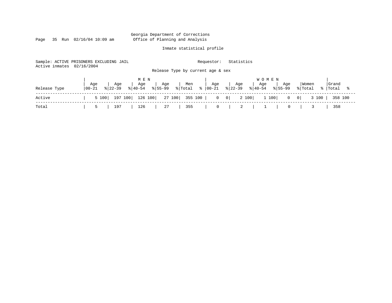Page 35 Run 02/16/04 10:09 am

#### Inmate statistical profile

Sample: ACTIVE PRISONERS EXCLUDING JAIL Requestor: Statistics Active inmates 02/16/2004 Release Type by current age & sex

|              |                   |     | MEN |                                                                       |     |     |     | <b>WOMEN</b>                                                                                                      |                          |       |
|--------------|-------------------|-----|-----|-----------------------------------------------------------------------|-----|-----|-----|-------------------------------------------------------------------------------------------------------------------|--------------------------|-------|
| Release Type | Age<br>$100 - 21$ | Age | Age | Age<br>$ \frac{1}{22-39} \cdot \frac{1}{40-54} \cdot \frac{1}{55-99}$ | Men | Age | Age | Age<br>Aqe<br>$ \text{{\tt Total}} \approx  00-21 \text{{\tt s}} 22-39 \text{{\tt s}} 40-54 \text{{\tt s}} 55-99$ | Women<br>% Total % Total | Grand |
| Active       |                   |     |     |                                                                       |     |     |     | 5 100   197 100   126 100   27 100   355 100   0 0   2 100   1 100   0 0   3 100   358 100                        |                          |       |
| Total        | 5                 |     |     | 197   126   27                                                        | 355 |     |     | 0   2   1   0   3                                                                                                 |                          | 358   |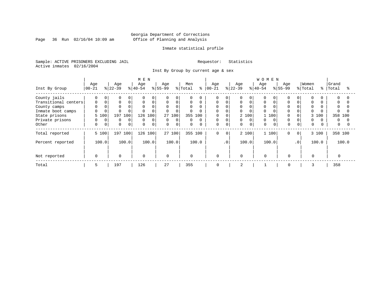Page 36 Run 02/16/04 10:09 am

#### Inmate statistical profile

Sample: ACTIVE PRISONERS EXCLUDING JAIL Requestor: Statistics Active inmates 02/16/2004

Inst By Group by current age & sex

|                      |           |             |           |              | M E N       |             |              |          |             |          |            |                 |           |          | <b>WOMEN</b> |          |             |           |             |       |              |       |
|----------------------|-----------|-------------|-----------|--------------|-------------|-------------|--------------|----------|-------------|----------|------------|-----------------|-----------|----------|--------------|----------|-------------|-----------|-------------|-------|--------------|-------|
|                      | Age       |             | Age       |              | Age         |             | Age          |          | Men         |          | Age        |                 | Age       |          | Age          |          | Age         |           | Women       |       | Grand        |       |
| Inst By Group        | $00 - 21$ |             | $ 22-39 $ |              | $ 40-54 $   |             | $ 55-99 $    |          | % Total     | ႜ        | $ 00 - 21$ |                 | $ 22-39 $ |          | $8 40-54$    |          | $ 55-99 $   |           | % Total     |       | %   Total    |       |
| County jails         | 0         | $\Omega$    | $\Omega$  | 0            | $\Omega$    | $\Omega$    | $\Omega$     | 0        | $\Omega$    | 0        | $\Omega$   |                 | 0         | $\Omega$ | O            |          |             |           |             |       | $\Omega$     |       |
| Transitional centers | 0         |             | 0         | 0            | $\mathbf 0$ | $\mathbf 0$ | $\mathbf 0$  | 0        | $\mathbf 0$ | 0        | 0          |                 | 0         | $\Omega$ | 0            |          | $\Omega$    |           | $\Omega$    |       | $\Omega$     |       |
| County camps         |           |             |           |              | $\Omega$    | $\Omega$    | $\mathbf{0}$ | $\Omega$ | $\Omega$    | 0        | $\Omega$   |                 | 0         |          | $\Omega$     |          |             |           |             |       | $\Omega$     |       |
| Inmate boot camps    | 0         |             |           |              |             | $\Omega$    | $\Omega$     | $\Omega$ | $\Omega$    | 0        | $\Omega$   |                 | 0         |          | 0            |          | $\Omega$    |           |             |       | <sup>0</sup> |       |
| State prisons        | 5 100     |             | 197       | 100          | 126 100     |             |              | 27 100   | 355 100     |          | 0          |                 |           | 2 100    |              | 100      |             |           | 3           | 100   | 358 100      |       |
| Private prisons      | $\Omega$  | $\Omega$    | $\Omega$  | $\mathbf{0}$ | $\Omega$    | $\Omega$    | $\mathbf{0}$ | $\Omega$ | $\Omega$    | $\Omega$ | 0          |                 | 0         | $\Omega$ | $\Omega$     | $\Omega$ | $\Omega$    |           | $\Omega$    |       | $\Omega$     |       |
| Other                | 0         | $\mathbf 0$ | $\Omega$  | 0            | 0           | 0           | $\mathbf 0$  | 0        | $\mathbf 0$ | $\Omega$ | 0          | 0               | 0         | 0        | $\Omega$     |          | $\Omega$    |           | $\mathbf 0$ |       | $\mathbf{0}$ |       |
| Total reported       | 5 100     |             |           | 197 100      | 126 100     |             |              | 27 100   | 355 100     |          | $\Omega$   | $\mathbf 0$     |           | 2 100    |              | 1 100    | $\mathbf 0$ | $\circ$   |             | 3 100 | 358 100      |       |
| Percent reported     | 100.0     |             |           | 100.0        |             | 100.0       |              | 100.0    |             | 100.0    |            | .0 <sup>1</sup> |           | 100.0    |              | 100.0    |             | $\cdot$ 0 |             | 100.0 |              | 100.0 |
| Not reported         | $\Omega$  |             | $\Omega$  |              | 0           |             | $\Omega$     |          | $\mathbf 0$ |          | $\Omega$   |                 | $\Omega$  |          | $\Omega$     |          | $\Omega$    |           | $\Omega$    |       |              |       |
| Total                | 5         |             | 197       |              | 126         |             | 27           |          | 355         |          | 0          |                 | 2         |          |              |          | 0           |           | 3           |       | 358          |       |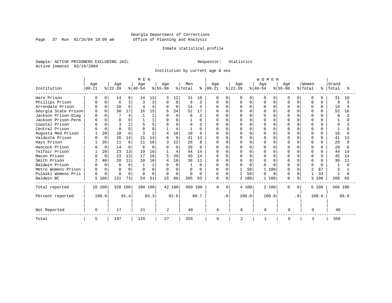Page 37 Run 02/16/04 10:09 am

#### Inmate statistical profile

Sample: ACTIVE PRISONERS EXCLUDING JAIL Requestor: Statistics Active inmates 02/16/2004

Institution by current age & sex

|                      |              |          |           |             | M E N    |          |           |          |              |      |              |              |           |             | <b>WOMEN</b> |          |              |              |               |              |         |      |
|----------------------|--------------|----------|-----------|-------------|----------|----------|-----------|----------|--------------|------|--------------|--------------|-----------|-------------|--------------|----------|--------------|--------------|---------------|--------------|---------|------|
|                      | Age          |          | Age       |             | Age      |          | Age       |          | Men          |      | Age          |              | Age       |             | Age          |          | Age          |              | Women         |              | Grand   |      |
| Institution          | $ 00 - 21$   |          | $ 22-39 $ |             | $ 40-54$ |          | $ 55-99 $ |          | % Total      | ႜၟ   | $ 00 - 21$   |              | $ 22-39 $ |             | $8 40-54$    |          | $8155 - 99$  |              | % Total       | °            | Total   |      |
| Ware Prison          |              |          | 14        | 8           | 14       | 13       | 3         | 12       | 31           | 10   | 0            | $\Omega$     | O         | 0           | U            | O        | O            | 0            | $\Omega$      |              | 31      | 10   |
| Phillips Prison      |              | $\Omega$ | 6         | 3           |          | 3        | 0         | 0        | 9            | ζ    | 0            | $\Omega$     |           | $\mathbf 0$ | O            | $\Omega$ |              | $\Omega$     | 0             | $\Omega$     | 9       |      |
| Arrendale Prison     |              | $\Omega$ | 10        | 6           |          | 4        | $\Omega$  | $\Omega$ | 14           | 4    | <sup>0</sup> | <sup>n</sup> | U         | $\Omega$    |              | $\Omega$ | U            | <sup>n</sup> | $\Omega$      | $\Omega$     | 14      |      |
| Georgia State Prison | <sup>0</sup> | $\cap$   | 30        | 17          | 16       | 15       | б         | 24       | 52           | 17   | U            |              |           | $\Omega$    |              | $\Omega$ | $\cap$       |              | $\Omega$      | $\Omega$     | 52      | 16   |
| Jackson Prison-Diag  |              |          |           | 4           |          |          | $\Omega$  | $\Omega$ | 8            | ζ    |              |              |           | $\Omega$    |              | ∩        |              |              | $\Omega$      |              | 8       |      |
| Jackson Prison-Perm  |              | $\cap$   | $\Omega$  | 0           |          |          | O         | U        |              | 0    | O            |              |           | $\Omega$    |              | $\Omega$ | $\cap$       |              | $\Omega$      |              |         |      |
| Coastal Prison       |              | $\cap$   |           | 2           |          | 5        | U         | U        | 8            | ζ    | U            | $\cap$       | Λ         | $\Omega$    |              | $\cap$   | U            |              | $\cap$        |              | 8       |      |
| Central Prison       |              | $\Omega$ | ∩         | 0           |          |          |           | 4        |              | 0    |              |              |           | $\Omega$    |              | U        |              |              | $\Omega$      | U            |         |      |
| Augusta Med Prison   |              | 20       | 10        | 6           |          | 3        | 4         | 16       | 18           | 6    |              | $\cap$       |           | $\Omega$    |              | $\cap$   |              | U            | $\Omega$      | $\Omega$     | 18      |      |
| Valdosta Prison      |              | $\Omega$ | 26        | 14          | 15       | 14       | $\cap$    | $\Omega$ | 41           | 13   | U            | $\Omega$     | U         | $\Omega$    |              | $\cap$   |              |              | $\Omega$      | <sup>n</sup> | 41      | 13   |
| Hays Prison          |              | 20       | 11        | 6           | 11       | 10       |           | 12       | 26           | 8    | Λ            |              |           | $\Omega$    |              |          | $\cap$       |              | $\cap$        | <sup>n</sup> | 26      |      |
| Hancock Prison       |              | $\Omega$ | 14        | 8           | 6        | 6        |           | $\Omega$ | 20           | 6    | O            | $\cap$       |           | $\Omega$    |              | $\cap$   | U            |              | $\Omega$      | <sup>n</sup> | 20      |      |
| Telfair Prison       |              | 20       | 23        | 13          | 19       | 18       |           | 4        | 44           | 14   | $\cap$       | $\Omega$     | U         | $\Omega$    |              | $\cap$   | $\cap$       |              | $\Omega$      | <sup>n</sup> | 44      | 14   |
| Macon Prison         |              | $\Omega$ | 23        | 13          | 17       | 16       | 5         | 20       | 45           | 14   | $\cap$       | $\Omega$     |           | $\Omega$    |              | $\Omega$ |              |              | $\Omega$      | 0            | 45      | 14   |
| Smith Prison         | 2            | 40       | 20        | 11          | 10       | 10       | 4         | 16       | 36           | 11   |              |              |           | $\Omega$    |              | n        |              |              | $\Omega$      |              | 36      | 11   |
| Baldwin Prison       |              | $\Omega$ | $\cap$    | $\Omega$    |          |          | O         | $\Omega$ |              | 0    | <sup>0</sup> | $\cap$       | O         | $\Omega$    | U            | $\cap$   | U            | U            | $\Omega$      | <sup>n</sup> |         |      |
| Metro Womens Prison  | <sup>0</sup> | $\Omega$ | ∩         | $\mathbf 0$ |          | $\Omega$ | $\Omega$  | $\Omega$ | U            | U    | O            |              |           | 50          |              | 100      | $\cap$       |              | $\mathcal{D}$ | 67           |         |      |
| Pulaski Womens Pris  | $\Omega$     | $\Omega$ | $\cap$    | $\Omega$    |          | $\Omega$ | $\Omega$  | $\Omega$ | <sup>0</sup> | U    | $\mathbf 0$  | $\Omega$     |           | 50          | U            | $\Omega$ | <sup>0</sup> | $\Omega$     |               | 33           |         |      |
| Baldwin BC           | 5            | 100      | 131       | 73          | 54       | 51       | 15        | 60       | 205          | 65   | $\Omega$     | $\mathbf 0$  |           | 2 100       | 1            | 100      | $\Omega$     | $\Omega$     | 3             | 100          | 208     | 65   |
| Total reported       |              | 10 100   | 328 100   |             | 180 100  |          |           | 42 100   | 560 100      |      | $\Omega$     | $\Omega$     |           | 4 100       | 2 100        |          | $\Omega$     | $\Omega$     |               | 6 100        | 566 100 |      |
| Percent reported     |              | 100.0    |           | 91.4        |          | 83.3     |           | 92.6     |              | 88.7 |              | $\cdot$ 0    | 100.0     |             | 100.0        |          |              | $\cdot$ 0    |               | 100.0        |         | 88.8 |
| Not Reported         | $\Omega$     |          | 17        |             | 21       |          | 2         |          | 40           |      | <sup>n</sup> |              | $\cap$    |             | $\Omega$     |          | $\cap$       |              | ∩             |              | 40      |      |
| Total                | 5            |          | 197       |             | 126      |          | 27        |          | 355          |      | 0            |              | 2         |             |              |          | 0            |              | 3             |              | 358     |      |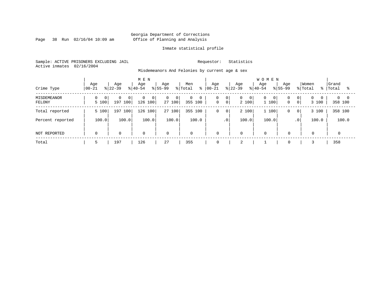Page 38 Run 02/16/04 10:09 am

#### Inmate statistical profile

Sample: ACTIVE PRISONERS EXCLUDING JAIL Requestor: Statistics Active inmates 02/16/2004

Misdemeanors And Felonies by current age & sex

| Crime Type            | Age<br>$ 00-21$         | Age<br>$ 22-39$                       | M E N<br>Age<br>$8 40-54$                 | Age<br>$ 55-99 $                           | Men<br>% Total<br>ႜ | Aqe<br>$ 00 - 21 $ | Age<br>$8 22-39$                                     | <b>WOMEN</b><br>Age<br>Age<br>$8 40-54$<br>$8155 - 99$ | Women<br>% Total<br>- န ၂                                               | Grand<br>Total<br>°≈   |
|-----------------------|-------------------------|---------------------------------------|-------------------------------------------|--------------------------------------------|---------------------|--------------------|------------------------------------------------------|--------------------------------------------------------|-------------------------------------------------------------------------|------------------------|
| MISDEMEANOR<br>FELONY | $\overline{0}$<br>5 100 | $\Omega$<br>0 <sup>1</sup><br>197 100 | $\mathbf{0}$<br>$\overline{0}$<br>126 100 | $\overline{0}$<br>0 <sup>1</sup><br>27 100 | 0<br>0<br>355 100   | 0<br>0             | 0 <br>$\overline{0}$<br>$\mathbf{0}$<br> 0 <br>2 100 | 0<br>0<br>0 <sup>1</sup><br>1 100<br>$\mathbf 0$       | $\overline{0}$<br>0 <sup>1</sup><br>$\Omega$<br>$\overline{0}$<br>3 100 | $0 \quad 0$<br>358 100 |
| Total reported        | 5 100                   | 100<br>197                            | 126 100                                   | 27 100                                     | 355 100             | 0<br>$\mathbf 0$   | 2 100                                                | 1 100<br>0                                             | 3 100<br>$\mathbf{0}$                                                   | 358 100                |
| Percent reported      | 100.0                   | 100.0                                 | 100.0                                     | 100.0                                      | 100.0               | $\cdot$ 0          | 100.0                                                | 100.0                                                  | 100.0<br>.0 <sup>1</sup>                                                | 100.0                  |
| NOT REPORTED          | $\mathbf 0$             | $\mathbf 0$                           | $\mathbf 0$                               | $\mathbf 0$                                | $\mathbf{0}$        | $\mathbf 0$        | $\mathbf 0$                                          | $\mathbf 0$<br>$\Omega$                                | $\mathbf 0$                                                             |                        |
| Total                 |                         | 197                                   | 126                                       | 27                                         | 355                 | 0                  | $\bigcap$<br>∠                                       | $\mathbf 0$                                            |                                                                         | 358                    |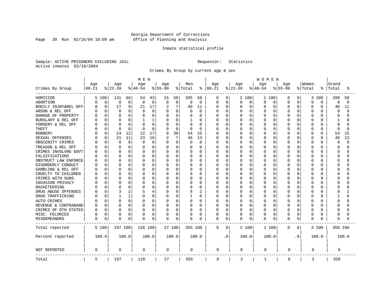Page 39 Run 02/16/04 10:09 am

#### Inmate statistical profile

Sample: ACTIVE PRISONERS EXCLUDING JAIL Requestor: Statistics Active inmates 02/16/2004

Crimes By Group by current age & sex

|                      | MEN       |             |              |                |          |             |             |          |          |                |             | <b>WOMEN</b> |          |          |           |          |             |                |          |          |          |          |  |
|----------------------|-----------|-------------|--------------|----------------|----------|-------------|-------------|----------|----------|----------------|-------------|--------------|----------|----------|-----------|----------|-------------|----------------|----------|----------|----------|----------|--|
|                      | Age       |             | Age          |                | Age      |             | Age         |          | Men      |                | Age         |              | Age      |          | Age       |          | Age         |                | Women    |          | Grand    |          |  |
| Crimes By Group      | $00 - 21$ |             | $ 22-39$     |                | $ 40-54$ |             | $8 55-99$   |          | % Total  | ႜ              | $ 00 - 21$  |              | $ 22-39$ |          | $8 40-54$ |          | $8 55-99$   |                | % Total  | °        | Total    | °        |  |
| HOMICIDE             |           | 5 100       | 131          | 66             | 54       | 43          | 15          | 56       | 205      | 58             | 0           | 0            |          | 2 100    | 1 100     |          | 0           | $\overline{0}$ | 3        | 100      | 208      | 58       |  |
| ABORTION             | 0         | $\mathbf 0$ | 0            | 0              | 0        | 0           | $\mathbf 0$ | 0        | $\Omega$ | $\mathbf 0$    | 0           | $\mathbf 0$  | 0        | 0        | 0         | 0        | 0           | 0              | $\Omega$ | 0        | 0        | $\Omega$ |  |
| BODILY INJRY&REL OFF | U         | 0           | 17           | 9              | 21       | 17          | 2           | 7        | 40       | 11             | 0           | 0            | 0        | 0        | 0         | 0        | 0           | 0              | $\Omega$ | 0        | 40       | 11       |  |
| ARSON & REL OFF      |           | 0           | 0            | 0              | 0        | 0           | $\Omega$    | 0        |          | 0              | Ω           | 0            | C        | 0        | 0         | $\Omega$ | $\Omega$    | O              | $\Omega$ | O        | 0        | $\cap$   |  |
| DAMAGE OF PROPERTY   |           | $\Omega$    | <sup>0</sup> | 0              |          | $\Omega$    | $\Omega$    | 0        |          | $\Omega$       | Ω           | 0            | U        | $\Omega$ | O         | $\Omega$ | $\Omega$    | U              | $\Omega$ | $\cap$   | $\Omega$ |          |  |
| BURGLARY & REL OFF   |           | $\Omega$    | $\Omega$     | 0              | 1        | 1           | $\Omega$    | 0        |          | $\Omega$       | Ω           | 0            | 0        | $\Omega$ | U         | 0        | $\Omega$    | 0              | $\Omega$ | $\Omega$ | 1        |          |  |
| FORGERY & REL OFF    |           | 0           | C            | O              |          | 0           | $\Omega$    | 0        | $\Omega$ | 0              |             | $\mathbf 0$  | C        | $\Omega$ | 0         | 0        | $\Omega$    | O              | $\Omega$ | $\Omega$ | $\Omega$ |          |  |
| <b>THEFT</b>         |           | 0           | $\Omega$     | 0              | $\Omega$ | $\mathbf 0$ | $\Omega$    | 0        | $\Omega$ | 0              | Ω           | 0            | U        | $\Omega$ | O         | $\Omega$ | $\Omega$    | 0              | $\Omega$ | $\Omega$ | $\Omega$ | n        |  |
| <b>ROBBERY</b>       |           | 0           | 24           | 12             | 22       | 17          | 8           | 30       | 54       | 15             | O           | 0            | Ω        | $\Omega$ | 0         | $\Omega$ | $\Omega$    | O              | $\Omega$ | $\Omega$ | 54       | 15       |  |
| SEXUAL OFFENSES      |           | $\Omega$    | 21           | 11             | 23       | 18          |             | 7        | 46       | 13             | 0           | 0            | O        | $\Omega$ | O         | 0        | $\Omega$    | U              | $\Omega$ | $\Omega$ | 46       | 13       |  |
| OBSCENITY CRIMES     |           | $\Omega$    | 0            | 0              | $\Omega$ | $\mathbf 0$ | $\Omega$    | 0        | $\Omega$ | 0              | Ω           | 0            | 0        | $\Omega$ | 0         | 0        | $\Omega$    | 0              | $\Omega$ | $\Omega$ | $\Omega$ | $\cap$   |  |
| TREASON & REL OFF    |           | $\Omega$    | <sup>0</sup> | O              | O        | $\Omega$    | O           | 0        | $\left($ | $\Omega$       | Ω           | $\mathbf 0$  | 0        | $\Omega$ | 0         | 0        | O           | 0              | $\Omega$ | O        | ∩        |          |  |
| CRIMES INVOLVNG GOVT |           | 0           | $\bigcap$    | 0              |          | 0           | 0           | 0        |          | $\Omega$       | Ω           | $\mathbf 0$  | C        | $\Omega$ | $\Omega$  | $\Omega$ | $\Omega$    | O              | $\Omega$ | O        | $\Omega$ |          |  |
| FALSIFICATIONS       |           | $\Omega$    | <sup>0</sup> | 0              | O        | $\Omega$    | O           | $\Omega$ | $\Omega$ | $\Omega$       | Ω           | 0            | U        | $\Omega$ | $\Omega$  | $\Omega$ | $\Omega$    | 0              | $\Omega$ | O        | ∩        |          |  |
| OBSTRUCT LAW ENFORCE |           | $\Omega$    | C            | 0              | O        | $\Omega$    | O           | O        | O        | $\Omega$       | Ω           | 0            | C        | $\Omega$ | 0         | $\Omega$ | $\Omega$    | O              | $\Omega$ | O        | ∩        |          |  |
| DISORDERLY CONDUCT   |           | $\Omega$    | C            | 0              |          | $\Omega$    | O           | O        |          | $\Omega$       | Ω           | 0            | U        | $\Omega$ | O         | $\Omega$ | $\Omega$    | U              | $\Omega$ | U        | C        |          |  |
| GAMBLING & REL OFF   |           | $\Omega$    | $\Omega$     | O              | O        | $\Omega$    | O           | $\Omega$ | O        | $\Omega$       | Ω           | $\mathbf 0$  | U        | $\Omega$ | 0         | $\Omega$ | $\Omega$    | 0              | $\Omega$ | O        | $\Omega$ |          |  |
| CRUELTY TO CHILDREN  |           | $\Omega$    | <sup>0</sup> | 0              |          | 0           | O           | 0        |          | $\Omega$       |             | $\mathbf 0$  | U        | $\Omega$ | 0         | $\Omega$ | $\Omega$    | 0              | $\Omega$ | O        | $\Omega$ |          |  |
| CRIMES WITH GUNS     |           | $\Omega$    | C            | O              |          | $\Omega$    | $\Omega$    | O        |          | $\Omega$       | Ω           | $\mathbf 0$  | U        | $\Omega$ | 0         | $\Omega$ | $\Omega$    | O              | $\Omega$ | $\Omega$ | ∩        |          |  |
| INVASION PRIVACY     |           | $\Omega$    | C            | 0              | O        | 0           | O           | 0        | O        | $\Omega$       | Ω           | 0            | O        | $\Omega$ | O         | 0        | $\Omega$    | O              | $\Omega$ | O        | ∩        |          |  |
| RACKETEERING         |           | 0           | C            | 0              |          | $\Omega$    | O           | 0        |          | 0              | Ω           | $\mathbf 0$  | C        | $\Omega$ | $\Omega$  | O        | O           | O              | $\Omega$ | O        | C        |          |  |
| DRUG ABUSE OFFENSES  |           | $\Omega$    | Р            | $\overline{2}$ |          | 4           | O           | $\Omega$ | 8        | $\overline{c}$ | Ω           | 0            | O        | $\Omega$ | $\Omega$  | $\Omega$ | $\Omega$    | $\Omega$       | $\Omega$ | O        | 8        |          |  |
| DRUG TRAFFICKING     |           | $\Omega$    |              | 1              | O        | 0           | O           | 0        |          | $\Omega$       | Ω           | $\mathbf 0$  | 0        | $\Omega$ | 0         | 0        | $\Omega$    | 0              | $\Omega$ | O        |          |          |  |
| AUTO CRIMES          |           | 0           | $\Omega$     | 0              | O        | 0           | 0           | 0        | $\Omega$ | 0              | Ω           | $\mathbf 0$  | 0        | 0        | 0         | 0        | 0           | 0              | $\Omega$ | O        | $\Omega$ |          |  |
| REVENUE & CONTRABAND |           | 0           | C            | 0              | O        | 0           | 0           | 0        |          | $\Omega$       | Ω           | 0            | 0        | 0        | O         | 0        | $\Omega$    | 0              | $\Omega$ | O        | ∩        |          |  |
| CRIMES OF OTH STATES | U         | 0           | 0            | 0              | O        | 0           | 0           | 0        | $\Omega$ | 0              | 0           | 0            | 0        | 0        | 0         | 0        | O           | 0              | 0        | $\Omega$ | ∩        |          |  |
| MISC. FELONIES       | 0         | 0           | 0            | 0              |          | 0           | 0           | 0        | 0        | 0              | 0           | 0            | 0        | 0        | 0         | 0        | 0           | 0              | 0        | 0        | $\Omega$ |          |  |
| MISDEMEANORS         | 0         | 0           | C            | 0              | 0        | 0           | 0           | 0        | $\Omega$ | 0              | 0           | 0            | 0        | 0        | 0         | $\Omega$ | $\Omega$    | 0              | $\Omega$ | O        | $\Omega$ |          |  |
| Total reported       |           | 5 100       | 197 100      |                | 126 100  |             |             | 27 100   | 355 100  |                | 0           | 0            |          | 2 100    | 1 100     |          | 0           | $\overline{0}$ |          | 3 100    | 358 100  |          |  |
| Percent reported     |           | 100.0       |              | 100.0          |          | 100.0       |             | 100.0    |          | 100.0          |             | . 0          |          | 100.0    | 100.0     |          |             | $\cdot$ 0      |          | 100.0    |          | 100.0    |  |
| NOT REPORTED         | 0         |             | $\Omega$     |                | 0        |             | 0           |          | 0        |                | 0           |              | 0        |          | 0         |          | 0           |                | 0        |          | 0        |          |  |
| Total                | 5         |             | 197          |                | 126      |             | 27          |          | 355      |                | $\mathbf 0$ |              | 2        |          | 1         |          | $\mathbf 0$ |                | 3        |          | 358      |          |  |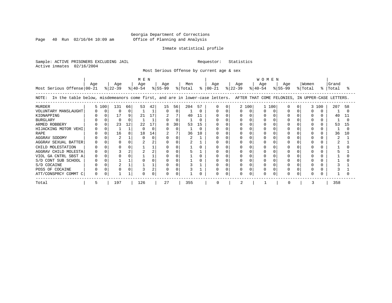Page 40 Run 02/16/04 10:09 am

#### Inmate statistical profile

Sample: ACTIVE PRISONERS EXCLUDING JAIL Requestor: Statistics Active inmates 02/16/2004

Most Serious Offense by current age & sex

| Most Serious Offense 00-21                                                                                                            | Age |          | Age<br>$ 22-39 $ |          | M E N<br>Age |    | Age<br>$\frac{8}{40-54}$ $\frac{8}{55-99}$ |          | Men<br>% Total |     | Age<br>$8   00-21$ |              | Age<br>% 22−39 |       | <b>WOMEN</b><br>Age<br>$ 40-54 $ |     | Age<br>% 55-99 | Women<br>% Total | $\approx$ 1 | Grand<br>Total |     |
|---------------------------------------------------------------------------------------------------------------------------------------|-----|----------|------------------|----------|--------------|----|--------------------------------------------|----------|----------------|-----|--------------------|--------------|----------------|-------|----------------------------------|-----|----------------|------------------|-------------|----------------|-----|
| In the table below, misdemeanors come first, and are in lower-case letters. AFTER THAT COME FELONIES, IN UPPER-CASE LETTERS.<br>NOTE: |     |          |                  |          |              |    |                                            |          |                |     |                    |              |                |       |                                  |     |                |                  |             |                |     |
| <b>MURDER</b>                                                                                                                         |     | 5 100    | 131              | 66       | 53           | 42 | 15                                         | 56       | 204            | 57  |                    | <sup>0</sup> |                | 2 100 |                                  | 100 |                |                  | 3 100       | 207            | 58  |
| VOLUNTARY MANSLAUGHT                                                                                                                  |     | $\Omega$ | $\Omega$         | 0        |              |    |                                            | $\Omega$ |                |     |                    |              |                |       |                                  |     |                |                  |             |                |     |
| KIDNAPPING                                                                                                                            |     |          | 17               | 9        | 21           | 17 | 2                                          |          | 40             | 11  |                    |              |                |       |                                  |     |                |                  |             | 40             | 11  |
| <b>BURGLARY</b>                                                                                                                       |     |          | $\Omega$         | $\Omega$ |              |    |                                            | $\Omega$ |                |     |                    |              |                |       |                                  |     |                |                  |             |                |     |
| ARMED ROBBERY                                                                                                                         |     |          | 23               | 12       | 22           | 17 |                                            | 30       | 53             | 15  |                    |              |                |       |                                  |     |                |                  |             | 53             | 15  |
| HIJACKING MOTOR VEHI                                                                                                                  |     |          |                  |          |              |    |                                            | $\Omega$ |                |     |                    |              |                |       |                                  |     |                |                  |             |                |     |
| <b>RAPE</b>                                                                                                                           |     |          | 16               | 8        | 18           | 14 |                                            |          | 36             | 1 O |                    |              |                |       |                                  |     |                |                  |             | 36             | 1 O |
| AGGRAV SODOMY                                                                                                                         |     |          |                  |          |              |    |                                            |          |                |     |                    |              |                |       |                                  |     |                |                  |             |                |     |
| AGGRAV SEXUAL BATTER                                                                                                                  |     |          |                  |          |              |    |                                            |          |                |     |                    |              |                |       |                                  |     |                |                  |             |                |     |
| CHILD MOLESTATION                                                                                                                     |     |          |                  |          |              |    |                                            |          |                |     |                    |              |                |       |                                  |     |                |                  |             |                |     |
| AGGRAV CHILD MOLESTA                                                                                                                  |     |          |                  | 2        |              |    |                                            |          |                |     |                    |              |                |       |                                  |     |                |                  |             |                |     |
| VIOL GA CNTRL SBST A                                                                                                                  |     |          |                  |          |              |    |                                            |          |                |     |                    |              |                |       |                                  |     |                |                  |             |                |     |
| S/D CONT SUB SCHOOL                                                                                                                   |     |          |                  |          |              |    |                                            |          |                |     |                    |              |                |       |                                  |     |                |                  |             |                |     |
| S/D COCAINE                                                                                                                           |     |          |                  |          |              |    |                                            |          |                |     |                    |              |                |       |                                  |     |                |                  |             |                |     |
| POSS OF COCAINE                                                                                                                       |     |          |                  |          |              |    |                                            |          |                |     |                    |              |                |       |                                  |     |                |                  |             |                |     |
| ATT/CONSPRCY COMMT C                                                                                                                  |     |          |                  |          |              |    |                                            |          |                |     | U                  |              | 0              |       |                                  |     |                |                  |             |                |     |
| Total                                                                                                                                 | 5   |          | 197              |          | 126          |    | 27                                         |          | 355            |     | O                  |              |                |       |                                  |     |                |                  |             | 358            |     |